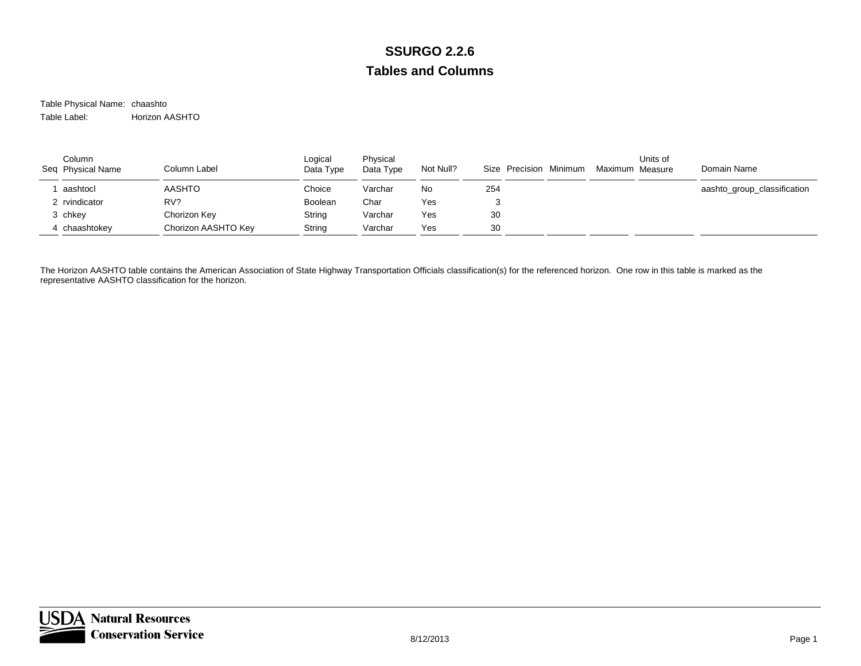Table Physical Name: chaashto Table Label:Horizon AASHTO

| Column<br>Seq Physical Name | Column Label        | Logical<br>Data Type | Physical<br>Data Type | Not Null? | Size Precision Minimum | Units of<br>Maximum Measure | Domain Name                 |
|-----------------------------|---------------------|----------------------|-----------------------|-----------|------------------------|-----------------------------|-----------------------------|
| aashtocl                    | <b>AASHTO</b>       | Choice               | Varchar               | No        | 254                    |                             | aashto_group_classification |
| 2 rvindicator               | RV?                 | Boolean              | Char                  | Yes       |                        |                             |                             |
| 3 chkey                     | Chorizon Key        | String               | Varchar               | Yes       | 30                     |                             |                             |
| 4 chaashtokey               | Chorizon AASHTO Key | String               | Varchar               | Yes       | 30                     |                             |                             |

The Horizon AASHTO table contains the American Association of State Highway Transportation Officials classification(s) for the referenced horizon. One row in this table is marked as the representative AASHTO classification for the horizon.

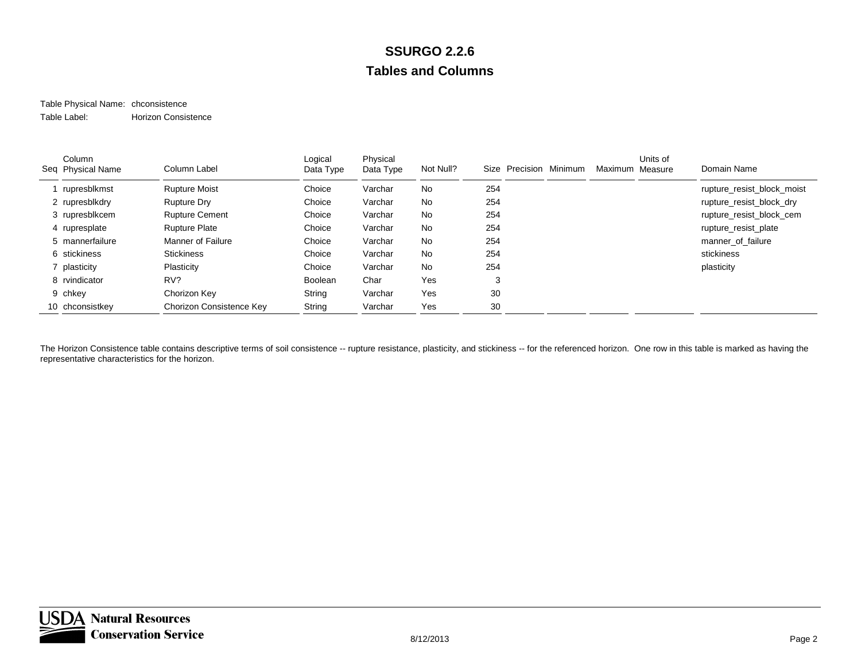#### Table Physical Name: chconsistence Table Label:Horizon Consistence

| Column<br>Seq Physical Name | Column Label             | Logical<br>Data Type | Physical<br>Data Type | Not Null? | Size Precision Minimum | Maximum Measure | Units of | Domain Name                |
|-----------------------------|--------------------------|----------------------|-----------------------|-----------|------------------------|-----------------|----------|----------------------------|
| rupresblkmst                | <b>Rupture Moist</b>     | Choice               | Varchar               | No        | 254                    |                 |          | rupture_resist_block_moist |
| 2 rupresblkdry              | <b>Rupture Dry</b>       | Choice               | Varchar               | No        | 254                    |                 |          | rupture_resist_block_dry   |
| 3 rupresblkcem              | <b>Rupture Cement</b>    | Choice               | Varchar               | No        | 254                    |                 |          | rupture_resist_block_cem   |
| 4 rupresplate               | <b>Rupture Plate</b>     | Choice               | Varchar               | No        | 254                    |                 |          | rupture_resist_plate       |
| 5 mannerfailure             | <b>Manner of Failure</b> | Choice               | Varchar               | No        | 254                    |                 |          | manner of failure          |
| 6 stickiness                | <b>Stickiness</b>        | Choice               | Varchar               | No        | 254                    |                 |          | stickiness                 |
| 7 plasticity                | Plasticity               | Choice               | Varchar               | No        | 254                    |                 |          | plasticity                 |
| 8 rvindicator               | RV?                      | Boolean              | Char                  | Yes       | 3                      |                 |          |                            |
| 9 chkey                     | Chorizon Key             | String               | Varchar               | Yes       | 30                     |                 |          |                            |
| 10 chconsistkey             | Chorizon Consistence Key | String               | Varchar               | Yes       | 30                     |                 |          |                            |

The Horizon Consistence table contains descriptive terms of soil consistence -- rupture resistance, plasticity, and stickiness -- for the referenced horizon. One row in this table is marked as having the representative characteristics for the horizon.

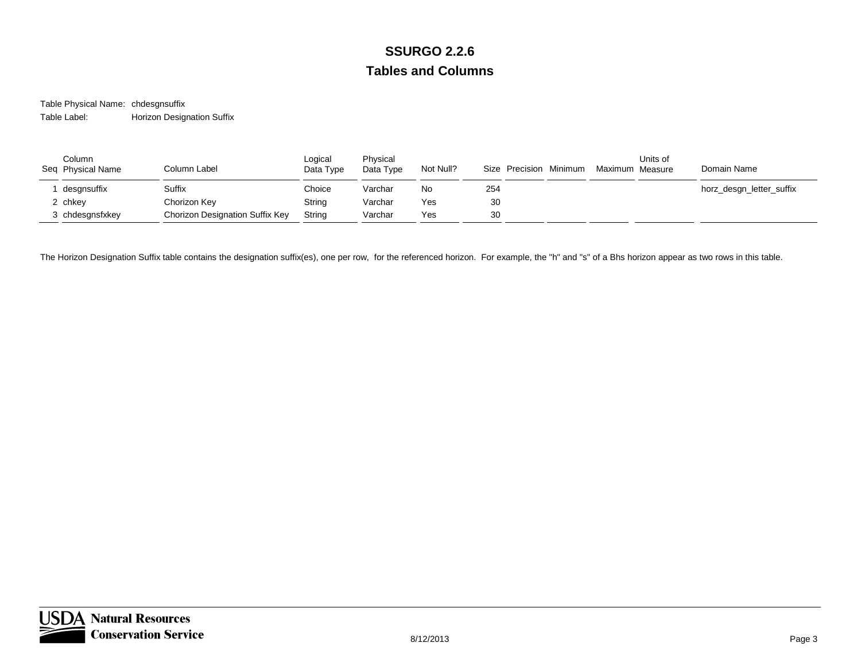Table Physical Name: chdesgnsuffix Table Label:Horizon Designation Suffix

| Column<br>Seq Physical Name | Column Label                           | Logical<br>Data Type | Physical<br>Data Type | Not Null? | Size Precision Minimum | Maximum Measure | Units of | Domain Name              |
|-----------------------------|----------------------------------------|----------------------|-----------------------|-----------|------------------------|-----------------|----------|--------------------------|
| desgnsuffix                 | Suffix                                 | Choice               | Varchar               | No        | 254                    |                 |          | horz_desgn_letter_suffix |
| 2 chkey                     | Chorizon Key                           | String               | Varchar               | Yes       | 30                     |                 |          |                          |
| 3 chdesgnsfxkey             | <b>Chorizon Designation Suffix Key</b> | String               | Varchar               | Yes       | 30                     |                 |          |                          |

The Horizon Designation Suffix table contains the designation suffix(es), one per row, for the referenced horizon. For example, the "h" and "s" of a Bhs horizon appear as two rows in this table.

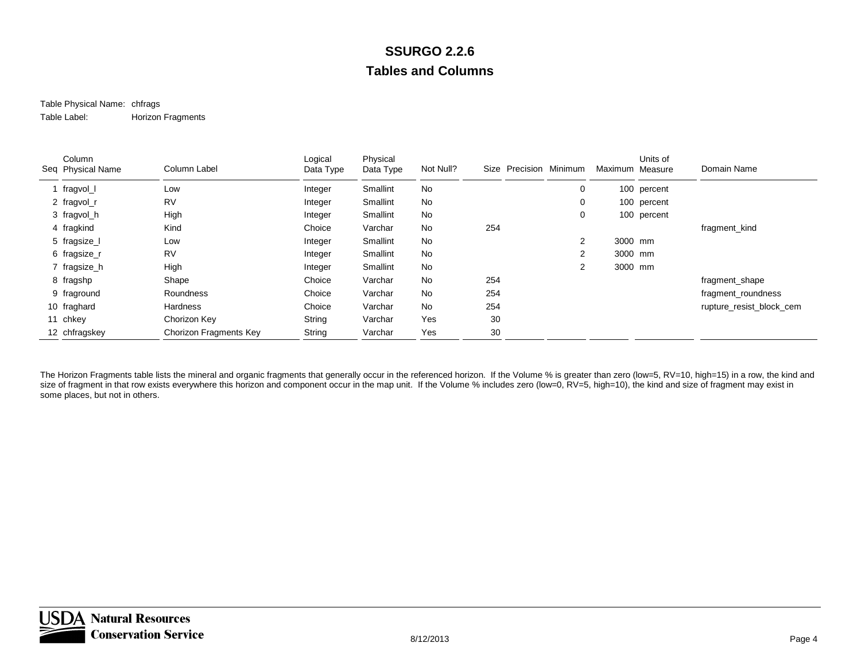#### Table Physical Name: chfrags Table Label:Horizon Fragments

| Column<br>Seq Physical Name | Column Label           | Logical<br>Data Type | Physical<br>Data Type | Not Null? | Size | Precision Minimum | Maximum Measure | Units of    | Domain Name              |
|-----------------------------|------------------------|----------------------|-----------------------|-----------|------|-------------------|-----------------|-------------|--------------------------|
| fragvol_l                   | Low                    | Integer              | Smallint              | No        |      | 0                 |                 | 100 percent |                          |
| 2 fragvol_r                 | <b>RV</b>              | Integer              | Smallint              | No        |      | 0                 |                 | 100 percent |                          |
| 3 fragvol_h                 | High                   | Integer              | Smallint              | No        |      | 0                 |                 | 100 percent |                          |
| 4 fragkind                  | Kind                   | Choice               | Varchar               | No        | 254  |                   |                 |             | fragment kind            |
| 5 fragsize_l                | Low                    | Integer              | Smallint              | No        |      | $\overline{2}$    | 3000 mm         |             |                          |
| 6 fragsize_r                | <b>RV</b>              | Integer              | Smallint              | No        |      | 2                 | 3000 mm         |             |                          |
| 7 fragsize_h                | High                   | Integer              | Smallint              | No        |      | 2                 | 3000 mm         |             |                          |
| 8 fragshp                   | Shape                  | Choice               | Varchar               | No        | 254  |                   |                 |             | fragment_shape           |
| 9 fraground                 | Roundness              | Choice               | Varchar               | No        | 254  |                   |                 |             | fragment_roundness       |
| 10 fraghard                 | <b>Hardness</b>        | Choice               | Varchar               | No        | 254  |                   |                 |             | rupture_resist_block_cem |
| 11 chkey                    | Chorizon Key           | String               | Varchar               | Yes       | 30   |                   |                 |             |                          |
| 12 chfragskey               | Chorizon Fragments Key | String               | Varchar               | Yes       | 30   |                   |                 |             |                          |

The Horizon Fragments table lists the mineral and organic fragments that generally occur in the referenced horizon. If the Volume % is greater than zero (low=5, RV=10, high=15) in a row, the kind and size of fragment in that row exists everywhere this horizon and component occur in the map unit. If the Volume % includes zero (low=0, RV=5, high=10), the kind and size of fragment may exist in some places, but not in others.

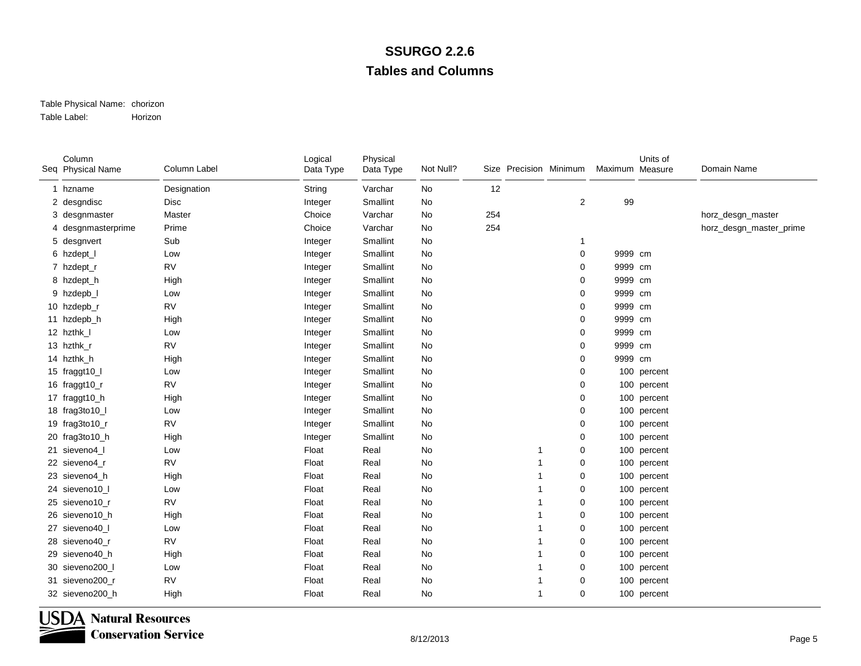#### Table Physical Name: chorizon Table Label:Horizon

| Column<br>Seq Physical Name | Column Label | Logical<br>Data Type | Physical<br>Data Type | Not Null? |     | Size Precision Minimum |   | Maximum Measure | Units of    | Domain Name             |
|-----------------------------|--------------|----------------------|-----------------------|-----------|-----|------------------------|---|-----------------|-------------|-------------------------|
| 1 hzname                    | Designation  | String               | Varchar               | No        | 12  |                        |   |                 |             |                         |
| 2 desgndisc                 | <b>Disc</b>  | Integer              | Smallint              | No        |     |                        | 2 | 99              |             |                         |
| 3 desgnmaster               | Master       | Choice               | Varchar               | No        | 254 |                        |   |                 |             | horz_desgn_master       |
| 4 desgnmasterprime          | Prime        | Choice               | Varchar               | No        | 254 |                        |   |                 |             | horz_desgn_master_prime |
| 5 desgnvert                 | Sub          | Integer              | Smallint              | No        |     |                        | 1 |                 |             |                         |
| 6 hzdept_l                  | Low          | Integer              | Smallint              | No        |     |                        | 0 | 9999 cm         |             |                         |
| 7 hzdept_r                  | <b>RV</b>    | Integer              | Smallint              | No        |     |                        | 0 | 9999 cm         |             |                         |
| 8 hzdept_h                  | High         | Integer              | Smallint              | No        |     |                        | 0 | 9999 cm         |             |                         |
| 9 hzdepb_l                  | Low          | Integer              | Smallint              | No        |     |                        | 0 | 9999 cm         |             |                         |
| 10 hzdepb_r                 | <b>RV</b>    | Integer              | Smallint              | No        |     |                        | 0 | 9999 cm         |             |                         |
| 11 hzdepb_h                 | High         | Integer              | Smallint              | No        |     |                        | 0 | 9999 cm         |             |                         |
| 12 hzthk_l                  | Low          | Integer              | Smallint              | No        |     |                        | 0 | 9999 cm         |             |                         |
| 13 hzthk_r                  | <b>RV</b>    | Integer              | Smallint              | No        |     |                        | 0 | 9999 cm         |             |                         |
| 14 hzthk_h                  | High         | Integer              | Smallint              | No        |     |                        | 0 | 9999 cm         |             |                         |
| 15 fraggt10_I               | Low          | Integer              | Smallint              | No        |     |                        | 0 |                 | 100 percent |                         |
| 16 fraggt10_r               | <b>RV</b>    | Integer              | Smallint              | No        |     |                        | 0 |                 | 100 percent |                         |
| 17 fraggt10_h               | High         | Integer              | Smallint              | No        |     |                        | 0 |                 | 100 percent |                         |
| 18 frag3to10_l              | Low          | Integer              | Smallint              | No        |     |                        | 0 |                 | 100 percent |                         |
| 19 frag3to10_r              | <b>RV</b>    | Integer              | Smallint              | No        |     |                        | 0 |                 | 100 percent |                         |
| 20 frag3to10_h              | High         | Integer              | Smallint              | No        |     |                        | 0 |                 | 100 percent |                         |
| 21 sieveno4_l               | Low          | Float                | Real                  | No        |     |                        | 0 |                 | 100 percent |                         |
| 22 sieveno4_r               | <b>RV</b>    | Float                | Real                  | No        |     |                        | 0 |                 | 100 percent |                         |
| 23 sieveno4_h               | High         | Float                | Real                  | No        |     |                        | 0 |                 | 100 percent |                         |
| 24 sieveno10 l              | Low          | Float                | Real                  | No        |     |                        | 0 |                 | 100 percent |                         |
| 25 sieveno10 r              | <b>RV</b>    | Float                | Real                  | No        |     |                        | 0 |                 | 100 percent |                         |
| 26 sieveno10_h              | High         | Float                | Real                  | No        |     |                        | 0 |                 | 100 percent |                         |
| 27 sieveno40_l              | Low          | Float                | Real                  | No        |     |                        | 0 |                 | 100 percent |                         |
| 28 sieveno40 r              | <b>RV</b>    | Float                | Real                  | No        |     |                        | 0 |                 | 100 percent |                         |
| 29 sieveno40_h              | High         | Float                | Real                  | No        |     | 1                      | 0 |                 | 100 percent |                         |
| 30 sieveno200_l             | Low          | Float                | Real                  | No        |     |                        | 0 |                 | 100 percent |                         |
| 31 sieveno200_r             | <b>RV</b>    | Float                | Real                  | No        |     |                        | 0 |                 | 100 percent |                         |
| 32 sieveno200_h             | High         | Float                | Real                  | No        |     | 1                      | 0 |                 | 100 percent |                         |

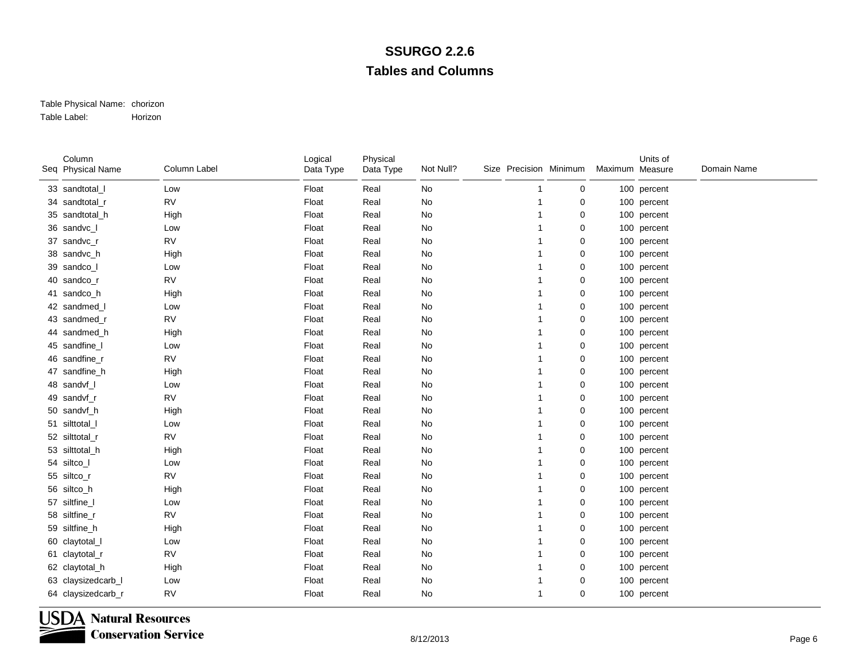#### Table Physical Name: chorizon Table Label:Horizon

| Column<br>Seq Physical Name | Column Label | Logical<br>Data Type | Physical<br>Data Type | Not Null?     | Size Precision Minimum |   | Maximum Measure | Units of    | Domain Name |
|-----------------------------|--------------|----------------------|-----------------------|---------------|------------------------|---|-----------------|-------------|-------------|
| 33 sandtotal_I              | Low          | Float                | Real                  | No            |                        | 0 |                 | 100 percent |             |
| 34 sandtotal_r              | <b>RV</b>    | Float                | Real                  | No            |                        | 0 |                 | 100 percent |             |
| 35 sandtotal_h              | High         | Float                | Real                  | No            |                        | 0 |                 | 100 percent |             |
| 36 sandvc_l                 | Low          | Float                | Real                  | $\mathsf{No}$ |                        | 0 |                 | 100 percent |             |
| 37 sandvc_r                 | <b>RV</b>    | Float                | Real                  | No            |                        | 0 |                 | 100 percent |             |
| 38 sandvc_h                 | High         | Float                | Real                  | No            |                        | 0 |                 | 100 percent |             |
| 39 sandco_l                 | Low          | Float                | Real                  | No            |                        | 0 |                 | 100 percent |             |
| 40 sandco_r                 | <b>RV</b>    | Float                | Real                  | No            |                        | 0 |                 | 100 percent |             |
| 41 sandco_h                 | High         | Float                | Real                  | No            |                        | 0 |                 | 100 percent |             |
| 42 sandmed_l                | Low          | Float                | Real                  | No            |                        | 0 |                 | 100 percent |             |
| 43 sandmed r                | <b>RV</b>    | Float                | Real                  | No            |                        | 0 |                 | 100 percent |             |
| 44 sandmed h                | High         | Float                | Real                  | No            |                        | 0 |                 | 100 percent |             |
| 45 sandfine_I               | Low          | Float                | Real                  | $\mathsf{No}$ |                        | 0 |                 | 100 percent |             |
| 46 sandfine_r               | <b>RV</b>    | Float                | Real                  | $\mathsf{No}$ |                        | 0 |                 | 100 percent |             |
| 47 sandfine_h               | High         | Float                | Real                  | No            |                        | 0 |                 | 100 percent |             |
| 48 sandvf                   | Low          | Float                | Real                  | No            |                        | 0 |                 | 100 percent |             |
| 49 sandvf r                 | <b>RV</b>    | Float                | Real                  | No            |                        | 0 |                 | 100 percent |             |
| 50 sandvf_h                 | High         | Float                | Real                  | $\mathsf{No}$ |                        | 0 |                 | 100 percent |             |
| 51 silttotal_l              | Low          | Float                | Real                  | No            |                        | 0 |                 | 100 percent |             |
| 52 silttotal_r              | <b>RV</b>    | Float                | Real                  | No            |                        | 0 |                 | 100 percent |             |
| 53 silttotal_h              | High         | Float                | Real                  | No            |                        | 0 |                 | 100 percent |             |
| 54 siltco_l                 | Low          | Float                | Real                  | No            |                        | 0 |                 | 100 percent |             |
| 55 siltco_r                 | <b>RV</b>    | Float                | Real                  | No            |                        | 0 |                 | 100 percent |             |
| 56 siltco_h                 | High         | Float                | Real                  | No            |                        | 0 |                 | 100 percent |             |
| 57 siltfine_l               | Low          | Float                | Real                  | No            |                        | 0 |                 | 100 percent |             |
| 58 siltfine_r               | <b>RV</b>    | Float                | Real                  | No            |                        | 0 |                 | 100 percent |             |
| 59 siltfine_h               | High         | Float                | Real                  | $\mathsf{No}$ |                        | 0 |                 | 100 percent |             |
| 60 claytotal_l              | Low          | Float                | Real                  | No            |                        | 0 |                 | 100 percent |             |
| 61 claytotal_r              | <b>RV</b>    | Float                | Real                  | No            |                        | 0 |                 | 100 percent |             |
| 62 claytotal_h              | High         | Float                | Real                  | No            |                        | 0 |                 | 100 percent |             |
| 63 claysizedcarb_l          | Low          | Float                | Real                  | No            |                        | 0 |                 | 100 percent |             |
| 64 claysizedcarb_r          | <b>RV</b>    | Float                | Real                  | No            | -1                     | 0 |                 | 100 percent |             |

**USDA Natural Resources**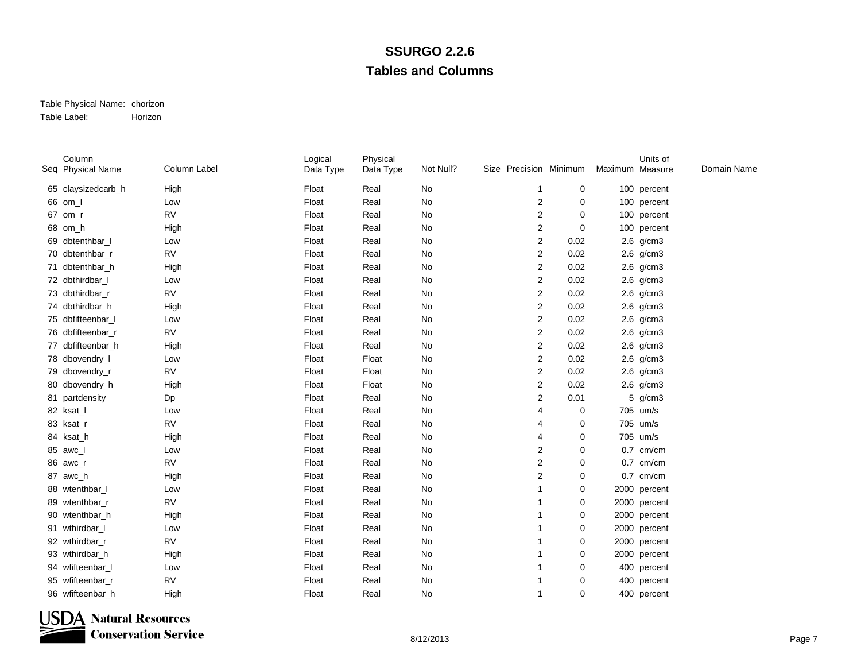#### Table Physical Name: chorizon Table Label:Horizon

| Column<br>Seq Physical Name | Column Label | Logical<br>Data Type | Physical<br>Data Type | Not Null?     | Size Precision Minimum  |             | Maximum Measure | Units of     | Domain Name |
|-----------------------------|--------------|----------------------|-----------------------|---------------|-------------------------|-------------|-----------------|--------------|-------------|
| 65 claysizedcarb_h          | High         | Float                | Real                  | No            |                         | 0           |                 | 100 percent  |             |
| 66 om_l                     | Low          | Float                | Real                  | No            | 2                       | 0           |                 | 100 percent  |             |
| 67 om r                     | <b>RV</b>    | Float                | Real                  | No            | 2                       | 0           |                 | 100 percent  |             |
| 68 om_h                     | High         | Float                | Real                  | $\mathsf{No}$ | 2                       | $\mathbf 0$ |                 | 100 percent  |             |
| 69 dbtenthbar_l             | Low          | Float                | Real                  | No            | 2                       | 0.02        |                 | 2.6 g/cm3    |             |
| 70 dbtenthbar_r             | <b>RV</b>    | Float                | Real                  | No            | 2                       | 0.02        |                 | 2.6 g/cm3    |             |
| 71 dbtenthbar_h             | High         | Float                | Real                  | No            | 2                       | 0.02        |                 | 2.6 g/cm3    |             |
| 72 dbthirdbar_l             | Low          | Float                | Real                  | No            | 2                       | 0.02        |                 | 2.6 g/cm3    |             |
| 73 dbthirdbar_r             | <b>RV</b>    | Float                | Real                  | No            | 2                       | 0.02        |                 | 2.6 g/cm3    |             |
| 74 dbthirdbar_h             | High         | Float                | Real                  | No            | 2                       | 0.02        |                 | 2.6 g/cm3    |             |
| 75 dbfifteenbar I           | Low          | Float                | Real                  | No            | 2                       | 0.02        |                 | 2.6 g/cm3    |             |
| 76 dbfifteenbar_r           | <b>RV</b>    | Float                | Real                  | No            | 2                       | 0.02        |                 | 2.6 g/cm3    |             |
| 77 dbfifteenbar_h           | High         | Float                | Real                  | $\mathsf{No}$ | 2                       | 0.02        |                 | 2.6 g/cm3    |             |
| 78 dbovendry_I              | Low          | Float                | Float                 | No            | 2                       | 0.02        |                 | 2.6 g/cm3    |             |
| 79 dbovendry_r              | <b>RV</b>    | Float                | Float                 | No            | 2                       | 0.02        |                 | 2.6 g/cm3    |             |
| 80 dbovendry_h              | High         | Float                | Float                 | No            | 2                       | 0.02        |                 | $2.6$ g/cm3  |             |
| 81 partdensity              | Dp           | Float                | Real                  | No            | 2                       | 0.01        |                 | 5 g/cm3      |             |
| 82 ksat_l                   | Low          | Float                | Real                  | $\mathsf{No}$ | 4                       | 0           |                 | 705 um/s     |             |
| 83 ksat_r                   | <b>RV</b>    | Float                | Real                  | No            |                         | 0           |                 | 705 um/s     |             |
| 84 ksat_h                   | High         | Float                | Real                  | No            | 4                       | 0           |                 | 705 um/s     |             |
| 85 awc_l                    | Low          | Float                | Real                  | No            | 2                       | 0           |                 | $0.7$ cm/cm  |             |
| 86 awc_r                    | <b>RV</b>    | Float                | Real                  | No            | $\overline{\mathbf{c}}$ | 0           |                 | $0.7$ cm/cm  |             |
| 87 awc_h                    | High         | Float                | Real                  | No            | $\overline{\mathbf{c}}$ | 0           |                 | $0.7$ cm/cm  |             |
| 88 wtenthbar_l              | Low          | Float                | Real                  | No            |                         | 0           |                 | 2000 percent |             |
| 89 wtenthbar_r              | <b>RV</b>    | Float                | Real                  | No            |                         | 0           |                 | 2000 percent |             |
| 90 wtenthbar h              | High         | Float                | Real                  | No            |                         | 0           |                 | 2000 percent |             |
| 91 wthirdbar_l              | Low          | Float                | Real                  | $\mathsf{No}$ |                         | 0           |                 | 2000 percent |             |
| 92 wthirdbar_r              | <b>RV</b>    | Float                | Real                  | No            |                         | 0           |                 | 2000 percent |             |
| 93 wthirdbar_h              | High         | Float                | Real                  | No            |                         | 0           |                 | 2000 percent |             |
| 94 wfifteenbar_l            | Low          | Float                | Real                  | No            |                         | 0           |                 | 400 percent  |             |
| 95 wfifteenbar_r            | <b>RV</b>    | Float                | Real                  | No            |                         | 0           |                 | 400 percent  |             |
| 96 wfifteenbar_h            | High         | Float                | Real                  | No            | 1                       | $\Omega$    |                 | 400 percent  |             |



**USDA Natural Resources** 

**Conservation Service**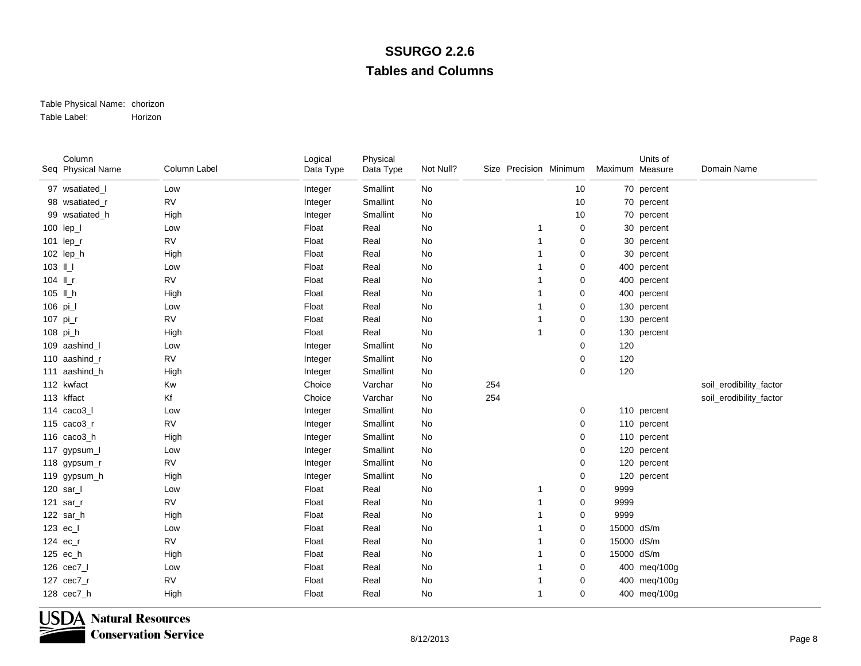#### Table Physical Name: chorizon Table Label:Horizon

|          | Column<br>Seq Physical Name | Column Label | Logical<br>Data Type | Physical<br>Data Type | Not Null? |     | Size Precision Minimum |             | Maximum Measure | Units of     | Domain Name             |
|----------|-----------------------------|--------------|----------------------|-----------------------|-----------|-----|------------------------|-------------|-----------------|--------------|-------------------------|
|          | 97 wsatiated_l              | Low          | Integer              | Smallint              | No        |     |                        | 10          |                 | 70 percent   |                         |
|          | 98 wsatiated_r              | <b>RV</b>    | Integer              | Smallint              | No        |     |                        | 10          |                 | 70 percent   |                         |
|          | 99 wsatiated_h              | High         | Integer              | Smallint              | No        |     |                        | 10          |                 | 70 percent   |                         |
|          | 100 lep_l                   | Low          | Float                | Real                  | No        |     |                        | 0           |                 | 30 percent   |                         |
|          | 101 lep_r                   | <b>RV</b>    | Float                | Real                  | No        |     |                        | 0           |                 | 30 percent   |                         |
|          | 102 lep_h                   | High         | Float                | Real                  | No        |     |                        | 0           |                 | 30 percent   |                         |
| 103 IL   |                             | Low          | Float                | Real                  | No        |     |                        | 0           |                 | 400 percent  |                         |
| 104 ILr  |                             | <b>RV</b>    | Float                | Real                  | No        |     |                        | 0           |                 | 400 percent  |                         |
|          | 105 II_h                    | High         | Float                | Real                  | No        |     |                        | 0           |                 | 400 percent  |                         |
| 106 pi_l |                             | Low          | Float                | Real                  | No        |     |                        | 0           |                 | 130 percent  |                         |
|          | 107 pi_r                    | <b>RV</b>    | Float                | Real                  | No        |     |                        | 0           |                 | 130 percent  |                         |
|          | 108 pi_h                    | High         | Float                | Real                  | No        |     | 1                      | 0           |                 | 130 percent  |                         |
|          | 109 aashind_l               | Low          | Integer              | Smallint              | No        |     |                        | 0           | 120             |              |                         |
|          | 110 aashind_r               | <b>RV</b>    | Integer              | Smallint              | No        |     |                        | 0           | 120             |              |                         |
|          | 111 aashind_h               | High         | Integer              | Smallint              | No        |     |                        | 0           | 120             |              |                         |
|          | 112 kwfact                  | Kw           | Choice               | Varchar               | No        | 254 |                        |             |                 |              | soil_erodibility_factor |
|          | 113 kffact                  | Kf           | Choice               | Varchar               | No        | 254 |                        |             |                 |              | soil_erodibility_factor |
|          | 114 $caco3$                 | Low          | Integer              | Smallint              | No        |     |                        | 0           |                 | 110 percent  |                         |
|          | 115 caco3_r                 | <b>RV</b>    | Integer              | Smallint              | No        |     |                        | 0           |                 | 110 percent  |                         |
|          | 116 caco3_h                 | High         | Integer              | Smallint              | No        |     |                        | 0           |                 | 110 percent  |                         |
|          | 117 gypsum_l                | Low          | Integer              | Smallint              | No        |     |                        | 0           |                 | 120 percent  |                         |
|          | 118 gypsum_r                | <b>RV</b>    | Integer              | Smallint              | No        |     |                        | 0           |                 | 120 percent  |                         |
|          | 119 gypsum_h                | High         | Integer              | Smallint              | No        |     |                        | 0           |                 | 120 percent  |                         |
|          | 120 sar_l                   | Low          | Float                | Real                  | No        |     |                        | 0           | 9999            |              |                         |
|          | 121 sar_r                   | <b>RV</b>    | Float                | Real                  | No        |     |                        | 0           | 9999            |              |                         |
|          | 122 sar_h                   | High         | Float                | Real                  | No        |     |                        | 0           | 9999            |              |                         |
|          | 123 ec_l                    | Low          | Float                | Real                  | No        |     |                        | 0           | 15000 dS/m      |              |                         |
|          | 124 ec_r                    | <b>RV</b>    | Float                | Real                  | No        |     |                        | 0           | 15000 dS/m      |              |                         |
|          | 125 ec_h                    | High         | Float                | Real                  | No        |     |                        | 0           | 15000 dS/m      |              |                         |
|          | 126 cec7_l                  | Low          | Float                | Real                  | No        |     |                        | 0           |                 | 400 meg/100g |                         |
|          | 127 cec7_r                  | <b>RV</b>    | Float                | Real                  | No        |     |                        | 0           |                 | 400 meg/100g |                         |
|          | 128 cec7_h                  | High         | Float                | Real                  | No        |     | 1                      | $\mathbf 0$ |                 | 400 meg/100g |                         |

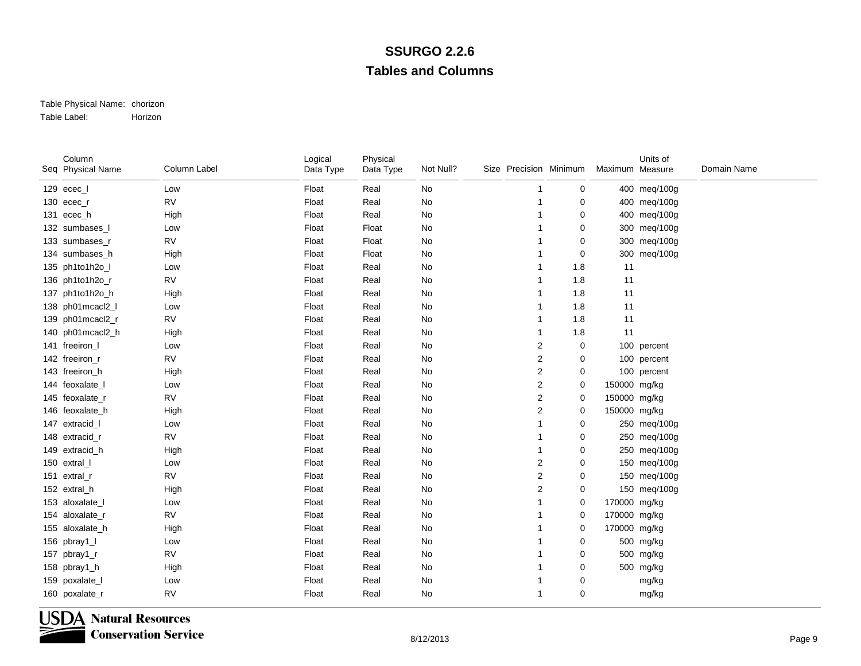#### Table Physical Name: chorizon Table Label:Horizon

| Column<br>Seq Physical Name | Column Label | Logical<br>Data Type | Physical<br>Data Type | Not Null?     | Size Precision Minimum |                |             | Maximum Measure | Units of     | Domain Name |
|-----------------------------|--------------|----------------------|-----------------------|---------------|------------------------|----------------|-------------|-----------------|--------------|-------------|
| 129 ecec_l                  | Low          | Float                | Real                  | No            |                        |                | 0           |                 | 400 meg/100g |             |
| 130 ecec_r                  | <b>RV</b>    | Float                | Real                  | No            |                        |                | 0           |                 | 400 meg/100g |             |
| 131 ecec_h                  | High         | Float                | Real                  | No            |                        |                | 0           |                 | 400 meg/100g |             |
| 132 sumbases I              | Low          | Float                | Float                 | No            |                        |                | 0           |                 | 300 meg/100g |             |
| 133 sumbases_r              | <b>RV</b>    | Float                | Float                 | $\mathsf{No}$ |                        |                | $\mathbf 0$ |                 | 300 meg/100g |             |
| 134 sumbases_h              | High         | Float                | Float                 | No            |                        |                | 0           |                 | 300 meg/100g |             |
| 135 ph1to1h2o_l             | Low          | Float                | Real                  | No            |                        |                | 1.8         | 11              |              |             |
| 136 ph1to1h2o_r             | <b>RV</b>    | Float                | Real                  | No            |                        |                | 1.8         | 11              |              |             |
| 137 ph1to1h2o_h             | High         | Float                | Real                  | No            |                        |                | 1.8         | 11              |              |             |
| 138 ph01mcacl2_l            | Low          | Float                | Real                  | No            |                        |                | 1.8         | 11              |              |             |
| 139 ph01mcacl2_r            | <b>RV</b>    | Float                | Real                  | No            |                        |                | 1.8         | 11              |              |             |
| 140 ph01mcacl2_h            | High         | Float                | Real                  | No            |                        |                | 1.8         | 11              |              |             |
| 141 freeiron_I              | Low          | Float                | Real                  | No            |                        | 2              | 0           |                 | 100 percent  |             |
| 142 freeiron_r              | <b>RV</b>    | Float                | Real                  | No            |                        | $\overline{2}$ | 0           |                 | 100 percent  |             |
| 143 freeiron h              | High         | Float                | Real                  | No            |                        | $\overline{2}$ | 0           |                 | 100 percent  |             |
| 144 feoxalate_I             | Low          | Float                | Real                  | No            |                        | $\overline{2}$ | 0           | 150000 mg/kg    |              |             |
| 145 feoxalate_r             | <b>RV</b>    | Float                | Real                  | No            |                        | 2              | $\mathbf 0$ | 150000 mg/kg    |              |             |
| 146 feoxalate_h             | High         | Float                | Real                  | No            |                        | $\overline{2}$ | 0           | 150000 mg/kg    |              |             |
| 147 extracid_I              | Low          | Float                | Real                  | No            |                        |                | 0           |                 | 250 meg/100g |             |
| 148 extracid r              | <b>RV</b>    | Float                | Real                  | No            |                        |                | 0           |                 | 250 meg/100g |             |
| 149 extracid_h              | High         | Float                | Real                  | No            |                        |                | 0           |                 | 250 meg/100g |             |
| 150 extral_I                | Low          | Float                | Real                  | $\mathsf{No}$ |                        | 2              | $\mathbf 0$ |                 | 150 meg/100g |             |
| 151 extral_r                | <b>RV</b>    | Float                | Real                  | No            |                        | $\overline{c}$ | 0           |                 | 150 meg/100g |             |
| 152 extral_h                | High         | Float                | Real                  | No            |                        | $\overline{2}$ | 0           |                 | 150 meg/100g |             |
| 153 aloxalate_I             | Low          | Float                | Real                  | No            |                        |                | 0           | 170000 mg/kg    |              |             |
| 154 aloxalate_r             | <b>RV</b>    | Float                | Real                  | No            |                        |                | 0           | 170000 mg/kg    |              |             |
| 155 aloxalate_h             | High         | Float                | Real                  | No            |                        |                | $\mathbf 0$ | 170000 mg/kg    |              |             |
| 156 pbray1_l                | Low          | Float                | Real                  | No            |                        |                | $\mathbf 0$ |                 | 500 mg/kg    |             |
| 157 pbray1_r                | <b>RV</b>    | Float                | Real                  | No            |                        |                | 0           |                 | 500 mg/kg    |             |
| 158 pbray1_h                | High         | Float                | Real                  | No            |                        |                | 0           |                 | 500 mg/kg    |             |
| 159 poxalate_l              | Low          | Float                | Real                  | No            |                        |                | 0           |                 | mg/kg        |             |
| 160 poxalate_r              | <b>RV</b>    | Float                | Real                  | No            |                        |                | $\mathbf 0$ |                 | mg/kg        |             |

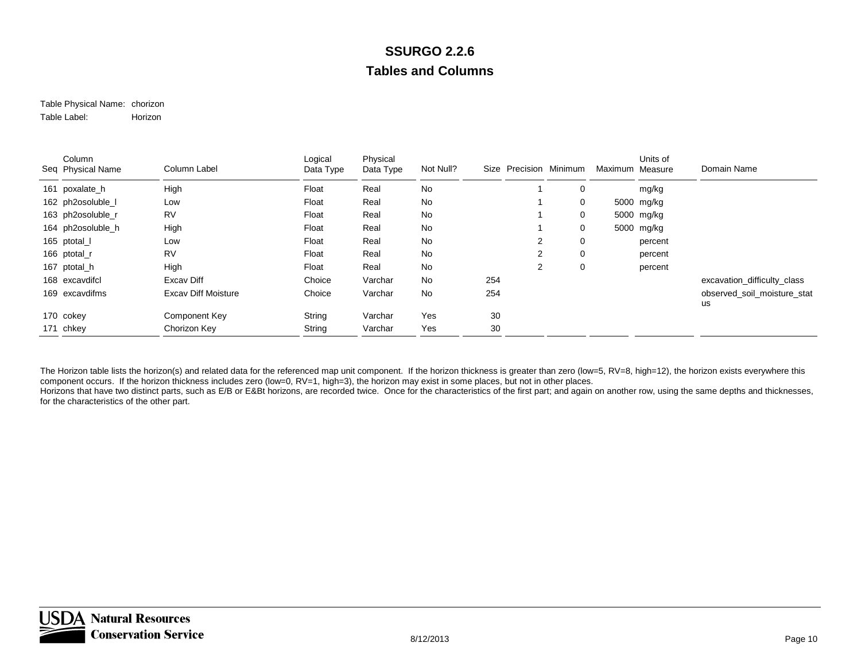#### Table Physical Name: chorizon Table Label:Horizon

| Column<br>Seq Physical Name | Column Label               | Logical<br>Data Type | Physical<br>Data Type | Not Null? | Size |                | Precision Minimum | Maximum Measure | Units of   | Domain Name                 |
|-----------------------------|----------------------------|----------------------|-----------------------|-----------|------|----------------|-------------------|-----------------|------------|-----------------------------|
| 161 poxalate_h              | High                       | Float                | Real                  | No        |      |                | 0                 |                 | mg/kg      |                             |
| 162 ph2osoluble_l           | Low                        | Float                | Real                  | No        |      |                | 0                 |                 | 5000 mg/kg |                             |
| 163 ph2osoluble_r           | <b>RV</b>                  | Float                | Real                  | No        |      |                | 0                 |                 | 5000 mg/kg |                             |
| 164 ph2osoluble h           | High                       | Float                | Real                  | No        |      |                | 0                 |                 | 5000 mg/kg |                             |
| 165 ptotal_l                | Low                        | Float                | Real                  | No        |      | $\overline{2}$ | 0                 |                 | percent    |                             |
| 166 ptotal_r                | <b>RV</b>                  | Float                | Real                  | No        |      | 2              | 0                 |                 | percent    |                             |
| 167 ptotal_h                | High                       | Float                | Real                  | No        |      | $\overline{2}$ | 0                 |                 | percent    |                             |
| 168 excavdifcl              | Excay Diff                 | Choice               | Varchar               | No        | 254  |                |                   |                 |            | excavation_difficulty_class |
| 169 excavdifms              | <b>Excav Diff Moisture</b> | Choice               | Varchar               | No        | 254  |                |                   |                 |            | observed soil moisture stat |
|                             |                            |                      |                       |           |      |                |                   |                 |            | us                          |
| 170 cokey                   | Component Key              | String               | Varchar               | Yes       | 30   |                |                   |                 |            |                             |
| 171 chkey                   | Chorizon Key               | String               | Varchar               | Yes       | 30   |                |                   |                 |            |                             |

The Horizon table lists the horizon(s) and related data for the referenced map unit component. If the horizon thickness is greater than zero (low=5, RV=8, high=12), the horizon exists everywhere this component occurs. If the horizon thickness includes zero (low=0, RV=1, high=3), the horizon may exist in some places, but not in other places. Horizons that have two distinct parts, such as E/B or E&Bt horizons, are recorded twice. Once for the characteristics of the first part; and again on another row, using the same depths and thicknesses, for the characteristics of the other part.

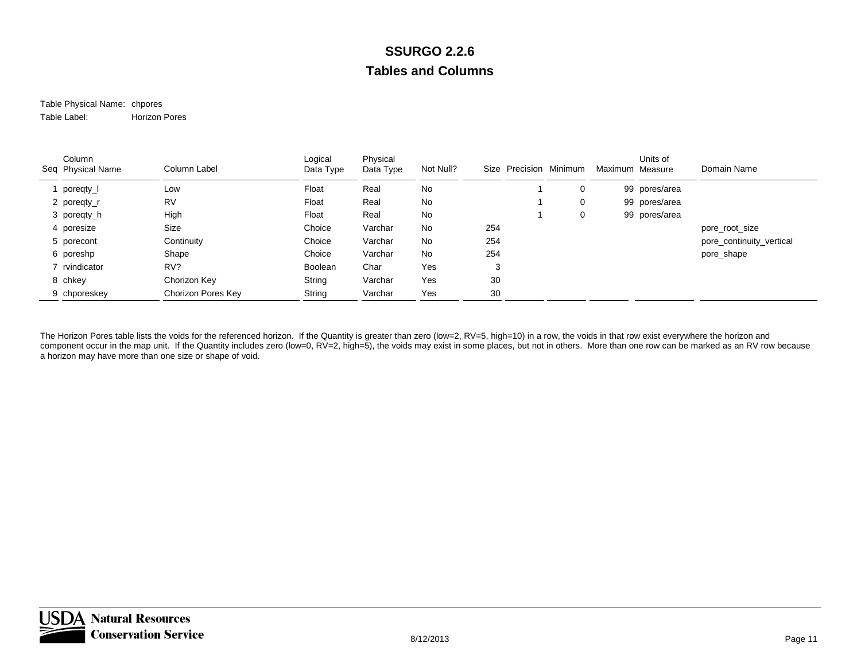#### Table Physical Name: chpores Table Label:Horizon Pores

| Column<br>Seq Physical Name | Column Label       | Logical<br>Data Type | Physical<br>Data Type | Not Null? | Size | Precision Minimum | Maximum Measure | Units of      | Domain Name              |
|-----------------------------|--------------------|----------------------|-----------------------|-----------|------|-------------------|-----------------|---------------|--------------------------|
| poregty_l                   | Low                | Float                | Real                  | No        |      | 0                 |                 | 99 pores/area |                          |
| 2 poregty_r                 | <b>RV</b>          | Float                | Real                  | No        |      | 0                 |                 | 99 pores/area |                          |
| 3 poregty_h                 | High               | Float                | Real                  | No        |      | 0                 |                 | 99 pores/area |                          |
| 4 poresize                  | Size               | Choice               | Varchar               | No        | 254  |                   |                 |               | pore_root_size           |
| 5 porecont                  | Continuity         | Choice               | Varchar               | No        | 254  |                   |                 |               | pore_continuity_vertical |
| 6 poreshp                   | Shape              | Choice               | Varchar               | No        | 254  |                   |                 |               | pore_shape               |
| 7 rvindicator               | RV?                | Boolean              | Char                  | Yes       | 3    |                   |                 |               |                          |
| 8 chkey                     | Chorizon Key       | String               | Varchar               | Yes       | 30   |                   |                 |               |                          |
| 9 chporeskey                | Chorizon Pores Key | String               | Varchar               | Yes       | 30   |                   |                 |               |                          |

The Horizon Pores table lists the voids for the referenced horizon. If the Quantity is greater than zero (low=2, RV=5, high=10) in a row, the voids in that row exist everywhere the horizon and component occur in the map unit. If the Quantity includes zero (low=0, RV=2, high=5), the voids may exist in some places, but not in others. More than one row can be marked as an RV row because a horizon may have more than one size or shape of void.

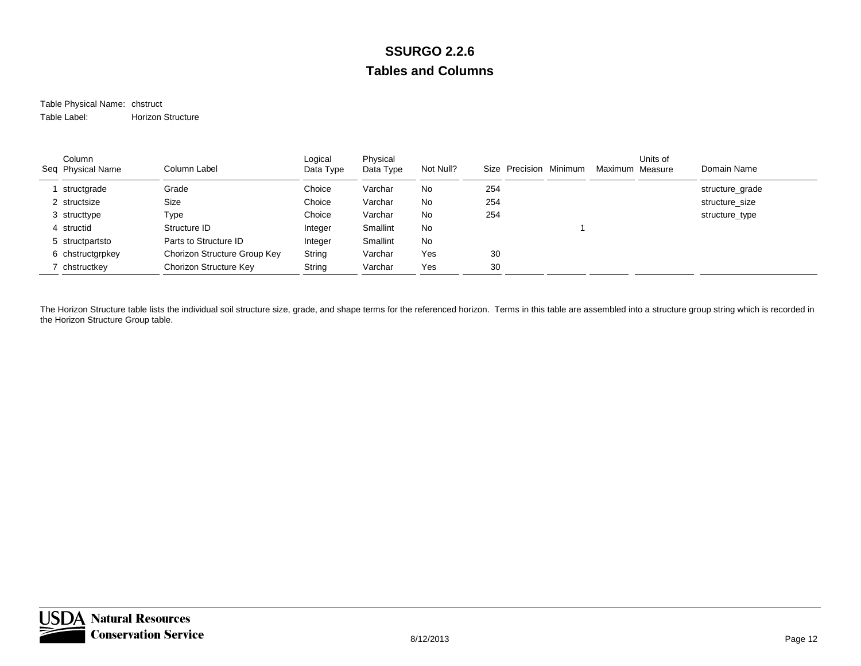#### Table Physical Name: chstruct Table Label:Horizon Structure

| Column<br>Seq Physical Name | Column Label                 | Logical<br>Data Type | Physical<br>Data Type | Not Null? | Size Precision Minimum | Maximum Measure | Units of | Domain Name     |
|-----------------------------|------------------------------|----------------------|-----------------------|-----------|------------------------|-----------------|----------|-----------------|
| structgrade                 | Grade                        | Choice               | Varchar               | No        | 254                    |                 |          | structure_grade |
| 2 structsize                | Size                         | Choice               | Varchar               | No        | 254                    |                 |          | structure size  |
| 3 structtype                | Type                         | Choice               | Varchar               | No        | 254                    |                 |          | structure_type  |
| 4 structid                  | Structure ID                 | Integer              | Smallint              | No        |                        |                 |          |                 |
| 5 structpartsto             | Parts to Structure ID        | Integer              | Smallint              | <b>No</b> |                        |                 |          |                 |
| 6 chstructgrpkey            | Chorizon Structure Group Key | String               | Varchar               | Yes       | 30                     |                 |          |                 |
| chstructkey                 | Chorizon Structure Key       | String               | Varchar               | Yes       | 30                     |                 |          |                 |

The Horizon Structure table lists the individual soil structure size, grade, and shape terms for the referenced horizon. Terms in this table are assembled into a structure group string which is recorded in the Horizon Structure Group table.

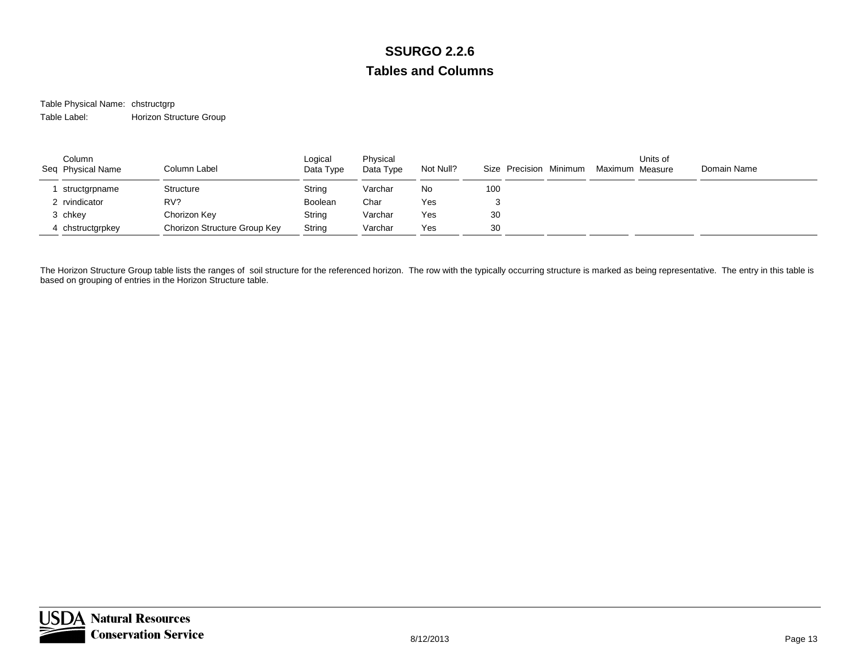Table Physical Name: chstructgrp Table Label:Horizon Structure Group

| Column<br>Seq Physical Name | Column Label                 | Logical<br>Data Type | Physical<br>Data Type | Not Null? | Size Precision Minimum | Maximum Measure | Units of | Domain Name |
|-----------------------------|------------------------------|----------------------|-----------------------|-----------|------------------------|-----------------|----------|-------------|
| structgrpname               | Structure                    | String               | Varchar               | No        | 100                    |                 |          |             |
| 2 rvindicator               | RV?                          | Boolean              | Char                  | Yes       |                        |                 |          |             |
| 3 chkey                     | Chorizon Key                 | String               | Varchar               | Yes       | 30                     |                 |          |             |
| 4 chstructgrpkey            | Chorizon Structure Group Key | String               | Varchar               | Yes       | 30                     |                 |          |             |

The Horizon Structure Group table lists the ranges of soil structure for the referenced horizon. The row with the typically occurring structure is marked as being representative. The entry in this table is based on grouping of entries in the Horizon Structure table.

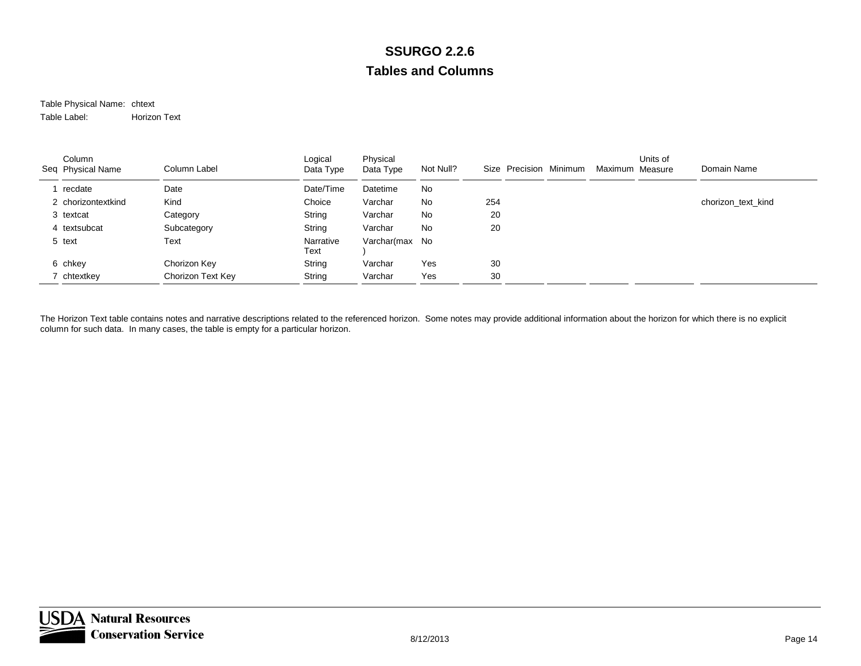#### Table Physical Name: chtext Table Label:Horizon Text

| Column<br>Seq Physical Name | Column Label      | Logical<br>Data Type | Physical<br>Data Type | Not Null? | Size Precision Minimum | Maximum Measure | Units of | Domain Name        |
|-----------------------------|-------------------|----------------------|-----------------------|-----------|------------------------|-----------------|----------|--------------------|
| recdate                     | Date              | Date/Time            | Datetime              | No        |                        |                 |          |                    |
| 2 chorizontextkind          | Kind              | Choice               | Varchar               | No        | 254                    |                 |          | chorizon_text_kind |
| 3 textcat                   | Category          | String               | Varchar               | No        | 20                     |                 |          |                    |
| 4 textsubcat                | Subcategory       | String               | Varchar               | No        | 20                     |                 |          |                    |
| 5 text                      | Text              | Narrative<br>Text    | Varchar(max No        |           |                        |                 |          |                    |
| 6 chkey                     | Chorizon Key      | String               | Varchar               | Yes       | 30                     |                 |          |                    |
| chtextkey                   | Chorizon Text Key | String               | Varchar               | Yes       | 30                     |                 |          |                    |

The Horizon Text table contains notes and narrative descriptions related to the referenced horizon. Some notes may provide additional information about the horizon for which there is no explicit column for such data. In many cases, the table is empty for a particular horizon.

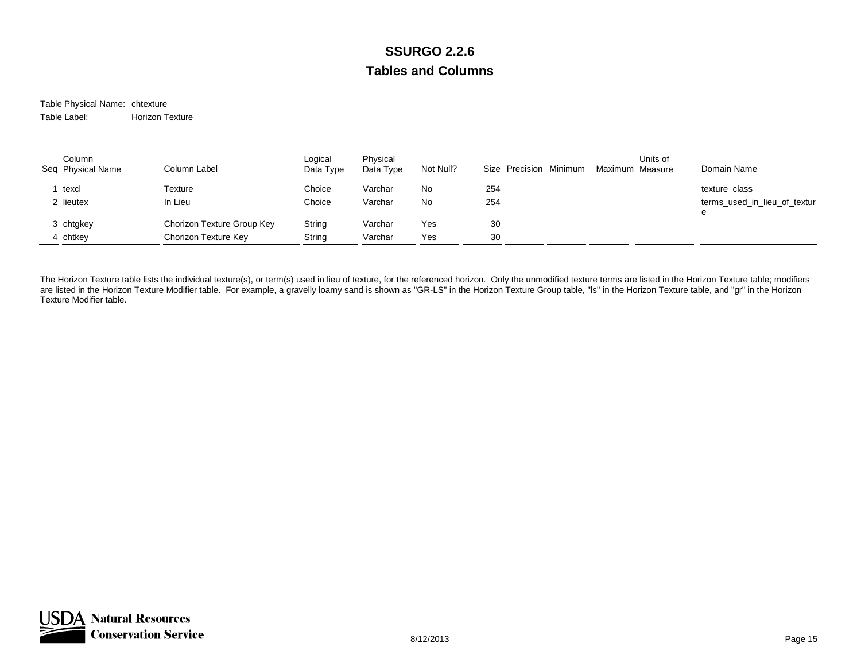#### Table Physical Name: chtexture Table Label:Horizon Texture

| Column<br>Seq Physical Name | Column Label               | Logical<br>Data Type | Physical<br>Data Type | Not Null? | Size Precision Minimum | Maximum Measure | Units of | Domain Name                       |
|-----------------------------|----------------------------|----------------------|-----------------------|-----------|------------------------|-----------------|----------|-----------------------------------|
| texcl                       | Texture                    | Choice               | Varchar               | No        | 254                    |                 |          | texture class                     |
| 2 lieutex                   | In Lieu                    | Choice               | Varchar               | No        | 254                    |                 |          | terms used in lieu of textur<br>e |
| 3 chtgkey                   | Chorizon Texture Group Key | String               | Varchar               | Yes       | 30                     |                 |          |                                   |
| 4 chtkey                    | Chorizon Texture Key       | String               | Varchar               | Yes       | 30                     |                 |          |                                   |

The Horizon Texture table lists the individual texture(s), or term(s) used in lieu of texture, for the referenced horizon. Only the unmodified texture terms are listed in the Horizon Texture table; modifiers are listed in the Horizon Texture Modifier table. For example, a gravelly loamy sand is shown as "GR-LS" in the Horizon Texture Group table, "Is" in the Horizon Texture table, and "gr" in the Horizon Texture Modifier table.

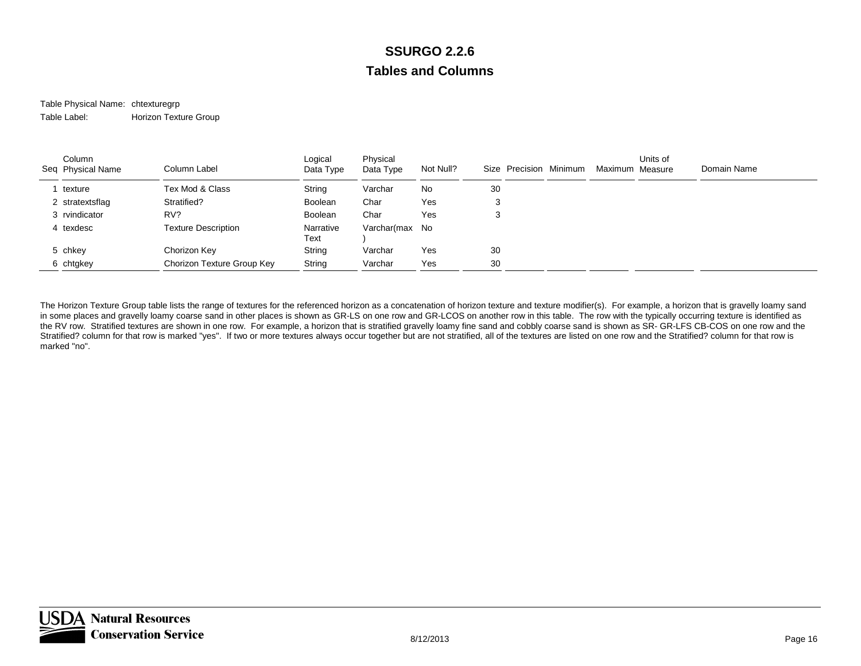#### Table Physical Name: chtexturegrp Table Label:Horizon Texture Group

| Column<br>Seq Physical Name | Column Label               | Logical<br>Data Type | Physical<br>Data Type | Not Null? | Size Precision Minimum | Maximum Measure | Units of | Domain Name |
|-----------------------------|----------------------------|----------------------|-----------------------|-----------|------------------------|-----------------|----------|-------------|
| texture                     | Tex Mod & Class            | String               | Varchar               | No        | 30                     |                 |          |             |
| 2 stratextsflag             | Stratified?                | <b>Boolean</b>       | Char                  | Yes       | 3                      |                 |          |             |
| 3 rvindicator               | RV?                        | Boolean              | Char                  | Yes       | 3                      |                 |          |             |
| 4 texdesc                   | <b>Texture Description</b> | Narrative<br>Text    | Varchar(max No        |           |                        |                 |          |             |
| 5 chkey                     | Chorizon Key               | String               | Varchar               | Yes       | 30                     |                 |          |             |
| 6 chtgkey                   | Chorizon Texture Group Key | String               | Varchar               | Yes       | 30                     |                 |          |             |

The Horizon Texture Group table lists the range of textures for the referenced horizon as a concatenation of horizon texture and texture modifier(s). For example, a horizon that is gravelly loamy sand in some places and gravelly loamy coarse sand in other places is shown as GR-LS on one row and GR-LCOS on another row in this table. The row with the typically occurring texture is identified as the RV row. Stratified textures are shown in one row. For example, a horizon that is stratified gravelly loamy fine sand and cobbly coarse sand is shown as SR- GR-LFS CB-COS on one row and the Stratified? column for that row is marked "yes". If two or more textures always occur together but are not stratified, all of the textures are listed on one row and the Stratified? column for that row is marked "no".

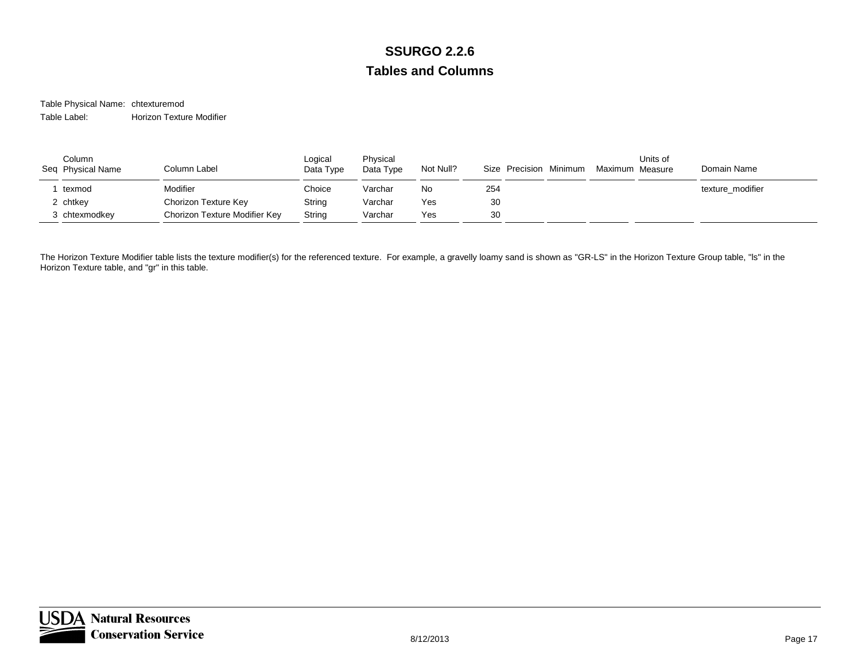Table Physical Name: chtexturemod Table Label:Horizon Texture Modifier

| Column<br>Seq Physical Name | Column Label                  | Logical<br>Data Type | Physical<br>Data Type | Not Null? | Size Precision Minimum | Units of<br>Maximum Measure | Domain Name      |
|-----------------------------|-------------------------------|----------------------|-----------------------|-----------|------------------------|-----------------------------|------------------|
| texmod                      | Modifier                      | Choice               | Varchar               | No        | 254                    |                             | texture modifier |
| 2 chtkey                    | Chorizon Texture Key          | String               | Varchar               | Yes       | 30                     |                             |                  |
| 3 chtexmodkey               | Chorizon Texture Modifier Key | String               | Varchar               | Yes       | 30                     |                             |                  |

The Horizon Texture Modifier table lists the texture modifier(s) for the referenced texture. For example, a gravelly loamy sand is shown as "GR-LS" in the Horizon Texture Group table, "Is" in the Horizon Texture table, and "gr" in this table.

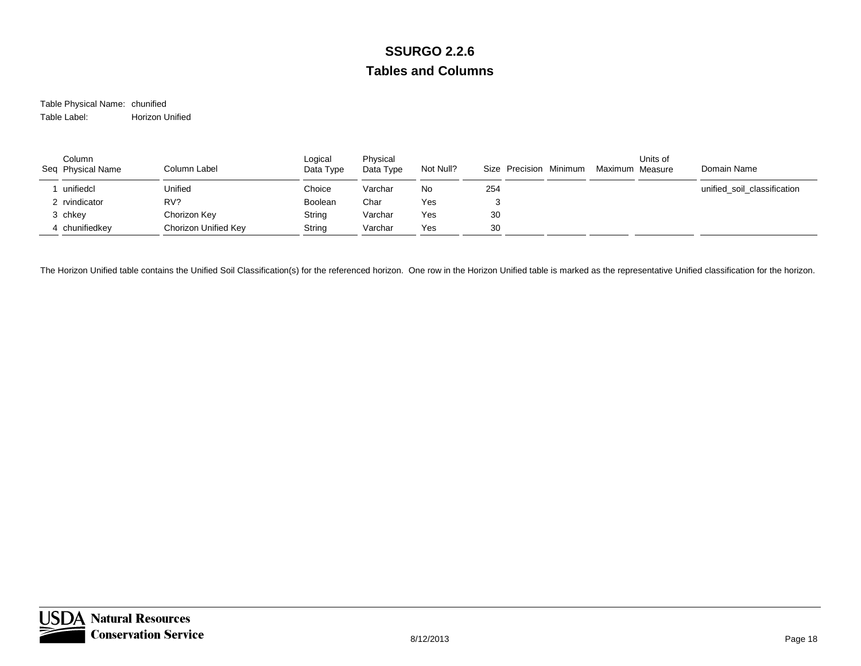Table Physical Name: chunified Table Label:Horizon Unified

| Column<br>Seq Physical Name | Column Label         | Logical<br>Data Type | Physical<br>Data Type | Not Null? | Size Precision Minimum | Maximum Measure | Units of | Domain Name                 |
|-----------------------------|----------------------|----------------------|-----------------------|-----------|------------------------|-----------------|----------|-----------------------------|
| unifiedcl                   | Unified              | Choice               | Varchar               | No        | 254                    |                 |          | unified soil classification |
| 2 rvindicator               | RV?                  | Boolean              | Char                  | Yes       |                        |                 |          |                             |
| 3 chkey                     | Chorizon Key         | String               | Varchar               | Yes       | 30                     |                 |          |                             |
| 4 chunifiedkey              | Chorizon Unified Key | String               | Varchar               | Yes       | 30                     |                 |          |                             |

The Horizon Unified table contains the Unified Soil Classification(s) for the referenced horizon. One row in the Horizon Unified table is marked as the representative Unified classification for the horizon.

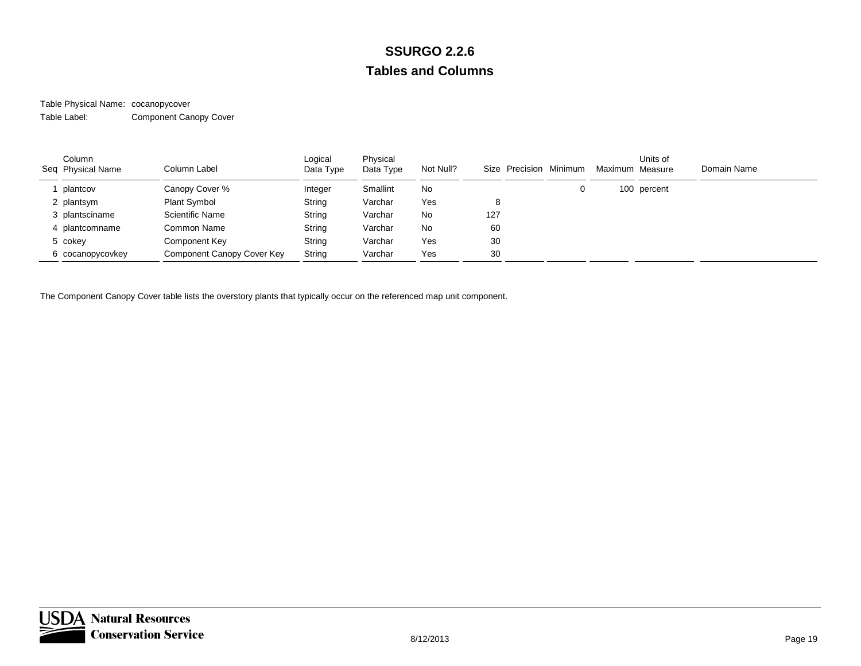#### Table Physical Name: cocanopycover Table Label:Component Canopy Cover

| Column<br>Seq Physical Name | Column Label               | Logical<br>Data Type | Physical<br>Data Type | Not Null? |     | Size Precision Minimum | Maximum Measure | Units of    | Domain Name |
|-----------------------------|----------------------------|----------------------|-----------------------|-----------|-----|------------------------|-----------------|-------------|-------------|
| plantcov                    | Canopy Cover %             | Integer              | Smallint              | No        |     | 0                      |                 | 100 percent |             |
| 2 plantsym                  | <b>Plant Symbol</b>        | String               | Varchar               | Yes       | 8   |                        |                 |             |             |
| 3 plantsciname              | <b>Scientific Name</b>     | String               | Varchar               | No        | 127 |                        |                 |             |             |
| 4 plantcomname              | Common Name                | String               | Varchar               | No        | 60  |                        |                 |             |             |
| 5 cokey                     | Component Key              | String               | Varchar               | Yes       | 30  |                        |                 |             |             |
| 6 cocanopycovkey            | Component Canopy Cover Key | String               | Varchar               | Yes       | 30  |                        |                 |             |             |

The Component Canopy Cover table lists the overstory plants that typically occur on the referenced map unit component.

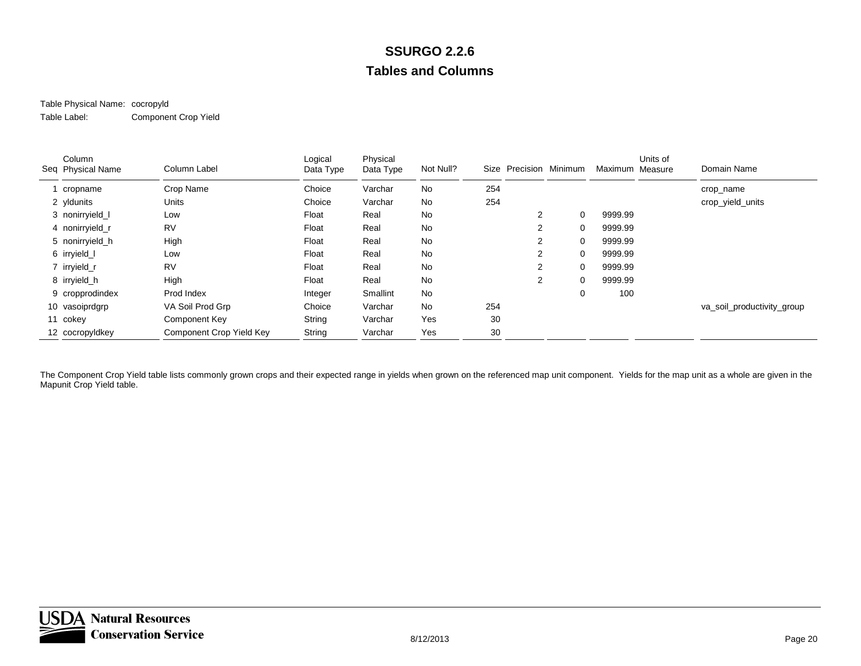#### Table Physical Name: cocropyld Table Label:Component Crop Yield

| Column<br>Seq Physical Name | Column Label             | Logical<br>Data Type | Physical<br>Data Type | Not Null? |     | Size Precision Minimum |          | Maximum Measure | Units of | Domain Name                |
|-----------------------------|--------------------------|----------------------|-----------------------|-----------|-----|------------------------|----------|-----------------|----------|----------------------------|
| 1 cropname                  | Crop Name                | Choice               | Varchar               | <b>No</b> | 254 |                        |          |                 |          | crop_name                  |
| 2 yldunits                  | Units                    | Choice               | Varchar               | No        | 254 |                        |          |                 |          | crop_yield_units           |
| 3 nonirryield I             | Low                      | Float                | Real                  | No        |     | $\overline{2}$         | 0        | 9999.99         |          |                            |
| 4 nonirryield r             | <b>RV</b>                | Float                | Real                  | No        |     | $\overline{2}$         | 0        | 9999.99         |          |                            |
| 5 nonirryield h             | High                     | Float                | Real                  | No        |     | $\overline{2}$         | 0        | 9999.99         |          |                            |
| 6 irryield_l                | Low                      | Float                | Real                  | No        |     | 2                      | $\Omega$ | 9999.99         |          |                            |
| 7 irryield_r                | <b>RV</b>                | Float                | Real                  | No        |     | $\overline{2}$         | 0        | 9999.99         |          |                            |
| 8 irryield_h                | High                     | Float                | Real                  | No        |     | $\overline{2}$         | 0        | 9999.99         |          |                            |
| 9 cropprodindex             | Prod Index               | Integer              | Smallint              | No        |     |                        | 0        | 100             |          |                            |
| 10 vasoiprdgrp              | VA Soil Prod Grp         | Choice               | Varchar               | No        | 254 |                        |          |                 |          | va_soil_productivity_group |
| 11 cokey                    | Component Key            | String               | Varchar               | Yes       | 30  |                        |          |                 |          |                            |
| 12 cocropyldkey             | Component Crop Yield Key | String               | Varchar               | Yes       | 30  |                        |          |                 |          |                            |

The Component Crop Yield table lists commonly grown crops and their expected range in yields when grown on the referenced map unit component. Yields for the map unit as a whole are given in the Mapunit Crop Yield table.

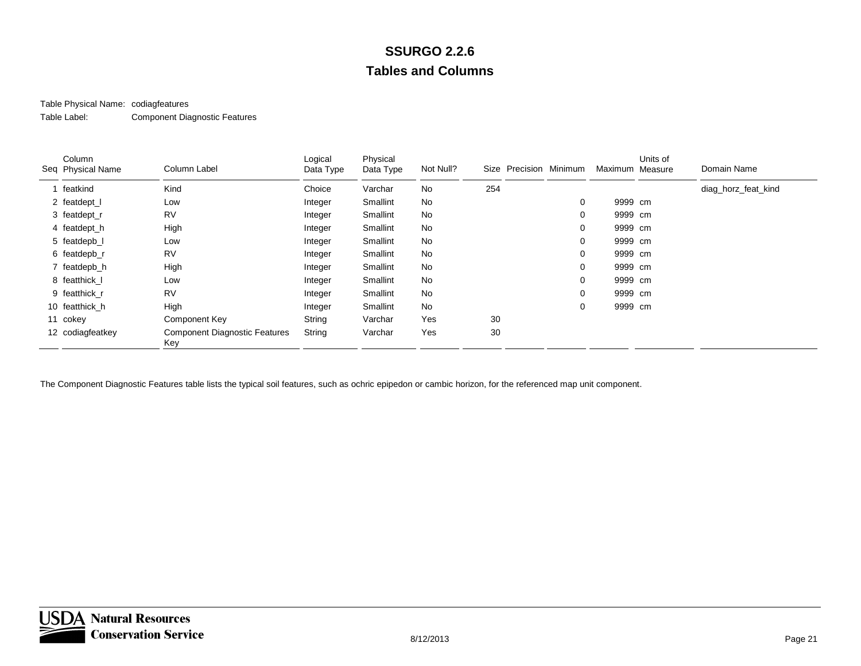### Table Physical Name: codiagfeatures

Table Label:Component Diagnostic Features

| Column<br>Seq Physical Name | Column Label                                | Logical<br>Data Type | Physical<br>Data Type | Not Null? |     | Size Precision Minimum |   | Maximum Measure | Units of | Domain Name         |
|-----------------------------|---------------------------------------------|----------------------|-----------------------|-----------|-----|------------------------|---|-----------------|----------|---------------------|
| featkind                    | Kind                                        | Choice               | Varchar               | No        | 254 |                        |   |                 |          | diag_horz_feat_kind |
| 2 featdept_l                | Low                                         | Integer              | Smallint              | No        |     |                        | 0 | 9999 cm         |          |                     |
| 3 featdept_r                | <b>RV</b>                                   | Integer              | Smallint              | No        |     |                        | 0 | 9999 cm         |          |                     |
| 4 featdept_h                | High                                        | Integer              | Smallint              | No        |     |                        | 0 | 9999 cm         |          |                     |
| 5 featdepb_l                | Low                                         | Integer              | Smallint              | No        |     |                        | 0 | 9999 cm         |          |                     |
| 6 featdepb_r                | <b>RV</b>                                   | Integer              | Smallint              | <b>No</b> |     |                        | 0 | 9999 cm         |          |                     |
| 7 featdepb_h                | High                                        | Integer              | Smallint              | No        |     |                        | 0 | 9999 cm         |          |                     |
| 8 featthick I               | Low                                         | Integer              | Smallint              | <b>No</b> |     |                        | 0 | 9999 cm         |          |                     |
| 9 featthick r               | <b>RV</b>                                   | Integer              | Smallint              | No        |     |                        | 0 | 9999 cm         |          |                     |
| 10 featthick h              | High                                        | Integer              | Smallint              | No        |     |                        | 0 | 9999 cm         |          |                     |
| 11 cokey                    | Component Key                               | String               | Varchar               | Yes       | 30  |                        |   |                 |          |                     |
| 12 codiagfeatkey            | <b>Component Diagnostic Features</b><br>Key | String               | Varchar               | Yes       | 30  |                        |   |                 |          |                     |

The Component Diagnostic Features table lists the typical soil features, such as ochric epipedon or cambic horizon, for the referenced map unit component.

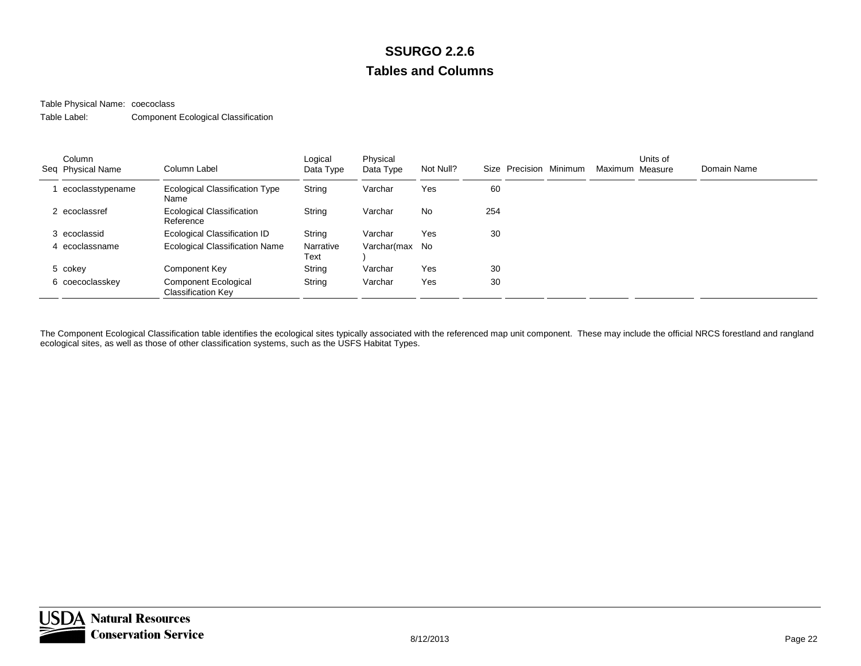Table Physical Name: coecoclass

Table Label:Component Ecological Classification

| Column<br>Seq Physical Name | Column Label                                             | Logical<br>Data Type | Physical<br>Data Type | Not Null? |     | Size Precision Minimum | Maximum Measure | Units of | Domain Name |
|-----------------------------|----------------------------------------------------------|----------------------|-----------------------|-----------|-----|------------------------|-----------------|----------|-------------|
| ecoclasstypename            | Ecological Classification Type<br>Name                   | String               | Varchar               | Yes       | 60  |                        |                 |          |             |
| 2 ecoclassref               | Ecological Classification<br>Reference                   | String               | Varchar               | No        | 254 |                        |                 |          |             |
| 3 ecoclassid                | Ecological Classification ID                             | String               | Varchar               | Yes       | 30  |                        |                 |          |             |
| 4 ecoclassname              | Ecological Classification Name                           | Narrative<br>Text    | Varchar(max No        |           |     |                        |                 |          |             |
| 5 cokey                     | Component Key                                            | String               | Varchar               | Yes       | 30  |                        |                 |          |             |
| 6 coecoclasskey             | <b>Component Ecological</b><br><b>Classification Key</b> | String               | Varchar               | Yes       | 30  |                        |                 |          |             |

The Component Ecological Classification table identifies the ecological sites typically associated with the referenced map unit component. These may include the official NRCS forestland and rangland ecological sites, as well as those of other classification systems, such as the USFS Habitat Types.

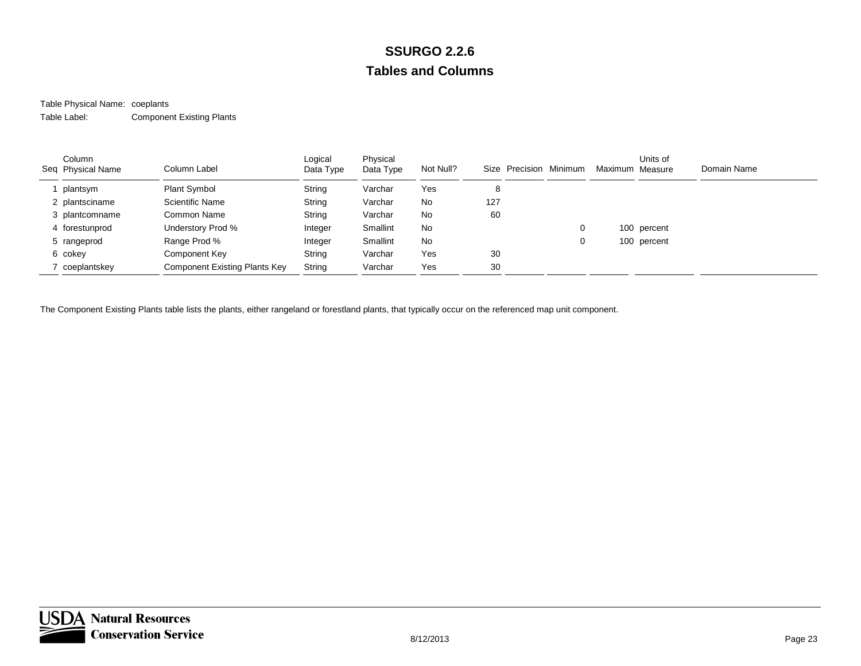#### Table Physical Name: coeplants Table Label:Component Existing Plants

| Column<br>Seq Physical Name | Column Label                  | Logical<br>Data Type | Physical<br>Data Type | Not Null? | Size Precision Minimum |   | Maximum Measure | Units of    | Domain Name |
|-----------------------------|-------------------------------|----------------------|-----------------------|-----------|------------------------|---|-----------------|-------------|-------------|
| plantsym                    | <b>Plant Symbol</b>           | String               | Varchar               | Yes       | 8                      |   |                 |             |             |
| 2 plantsciname              | Scientific Name               | String               | Varchar               | No        | 127                    |   |                 |             |             |
| 3 plantcomname              | Common Name                   | String               | Varchar               | No        | 60                     |   |                 |             |             |
| 4 forestunprod              | Understory Prod %             | Integer              | Smallint              | <b>No</b> |                        | 0 |                 | 100 percent |             |
| 5 rangeprod                 | Range Prod %                  | Integer              | Smallint              | <b>No</b> |                        | 0 |                 | 100 percent |             |
| 6 cokey                     | Component Key                 | String               | Varchar               | Yes       | 30                     |   |                 |             |             |
| coeplantskey                | Component Existing Plants Key | String               | Varchar               | Yes       | 30                     |   |                 |             |             |

The Component Existing Plants table lists the plants, either rangeland or forestland plants, that typically occur on the referenced map unit component.

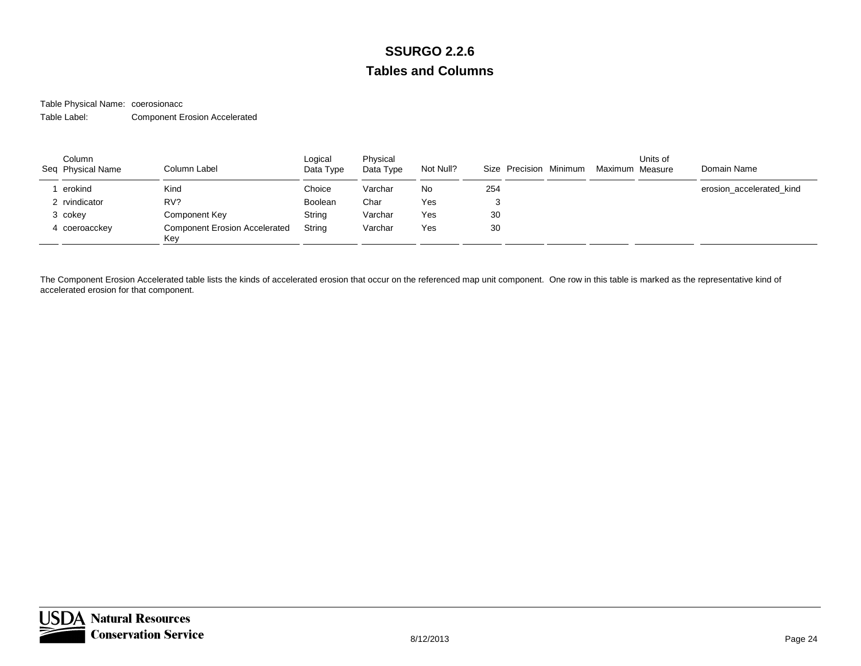Table Physical Name: coerosionacc Table Label:Component Erosion Accelerated

| Column<br>Seq Physical Name | Column Label                                | Logical<br>Data Type | Physical<br>Data Type | Not Null? | Size Precision Minimum | Maximum Measure | Units of | Domain Name              |
|-----------------------------|---------------------------------------------|----------------------|-----------------------|-----------|------------------------|-----------------|----------|--------------------------|
| erokind                     | Kind                                        | Choice               | Varchar               | No.       | 254                    |                 |          | erosion_accelerated_kind |
| 2 rvindicator               | RV?                                         | Boolean              | Char                  | Yes       |                        |                 |          |                          |
| 3 cokey                     | <b>Component Key</b>                        | String               | Varchar               | Yes       | 30                     |                 |          |                          |
| 4 coeroacckey               | <b>Component Erosion Accelerated</b><br>Key | String               | Varchar               | Yes       | 30                     |                 |          |                          |

The Component Erosion Accelerated table lists the kinds of accelerated erosion that occur on the referenced map unit component. One row in this table is marked as the representative kind of accelerated erosion for that component.

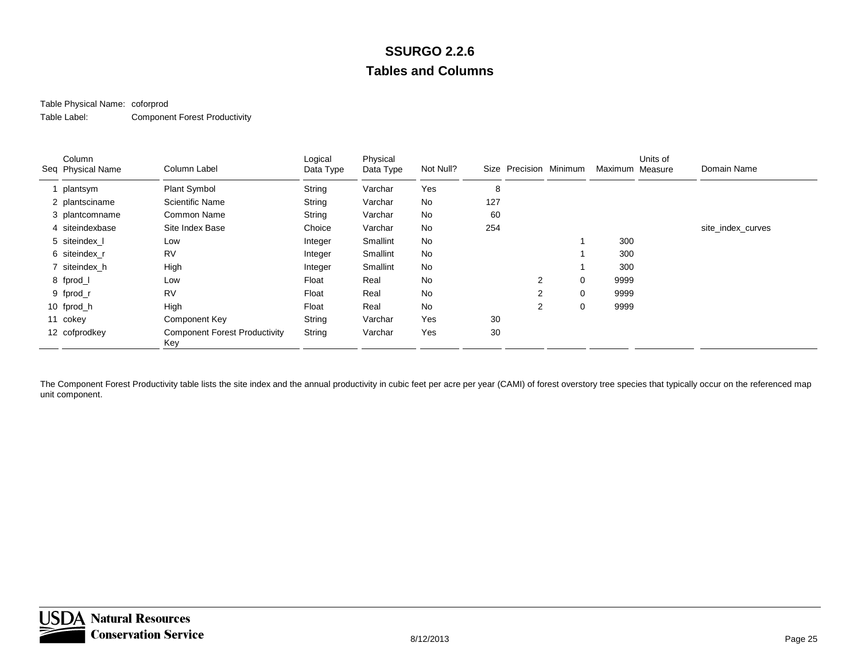### Table Physical Name: coforprod

Table Label:Component Forest Productivity

| Column<br>Seq Physical Name | Column Label                                | Logical<br>Data Type | Physical<br>Data Type | Not Null? | Size | Precision Minimum |             | Maximum Measure | Units of | Domain Name       |
|-----------------------------|---------------------------------------------|----------------------|-----------------------|-----------|------|-------------------|-------------|-----------------|----------|-------------------|
| 1 plantsym                  | Plant Symbol                                | String               | Varchar               | Yes       | 8    |                   |             |                 |          |                   |
| 2 plantsciname              | <b>Scientific Name</b>                      | String               | Varchar               | No        | 127  |                   |             |                 |          |                   |
| 3 plantcomname              | Common Name                                 | String               | Varchar               | No        | 60   |                   |             |                 |          |                   |
| 4 siteindexbase             | Site Index Base                             | Choice               | Varchar               | No        | 254  |                   |             |                 |          | site_index_curves |
| 5 siteindex I               | Low                                         | Integer              | Smallint              | No        |      |                   |             | 300             |          |                   |
| 6 siteindex r               | RV                                          | Integer              | Smallint              | No        |      |                   |             | 300             |          |                   |
| 7 siteindex_h               | High                                        | Integer              | Smallint              | No        |      |                   |             | 300             |          |                   |
| 8 fprod_l                   | Low                                         | Float                | Real                  | No        |      | 2                 | $\Omega$    | 9999            |          |                   |
| 9 fprod_r                   | <b>RV</b>                                   | Float                | Real                  | No        |      | 2                 | $\mathbf 0$ | 9999            |          |                   |
| 10 fprod_h                  | High                                        | Float                | Real                  | No        |      | $\overline{2}$    | $\mathbf 0$ | 9999            |          |                   |
| 11 cokey                    | Component Key                               | String               | Varchar               | Yes       | 30   |                   |             |                 |          |                   |
| 12 cofprodkey               | <b>Component Forest Productivity</b><br>Key | String               | Varchar               | Yes       | 30   |                   |             |                 |          |                   |

The Component Forest Productivity table lists the site index and the annual productivity in cubic feet per acre per year (CAMI) of forest overstory tree species that typically occur on the referenced map unit component.

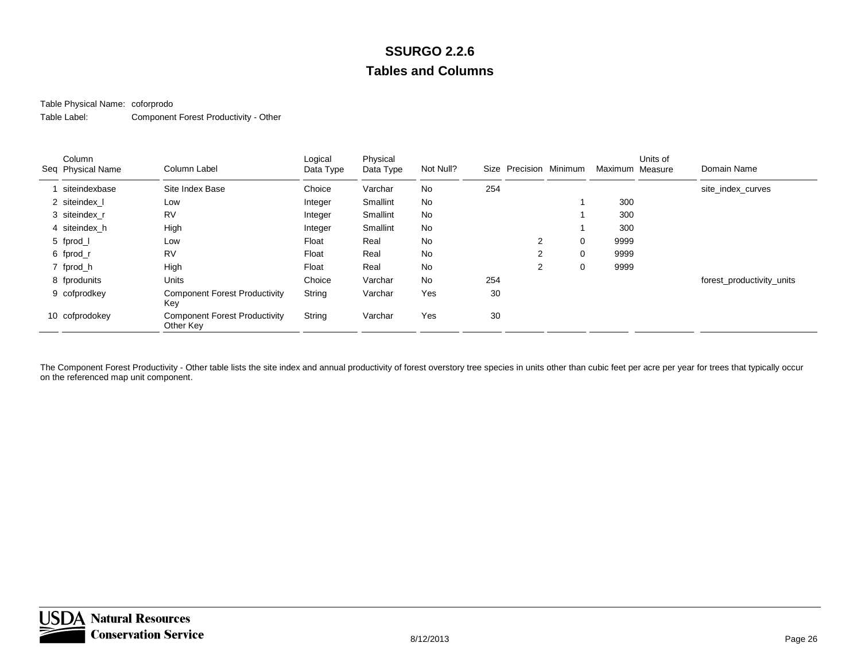### Table Physical Name: coforprodo

Table Label:Component Forest Productivity - Other

| Column<br>Seq Physical Name | Column Label                                      | Logical<br>Data Type | Physical<br>Data Type | Not Null? | Size | Precision Minimum |          | Maximum Measure | Units of | Domain Name               |
|-----------------------------|---------------------------------------------------|----------------------|-----------------------|-----------|------|-------------------|----------|-----------------|----------|---------------------------|
| siteindexbase               | Site Index Base                                   | Choice               | Varchar               | No        | 254  |                   |          |                 |          | site index curves         |
| 2 siteindex I               | Low                                               | Integer              | Smallint              | No        |      |                   |          | 300             |          |                           |
| 3 siteindex r               | <b>RV</b>                                         | Integer              | Smallint              | No        |      |                   |          | 300             |          |                           |
| 4 siteindex h               | High                                              | Integer              | Smallint              | No        |      |                   |          | 300             |          |                           |
| 5 fprod_l                   | Low                                               | Float                | Real                  | No        |      | $\overline{2}$    | $\Omega$ | 9999            |          |                           |
| 6 fprod_r                   | <b>RV</b>                                         | Float                | Real                  | No        |      | 2                 | $\Omega$ | 9999            |          |                           |
| 7 fprod_h                   | High                                              | Float                | Real                  | No        |      | 2                 | 0        | 9999            |          |                           |
| 8 fprodunits                | Units                                             | Choice               | Varchar               | No        | 254  |                   |          |                 |          | forest_productivity_units |
| 9 cofprodkey                | <b>Component Forest Productivity</b><br>Key       | String               | Varchar               | Yes       | 30   |                   |          |                 |          |                           |
| 10 cofprodokey              | <b>Component Forest Productivity</b><br>Other Key | String               | Varchar               | Yes       | 30   |                   |          |                 |          |                           |

The Component Forest Productivity - Other table lists the site index and annual productivity of forest overstory tree species in units other than cubic feet per acre per year for trees that typically occur on the referenced map unit component.

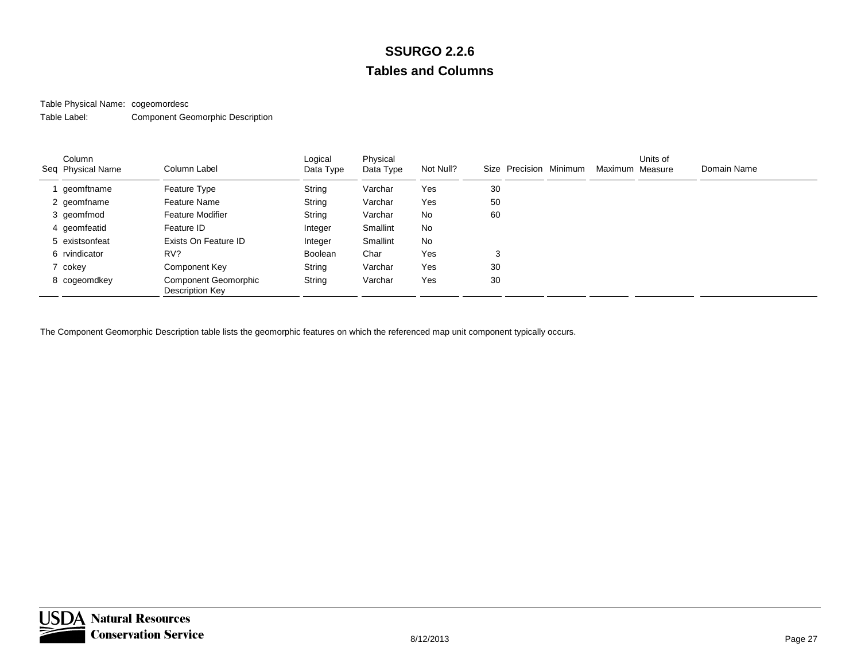### Table Physical Name: cogeomordesc

Table Label:Component Geomorphic Description

| Column<br>Seq Physical Name | Column Label                                   | Logical<br>Data Type | Physical<br>Data Type | Not Null? | Size Precision Minimum | Maximum Measure | Units of | Domain Name |
|-----------------------------|------------------------------------------------|----------------------|-----------------------|-----------|------------------------|-----------------|----------|-------------|
| geomftname                  | Feature Type                                   | String               | Varchar               | Yes       | 30                     |                 |          |             |
| 2 geomfname                 | Feature Name                                   | String               | Varchar               | Yes       | 50                     |                 |          |             |
| 3 geomfmod                  | <b>Feature Modifier</b>                        | String               | Varchar               | No        | 60                     |                 |          |             |
| 4 geomfeatid                | Feature ID                                     | Integer              | Smallint              | No        |                        |                 |          |             |
| 5 existsonfeat              | Exists On Feature ID                           | Integer              | Smallint              | No        |                        |                 |          |             |
| 6 rvindicator               | RV?                                            | Boolean              | Char                  | Yes       | 3                      |                 |          |             |
| 7 cokey                     | Component Key                                  | String               | Varchar               | Yes       | 30                     |                 |          |             |
| 8 cogeomdkey                | <b>Component Geomorphic</b><br>Description Key | String               | Varchar               | Yes       | 30                     |                 |          |             |

The Component Geomorphic Description table lists the geomorphic features on which the referenced map unit component typically occurs.

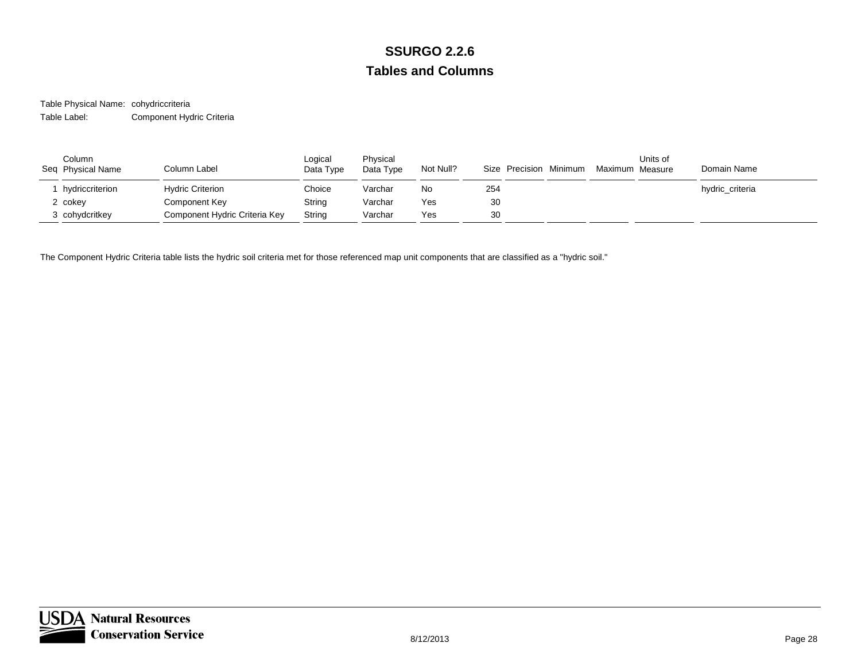Table Physical Name: cohydriccriteria Table Label:Component Hydric Criteria

| Column<br>Seq Physical Name | Column Label                  | Logical<br>Data Type | Physical<br>Data Type | Not Null? | Size Precision Minimum | Maximum Measure | Units of | Domain Name     |
|-----------------------------|-------------------------------|----------------------|-----------------------|-----------|------------------------|-----------------|----------|-----------------|
| hydriccriterion             | <b>Hydric Criterion</b>       | Choice               | Varchar               | No        | 254                    |                 |          | hydric_criteria |
| 2 cokey                     | Component Key                 | String               | Varchar               | Yes       | 30                     |                 |          |                 |
| 3 cohydcritkey              | Component Hydric Criteria Key | String               | Varchar               | Yes       | 30                     |                 |          |                 |

The Component Hydric Criteria table lists the hydric soil criteria met for those referenced map unit components that are classified as a "hydric soil."

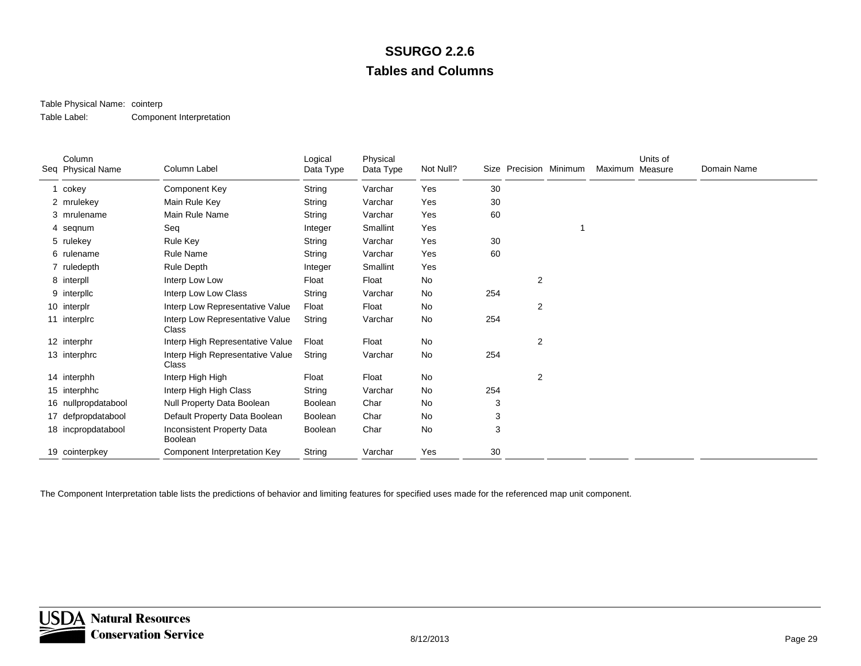### Table Physical Name: cointerp

Table Label:Component Interpretation

| Column<br>Seq Physical Name | Column Label                              | Logical<br>Data Type | Physical<br>Data Type | Not Null? |     | Size Precision Minimum | Maximum Measure | Units of | Domain Name |
|-----------------------------|-------------------------------------------|----------------------|-----------------------|-----------|-----|------------------------|-----------------|----------|-------------|
| 1 cokey                     | Component Key                             | String               | Varchar               | Yes       | 30  |                        |                 |          |             |
| 2 mrulekey                  | Main Rule Key                             | String               | Varchar               | Yes       | 30  |                        |                 |          |             |
| 3 mrulename                 | Main Rule Name                            | String               | Varchar               | Yes       | 60  |                        |                 |          |             |
| 4 seqnum                    | Seq                                       | Integer              | Smallint              | Yes       |     |                        |                 |          |             |
| 5 rulekey                   | Rule Key                                  | String               | Varchar               | Yes       | 30  |                        |                 |          |             |
| 6 rulename                  | Rule Name                                 | String               | Varchar               | Yes       | 60  |                        |                 |          |             |
| 7 ruledepth                 | Rule Depth                                | Integer              | Smallint              | Yes       |     |                        |                 |          |             |
| 8 interpll                  | Interp Low Low                            | Float                | Float                 | No        |     | 2                      |                 |          |             |
| 9 interplic                 | Interp Low Low Class                      | String               | Varchar               | No        | 254 |                        |                 |          |             |
| 10 interplr                 | Interp Low Representative Value           | Float                | Float                 | No        |     | 2                      |                 |          |             |
| 11 interplrc                | Interp Low Representative Value<br>Class  | String               | Varchar               | No        | 254 |                        |                 |          |             |
| 12 interphr                 | Interp High Representative Value          | Float                | Float                 | No        |     | $\overline{c}$         |                 |          |             |
| 13 interphrc                | Interp High Representative Value<br>Class | String               | Varchar               | No        | 254 |                        |                 |          |             |
| 14 interphh                 | Interp High High                          | Float                | Float                 | No        |     | $\overline{2}$         |                 |          |             |
| 15 interphhc                | Interp High High Class                    | String               | Varchar               | No        | 254 |                        |                 |          |             |
| 16 nullpropdatabool         | Null Property Data Boolean                | Boolean              | Char                  | No        | 3   |                        |                 |          |             |
| 17 defpropdatabool          | Default Property Data Boolean             | Boolean              | Char                  | No        | 3   |                        |                 |          |             |
| 18 incpropdatabool          | Inconsistent Property Data<br>Boolean     | Boolean              | Char                  | No        | 3   |                        |                 |          |             |
| 19 cointerpkey              | Component Interpretation Key              | String               | Varchar               | Yes       | 30  |                        |                 |          |             |

The Component Interpretation table lists the predictions of behavior and limiting features for specified uses made for the referenced map unit component.

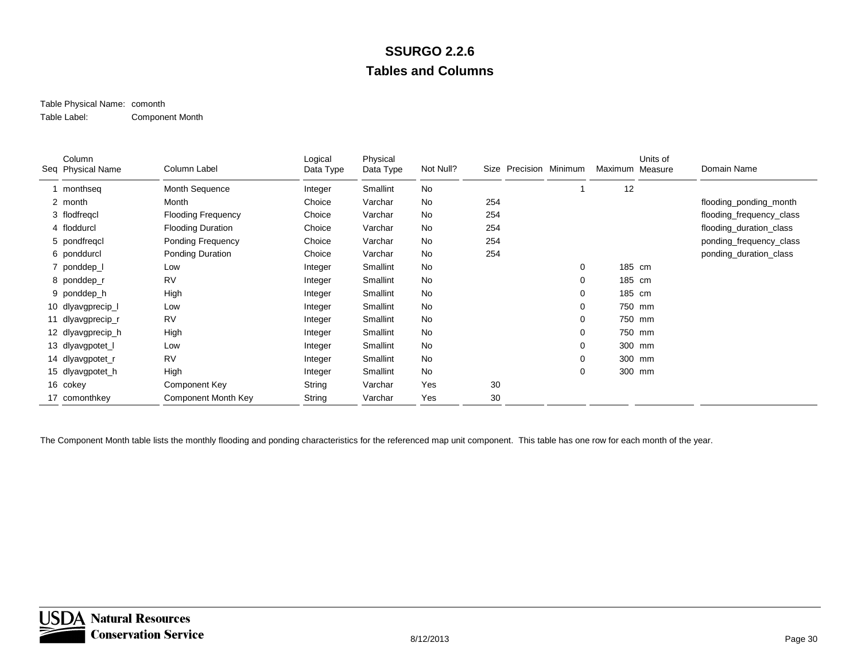#### Table Physical Name: comonth Table Label:Component Month

| Column<br>Seq Physical Name | Column Label              | Logical<br>Data Type | Physical<br>Data Type | Not Null? |     | Size Precision Minimum | Maximum | Units of<br>Measure | Domain Name              |
|-----------------------------|---------------------------|----------------------|-----------------------|-----------|-----|------------------------|---------|---------------------|--------------------------|
| monthseg                    | Month Sequence            | Integer              | Smallint              | <b>No</b> |     |                        | 12      |                     |                          |
| 2 month                     | Month                     | Choice               | Varchar               | <b>No</b> | 254 |                        |         |                     | flooding_ponding_month   |
| 3 flodfregcl                | <b>Flooding Frequency</b> | Choice               | Varchar               | No        | 254 |                        |         |                     | flooding_frequency_class |
| 4 floddurcl                 | <b>Flooding Duration</b>  | Choice               | Varchar               | No        | 254 |                        |         |                     | flooding_duration_class  |
| 5 pondfregcl                | Ponding Frequency         | Choice               | Varchar               | No        | 254 |                        |         |                     | ponding_frequency_class  |
| 6 ponddurcl                 | Ponding Duration          | Choice               | Varchar               | No        | 254 |                        |         |                     | ponding_duration_class   |
| 7 ponddep_l                 | Low                       | Integer              | Smallint              | No        |     | 0                      | 185 cm  |                     |                          |
| 8 ponddep_r                 | <b>RV</b>                 | Integer              | Smallint              | <b>No</b> |     | 0                      | 185 cm  |                     |                          |
| 9 ponddep_h                 | High                      | Integer              | Smallint              | <b>No</b> |     | 0                      | 185 cm  |                     |                          |
| 10 dlyavgprecip_I           | Low                       | Integer              | Smallint              | <b>No</b> |     | 0                      |         | 750 mm              |                          |
| 11 dlyavgprecip_r           | <b>RV</b>                 | Integer              | Smallint              | No        |     | 0                      |         | 750 mm              |                          |
| 12 dlyavgprecip_h           | High                      | Integer              | Smallint              | No        |     | 0                      |         | 750 mm              |                          |
| 13 dlyavgpotet_I            | Low                       | Integer              | Smallint              | No        |     | 0                      |         | 300 mm              |                          |
| 14 dlyavgpotet_r            | <b>RV</b>                 | Integer              | Smallint              | No        |     | 0                      |         | 300 mm              |                          |
| 15 dlyavgpotet_h            | High                      | Integer              | Smallint              | No        |     | 0                      |         | 300 mm              |                          |
| 16 cokey                    | Component Key             | String               | Varchar               | Yes       | 30  |                        |         |                     |                          |
| 17 comonthkey               | Component Month Key       | String               | Varchar               | Yes       | 30  |                        |         |                     |                          |

The Component Month table lists the monthly flooding and ponding characteristics for the referenced map unit component. This table has one row for each month of the year.

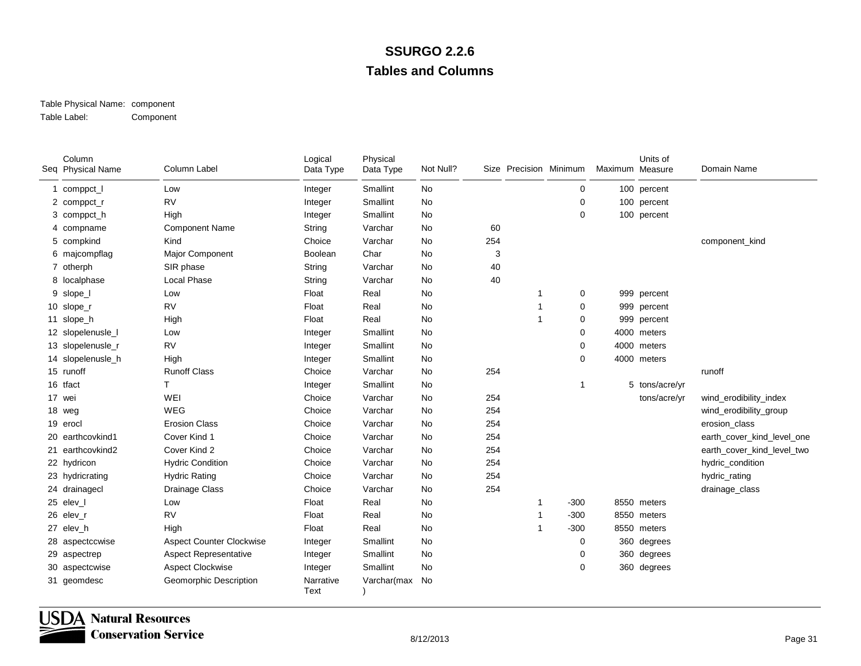#### Table Physical Name: component Table Label:Component

| Column<br>Seq Physical Name | Column Label                    | Logical<br>Data Type | Physical<br>Data Type | Not Null? |     | Size Precision Minimum |                | Maximum Measure | Units of       | Domain Name                |
|-----------------------------|---------------------------------|----------------------|-----------------------|-----------|-----|------------------------|----------------|-----------------|----------------|----------------------------|
| 1 comppct_l                 | Low                             | Integer              | Smallint              | <b>No</b> |     |                        | 0              |                 | 100 percent    |                            |
| 2 comppct_r                 | <b>RV</b>                       | Integer              | Smallint              | No        |     |                        | $\mathbf 0$    |                 | 100 percent    |                            |
| 3 comppct_h                 | High                            | Integer              | Smallint              | No        |     |                        | $\mathbf 0$    |                 | 100 percent    |                            |
| 4 compname                  | <b>Component Name</b>           | String               | Varchar               | No        | 60  |                        |                |                 |                |                            |
| 5 compkind                  | Kind                            | Choice               | Varchar               | No        | 254 |                        |                |                 |                | component_kind             |
| 6 majcompflag               | Major Component                 | Boolean              | Char                  | No        | 3   |                        |                |                 |                |                            |
| 7 otherph                   | SIR phase                       | String               | Varchar               | No        | 40  |                        |                |                 |                |                            |
| 8 localphase                | <b>Local Phase</b>              | String               | Varchar               | No        | 40  |                        |                |                 |                |                            |
| 9 slope_l                   | Low                             | Float                | Real                  | No        |     | 1                      | 0              |                 | 999 percent    |                            |
| 10 slope_r                  | <b>RV</b>                       | Float                | Real                  | No        |     | 1                      | 0              |                 | 999 percent    |                            |
| 11 slope_h                  | High                            | Float                | Real                  | No        |     | $\mathbf{1}$           | 0              |                 | 999 percent    |                            |
| 12 slopelenusle_I           | Low                             | Integer              | Smallint              | No        |     |                        | $\mathbf 0$    |                 | 4000 meters    |                            |
| 13 slopelenusle_r           | <b>RV</b>                       | Integer              | Smallint              | No        |     |                        | 0              |                 | 4000 meters    |                            |
| 14 slopelenusle_h           | High                            | Integer              | Smallint              | No        |     |                        | $\mathbf 0$    |                 | 4000 meters    |                            |
| 15 runoff                   | <b>Runoff Class</b>             | Choice               | Varchar               | No        | 254 |                        |                |                 |                | runoff                     |
| 16 tfact                    | т                               | Integer              | Smallint              | No        |     |                        | $\overline{1}$ |                 | 5 tons/acre/yr |                            |
| 17 wei                      | WEI                             | Choice               | Varchar               | No        | 254 |                        |                |                 | tons/acre/yr   | wind_erodibility_index     |
| 18 weg                      | WEG                             | Choice               | Varchar               | No        | 254 |                        |                |                 |                | wind_erodibility_group     |
| 19 erocl                    | <b>Erosion Class</b>            | Choice               | Varchar               | No        | 254 |                        |                |                 |                | erosion class              |
| 20 earthcovkind1            | Cover Kind 1                    | Choice               | Varchar               | No        | 254 |                        |                |                 |                | earth_cover_kind_level_one |
| 21 earthcovkind2            | Cover Kind 2                    | Choice               | Varchar               | No        | 254 |                        |                |                 |                | earth_cover_kind_level_two |
| 22 hydricon                 | <b>Hydric Condition</b>         | Choice               | Varchar               | No        | 254 |                        |                |                 |                | hydric_condition           |
| 23 hydricrating             | <b>Hydric Rating</b>            | Choice               | Varchar               | <b>No</b> | 254 |                        |                |                 |                | hydric_rating              |
| 24 drainagecl               | Drainage Class                  | Choice               | Varchar               | No        | 254 |                        |                |                 |                | drainage_class             |
| 25 elev_l                   | Low                             | Float                | Real                  | No        |     | 1                      | $-300$         |                 | 8550 meters    |                            |
| 26 elev_r                   | <b>RV</b>                       | Float                | Real                  | No        |     | 1                      | $-300$         |                 | 8550 meters    |                            |
| 27 elev_h                   | High                            | Float                | Real                  | No        |     | 1                      | $-300$         |                 | 8550 meters    |                            |
| 28 aspectccwise             | <b>Aspect Counter Clockwise</b> | Integer              | Smallint              | No        |     |                        | 0              |                 | 360 degrees    |                            |
| 29 aspectrep                | <b>Aspect Representative</b>    | Integer              | Smallint              | No        |     |                        | 0              |                 | 360 degrees    |                            |
| 30 aspectcwise              | <b>Aspect Clockwise</b>         | Integer              | Smallint              | No        |     |                        | $\mathbf 0$    |                 | 360 degrees    |                            |
| 31 geomdesc                 | <b>Geomorphic Description</b>   | Narrative<br>Text    | Varchar(max No        |           |     |                        |                |                 |                |                            |

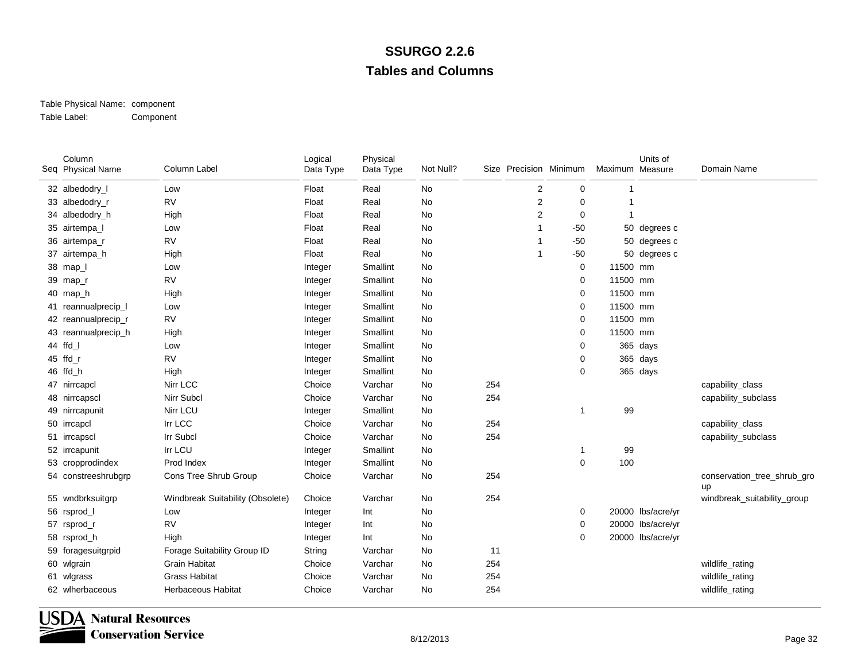#### Table Physical Name: component Table Label:Component

| Column<br>Seq Physical Name | Column Label                     | Logical<br>Data Type | Physical<br>Data Type | Not Null? |     |                | Size Precision Minimum | Maximum Measure | Units of          | Domain Name                       |
|-----------------------------|----------------------------------|----------------------|-----------------------|-----------|-----|----------------|------------------------|-----------------|-------------------|-----------------------------------|
| 32 albedodry_I              | Low                              | Float                | Real                  | No        |     | $\overline{2}$ | 0                      |                 |                   |                                   |
| 33 albedodry_r              | <b>RV</b>                        | Float                | Real                  | No        |     | $\overline{2}$ | 0                      |                 |                   |                                   |
| 34 albedodry_h              | High                             | Float                | Real                  | No        |     | $\overline{2}$ | 0                      |                 |                   |                                   |
| 35 airtempa_l               | Low                              | Float                | Real                  | No        |     | -1             | $-50$                  |                 | 50 degrees c      |                                   |
| 36 airtempa_r               | <b>RV</b>                        | Float                | Real                  | No        |     | -1             | $-50$                  |                 | 50 degrees c      |                                   |
| 37 airtempa_h               | High                             | Float                | Real                  | No        |     | -1             | $-50$                  |                 | 50 degrees c      |                                   |
| 38 map_l                    | Low                              | Integer              | Smallint              | No        |     |                | 0                      | 11500 mm        |                   |                                   |
| 39 map_r                    | <b>RV</b>                        | Integer              | Smallint              | No        |     |                | 0                      | 11500 mm        |                   |                                   |
| 40 map_h                    | High                             | Integer              | Smallint              | No        |     |                | 0                      | 11500 mm        |                   |                                   |
| 41 reannualprecip_I         | Low                              | Integer              | Smallint              | No        |     |                | 0                      | 11500 mm        |                   |                                   |
| 42 reannualprecip_r         | <b>RV</b>                        | Integer              | Smallint              | No        |     |                | 0                      | 11500 mm        |                   |                                   |
| 43 reannualprecip_h         | High                             | Integer              | Smallint              | No        |     |                | 0                      | 11500 mm        |                   |                                   |
| 44 ffd I                    | Low                              | Integer              | Smallint              | No        |     |                | 0                      |                 | 365 days          |                                   |
| 45 ffd_r                    | <b>RV</b>                        | Integer              | Smallint              | No        |     |                | 0                      |                 | 365 days          |                                   |
| 46 ffd_h                    | High                             | Integer              | Smallint              | No        |     |                | 0                      |                 | 365 days          |                                   |
| 47 nirrcapcl                | Nirr LCC                         | Choice               | Varchar               | No        | 254 |                |                        |                 |                   | capability_class                  |
| 48 nirrcapscl               | Nirr Subcl                       | Choice               | Varchar               | No        | 254 |                |                        |                 |                   | capability_subclass               |
| 49 nirrcapunit              | Nirr LCU                         | Integer              | Smallint              | No        |     |                | 1                      | 99              |                   |                                   |
| 50 irrcapcl                 | Irr LCC                          | Choice               | Varchar               | No        | 254 |                |                        |                 |                   | capability_class                  |
| 51 irrcapscl                | Irr Subcl                        | Choice               | Varchar               | No        | 254 |                |                        |                 |                   | capability_subclass               |
| 52 irrcapunit               | Irr LCU                          | Integer              | Smallint              | No        |     |                | 1                      | 99              |                   |                                   |
| 53 cropprodindex            | Prod Index                       | Integer              | Smallint              | No        |     |                | 0                      | 100             |                   |                                   |
| 54 constreeshrubgrp         | Cons Tree Shrub Group            | Choice               | Varchar               | No        | 254 |                |                        |                 |                   | conservation_tree_shrub_gro<br>up |
| 55 wndbrksuitgrp            | Windbreak Suitability (Obsolete) | Choice               | Varchar               | No        | 254 |                |                        |                 |                   | windbreak_suitability_group       |
| 56 rsprod_l                 | Low                              | Integer              | Int                   | No        |     |                | 0                      |                 | 20000 lbs/acre/yr |                                   |
| 57 rsprod_r                 | <b>RV</b>                        | Integer              | Int                   | No        |     |                | 0                      |                 | 20000 lbs/acre/yr |                                   |
| 58 rsprod_h                 | High                             | Integer              | Int                   | No        |     |                | 0                      |                 | 20000 lbs/acre/yr |                                   |
| 59 foragesuitgrpid          | Forage Suitability Group ID      | String               | Varchar               | No        | 11  |                |                        |                 |                   |                                   |
| 60 wlgrain                  | <b>Grain Habitat</b>             | Choice               | Varchar               | No        | 254 |                |                        |                 |                   | wildlife_rating                   |
| 61 wlgrass                  | <b>Grass Habitat</b>             | Choice               | Varchar               | No        | 254 |                |                        |                 |                   | wildlife_rating                   |
| 62 wlherbaceous             | <b>Herbaceous Habitat</b>        | Choice               | Varchar               | No        | 254 |                |                        |                 |                   | wildlife_rating                   |

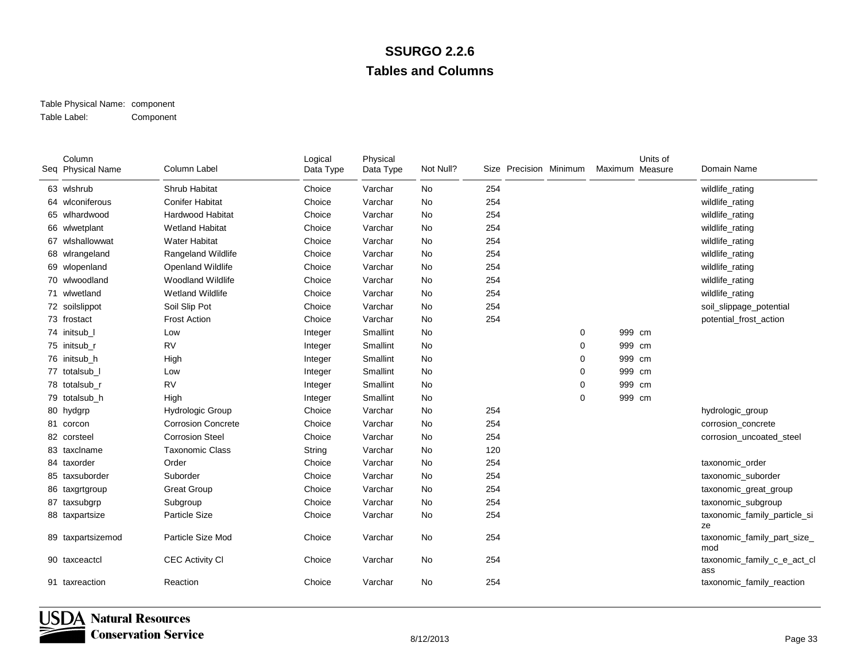#### Table Physical Name: component Table Label:Component

| Column<br>Seq Physical Name | Column Label              | Logical<br>Data Type | Physical<br>Data Type | Not Null? | Size Precision Minimum |          | Maximum Measure | Units of | Domain Name                        |
|-----------------------------|---------------------------|----------------------|-----------------------|-----------|------------------------|----------|-----------------|----------|------------------------------------|
| 63 wlshrub                  | Shrub Habitat             | Choice               | Varchar               | No        | 254                    |          |                 |          | wildlife_rating                    |
| 64 wlconiferous             | <b>Conifer Habitat</b>    | Choice               | Varchar               | No        | 254                    |          |                 |          | wildlife_rating                    |
| 65 wlhardwood               | <b>Hardwood Habitat</b>   | Choice               | Varchar               | No        | 254                    |          |                 |          | wildlife_rating                    |
| 66 wlwetplant               | <b>Wetland Habitat</b>    | Choice               | Varchar               | No        | 254                    |          |                 |          | wildlife_rating                    |
| 67 wlshallowwat             | <b>Water Habitat</b>      | Choice               | Varchar               | <b>No</b> | 254                    |          |                 |          | wildlife_rating                    |
| 68 wlrangeland              | <b>Rangeland Wildlife</b> | Choice               | Varchar               | No        | 254                    |          |                 |          | wildlife_rating                    |
| 69 wlopenland               | Openland Wildlife         | Choice               | Varchar               | No        | 254                    |          |                 |          | wildlife_rating                    |
| 70 wlwoodland               | <b>Woodland Wildlife</b>  | Choice               | Varchar               | No        | 254                    |          |                 |          | wildlife_rating                    |
| 71 wlwetland                | <b>Wetland Wildlife</b>   | Choice               | Varchar               | No        | 254                    |          |                 |          | wildlife_rating                    |
| 72 soilslippot              | Soil Slip Pot             | Choice               | Varchar               | No        | 254                    |          |                 |          | soil_slippage_potential            |
| 73 frostact                 | <b>Frost Action</b>       | Choice               | Varchar               | <b>No</b> | 254                    |          |                 |          | potential_frost_action             |
| 74 initsub l                | Low                       | Integer              | Smallint              | No        |                        | 0        | 999 cm          |          |                                    |
| 75 initsub r                | <b>RV</b>                 | Integer              | Smallint              | No        |                        | 0        | 999 cm          |          |                                    |
| 76 initsub h                | High                      | Integer              | Smallint              | No        |                        | 0        | 999 cm          |          |                                    |
| 77 totalsub I               | Low                       | Integer              | Smallint              | No        |                        | 0        | 999 cm          |          |                                    |
| 78 totalsub r               | <b>RV</b>                 | Integer              | Smallint              | No        |                        | $\Omega$ | 999 cm          |          |                                    |
| 79 totalsub_h               | High                      | Integer              | Smallint              | No        |                        | 0        | 999 cm          |          |                                    |
| 80 hydgrp                   | <b>Hydrologic Group</b>   | Choice               | Varchar               | <b>No</b> | 254                    |          |                 |          | hydrologic_group                   |
| 81 corcon                   | <b>Corrosion Concrete</b> | Choice               | Varchar               | No        | 254                    |          |                 |          | corrosion_concrete                 |
| 82 corsteel                 | <b>Corrosion Steel</b>    | Choice               | Varchar               | No        | 254                    |          |                 |          | corrosion uncoated steel           |
| 83 taxclname                | <b>Taxonomic Class</b>    | String               | Varchar               | No        | 120                    |          |                 |          |                                    |
| 84 taxorder                 | Order                     | Choice               | Varchar               | No        | 254                    |          |                 |          | taxonomic_order                    |
| 85 taxsuborder              | Suborder                  | Choice               | Varchar               | <b>No</b> | 254                    |          |                 |          | taxonomic_suborder                 |
| 86 taxgrtgroup              | <b>Great Group</b>        | Choice               | Varchar               | No        | 254                    |          |                 |          | taxonomic_great_group              |
| 87 taxsubgrp                | Subgroup                  | Choice               | Varchar               | No        | 254                    |          |                 |          | taxonomic_subgroup                 |
| 88 taxpartsize              | Particle Size             | Choice               | Varchar               | No        | 254                    |          |                 |          | taxonomic_family_particle_si<br>ze |
| 89 taxpartsizemod           | Particle Size Mod         | Choice               | Varchar               | No        | 254                    |          |                 |          | taxonomic_family_part_size_<br>mod |
| 90 taxceactcl               | <b>CEC Activity CI</b>    | Choice               | Varchar               | No        | 254                    |          |                 |          | taxonomic_family_c_e_act_cl<br>ass |
| 91 taxreaction              | Reaction                  | Choice               | Varchar               | No        | 254                    |          |                 |          | taxonomic_family_reaction          |

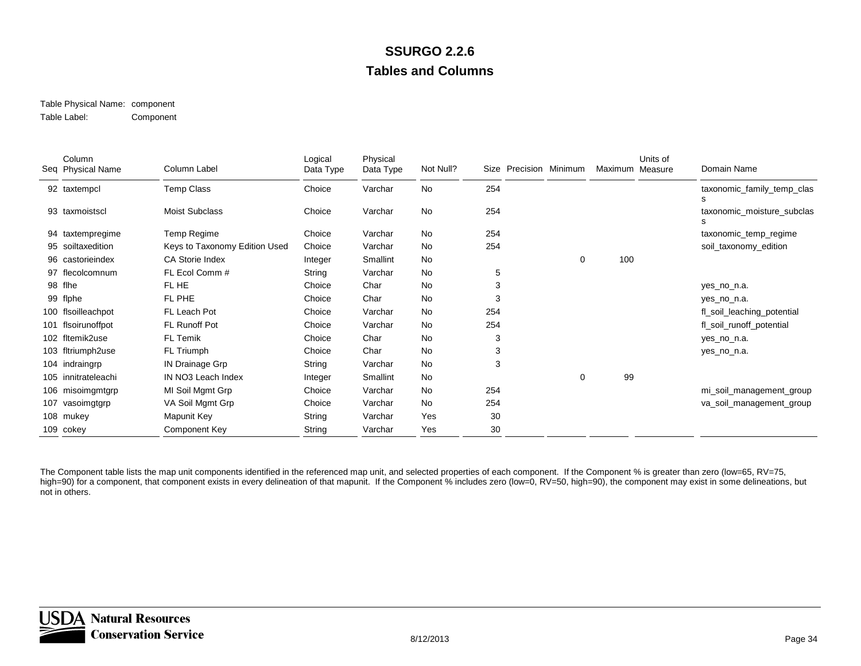#### Table Physical Name: component Table Label:Component

|     | Column<br>Seq Physical Name | Column Label                  | Logical<br>Data Type | Physical<br>Data Type | Not Null? | Size | Precision Minimum | Maximum | Units of<br>Measure | Domain Name                     |
|-----|-----------------------------|-------------------------------|----------------------|-----------------------|-----------|------|-------------------|---------|---------------------|---------------------------------|
|     | 92 taxtempcl                | Temp Class                    | Choice               | Varchar               | <b>No</b> | 254  |                   |         |                     | taxonomic_family_temp_clas<br>s |
|     | 93 taxmoistscl              | <b>Moist Subclass</b>         | Choice               | Varchar               | No        | 254  |                   |         |                     | taxonomic_moisture_subclas<br>s |
|     | 94 taxtempregime            | Temp Regime                   | Choice               | Varchar               | <b>No</b> | 254  |                   |         |                     | taxonomic_temp_regime           |
|     | 95 soiltaxedition           | Keys to Taxonomy Edition Used | Choice               | Varchar               | <b>No</b> | 254  |                   |         |                     | soil_taxonomy_edition           |
|     | 96 castorieindex            | <b>CA Storie Index</b>        | Integer              | Smallint              | No        |      | 0                 | 100     |                     |                                 |
|     | 97 flecolcomnum             | FL Ecol Comm #                | String               | Varchar               | <b>No</b> | 5    |                   |         |                     |                                 |
|     | 98 flhe                     | FL HE                         | Choice               | Char                  | <b>No</b> | 3    |                   |         |                     | yes_no_n.a.                     |
|     | 99 flphe                    | FL PHE                        | Choice               | Char                  | No        | 3    |                   |         |                     | yes_no_n.a.                     |
|     | 100 flsoilleachpot          | FL Leach Pot                  | Choice               | Varchar               | <b>No</b> | 254  |                   |         |                     | fl_soil_leaching_potential      |
|     | 101 flsoirunoffpot          | FL Runoff Pot                 | Choice               | Varchar               | <b>No</b> | 254  |                   |         |                     | fl_soil_runoff_potential        |
|     | 102 fltemik2use             | FL Temik                      | Choice               | Char                  | <b>No</b> | 3    |                   |         |                     | yes_no_n.a.                     |
|     | 103 fltriumph2use           | FL Triumph                    | Choice               | Char                  | <b>No</b> | 3    |                   |         |                     | yes_no_n.a.                     |
|     | 104 indraingrp              | <b>IN Drainage Grp</b>        | String               | Varchar               | No        | 3    |                   |         |                     |                                 |
|     | 105 innitrateleachi         | IN NO3 Leach Index            | Integer              | Smallint              | <b>No</b> |      | 0                 | 99      |                     |                                 |
|     | 106 misoimgmtgrp            | MI Soil Mgmt Grp              | Choice               | Varchar               | <b>No</b> | 254  |                   |         |                     | mi_soil_management_group        |
| 107 | vasoimgtgrp                 | VA Soil Mgmt Grp              | Choice               | Varchar               | No        | 254  |                   |         |                     | va_soil_management_group        |
|     | 108 mukey                   | Mapunit Key                   | String               | Varchar               | Yes       | 30   |                   |         |                     |                                 |
|     | 109 cokey                   | Component Key                 | String               | Varchar               | Yes       | 30   |                   |         |                     |                                 |

The Component table lists the map unit components identified in the referenced map unit, and selected properties of each component. If the Component % is greater than zero (low=65, RV=75, high=90) for a component, that component exists in every delineation of that mapunit. If the Component % includes zero (low=0, RV=50, high=90), the component may exist in some delineations, but not in others.

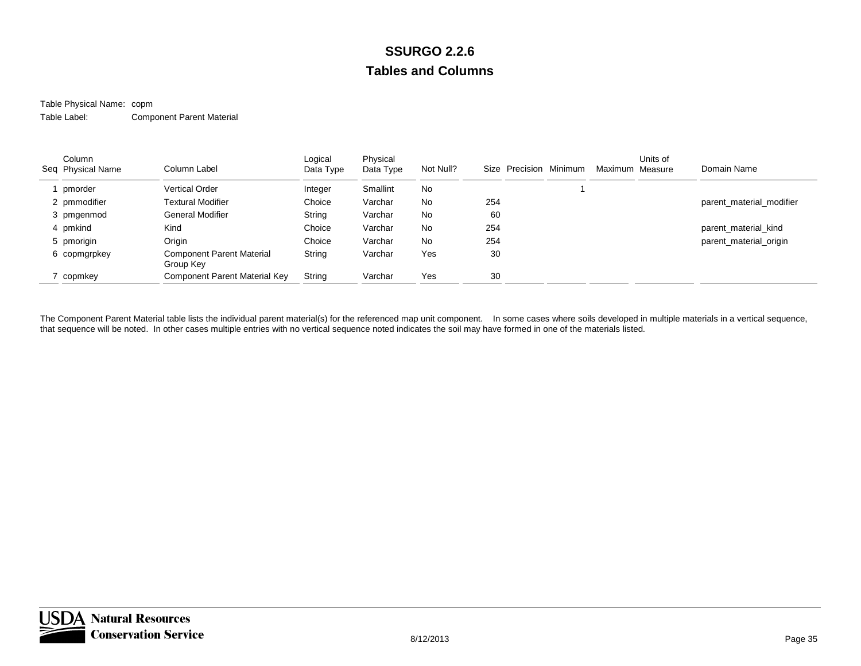### Table Physical Name: copm

Table Label:Component Parent Material

| Column<br>Seq Physical Name | Column Label                                  | Logical<br>Data Type | Physical<br>Data Type | Not Null? | Size Precision | Minimum | Maximum Measure | Units of | Domain Name              |
|-----------------------------|-----------------------------------------------|----------------------|-----------------------|-----------|----------------|---------|-----------------|----------|--------------------------|
| pmorder                     | <b>Vertical Order</b>                         | Integer              | Smallint              | <b>No</b> |                |         |                 |          |                          |
| 2 pmmodifier                | <b>Textural Modifier</b>                      | Choice               | Varchar               | <b>No</b> | 254            |         |                 |          | parent material modifier |
| 3 pmgenmod                  | General Modifier                              | String               | Varchar               | <b>No</b> | 60             |         |                 |          |                          |
| 4 pmkind                    | Kind                                          | Choice               | Varchar               | <b>No</b> | 254            |         |                 |          | parent material kind     |
| 5 pmorigin                  | Origin                                        | Choice               | Varchar               | <b>No</b> | 254            |         |                 |          | parent material origin   |
| 6 copmgrpkey                | <b>Component Parent Material</b><br>Group Key | String               | Varchar               | Yes       | 30             |         |                 |          |                          |
| 7 copmkey                   | Component Parent Material Key                 | String               | Varchar               | Yes       | 30             |         |                 |          |                          |

The Component Parent Material table lists the individual parent material(s) for the referenced map unit component. In some cases where soils developed in multiple materials in a vertical sequence, that sequence will be noted. In other cases multiple entries with no vertical sequence noted indicates the soil may have formed in one of the materials listed.

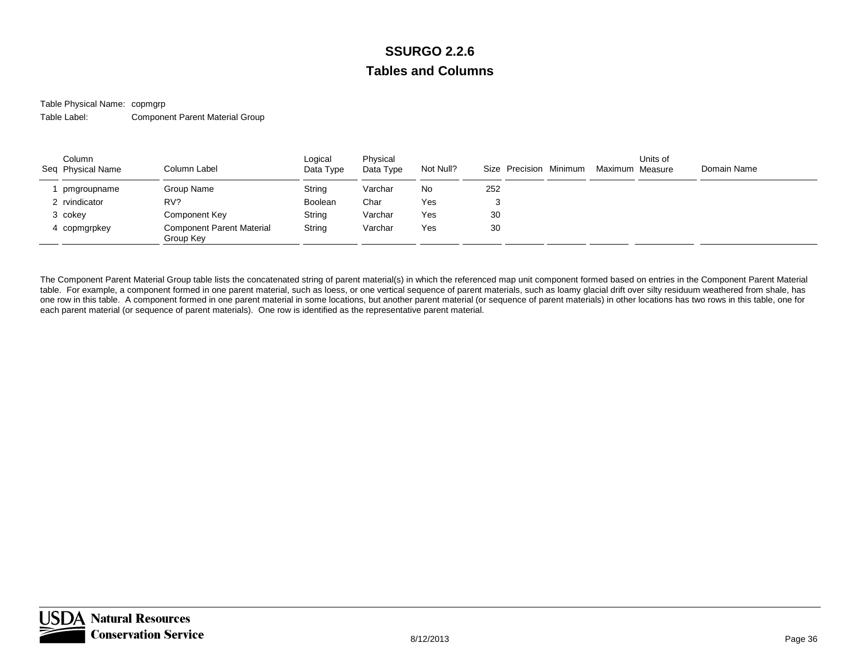Table Physical Name: copmgrp Table Label:Component Parent Material Group

| Column<br>Seq Physical Name | Column Label                                  | Logical<br>Data Type | Physical<br>Data Type | Not Null? |     | Size Precision Minimum | Maximum Measure | Units of | Domain Name |  |
|-----------------------------|-----------------------------------------------|----------------------|-----------------------|-----------|-----|------------------------|-----------------|----------|-------------|--|
| pmgroupname                 | Group Name                                    | String               | Varchar               | No        | 252 |                        |                 |          |             |  |
| 2 rvindicator               | RV?                                           | Boolean              | Char                  | Yes       |     |                        |                 |          |             |  |
| 3 cokey                     | Component Key                                 | String               | Varchar               | Yes       | 30  |                        |                 |          |             |  |
| 4 copmgrpkey                | <b>Component Parent Material</b><br>Group Key | String               | Varchar               | Yes       | 30  |                        |                 |          |             |  |

The Component Parent Material Group table lists the concatenated string of parent material(s) in which the referenced map unit component formed based on entries in the Component Parent Material table. For example, a component formed in one parent material, such as loess, or one vertical sequence of parent materials, such as loamy glacial drift over silty residuum weathered from shale, has one row in this table. A component formed in one parent material in some locations, but another parent material (or sequence of parent materials) in other locations has two rows in this table, one for each parent material (or sequence of parent materials). One row is identified as the representative parent material.

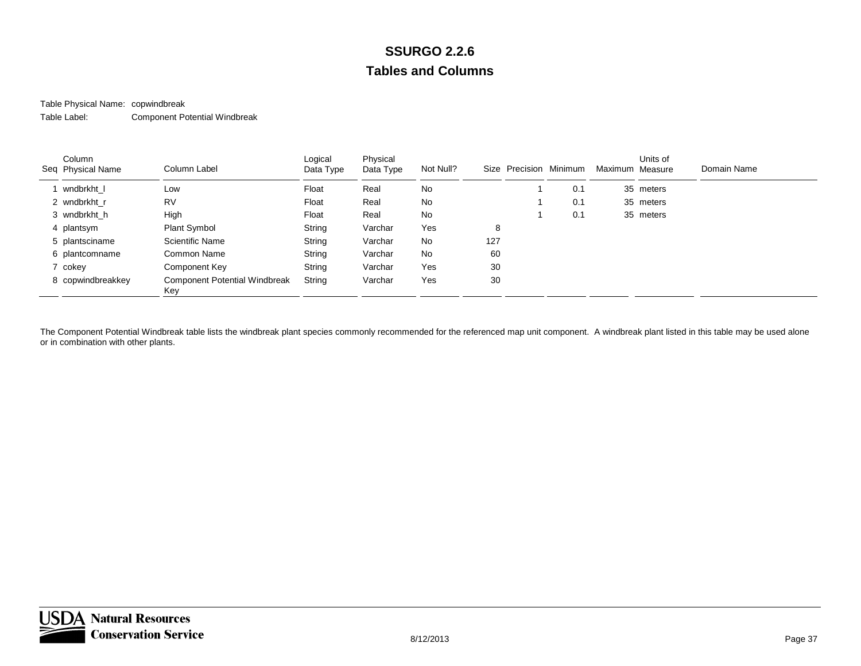## Table Physical Name: copwindbreak

Table Label:Component Potential Windbreak

| Column<br>Seq Physical Name | Column Label                                | Logical<br>Data Type | Physical<br>Data Type | Not Null? |     | Size Precision Minimum |     | Maximum Measure | Units of  | Domain Name |
|-----------------------------|---------------------------------------------|----------------------|-----------------------|-----------|-----|------------------------|-----|-----------------|-----------|-------------|
| wndbrkht I                  | Low                                         | Float                | Real                  | No        |     |                        | 0.1 |                 | 35 meters |             |
| 2 wndbrkht r                | <b>RV</b>                                   | Float                | Real                  | No        |     |                        | 0.1 |                 | 35 meters |             |
| 3 wndbrkht h                | High                                        | Float                | Real                  | No        |     |                        | 0.1 |                 | 35 meters |             |
| 4 plantsym                  | Plant Symbol                                | String               | Varchar               | Yes       | 8   |                        |     |                 |           |             |
| 5 plantsciname              | Scientific Name                             | String               | Varchar               | No        | 127 |                        |     |                 |           |             |
| 6 plantcomname              | Common Name                                 | String               | Varchar               | No        | 60  |                        |     |                 |           |             |
| 7 cokey                     | Component Key                               | String               | Varchar               | Yes       | 30  |                        |     |                 |           |             |
| 8 copwindbreakkey           | <b>Component Potential Windbreak</b><br>Key | String               | Varchar               | Yes       | 30  |                        |     |                 |           |             |

The Component Potential Windbreak table lists the windbreak plant species commonly recommended for the referenced map unit component. A windbreak plant listed in this table may be used alone or in combination with other plants.

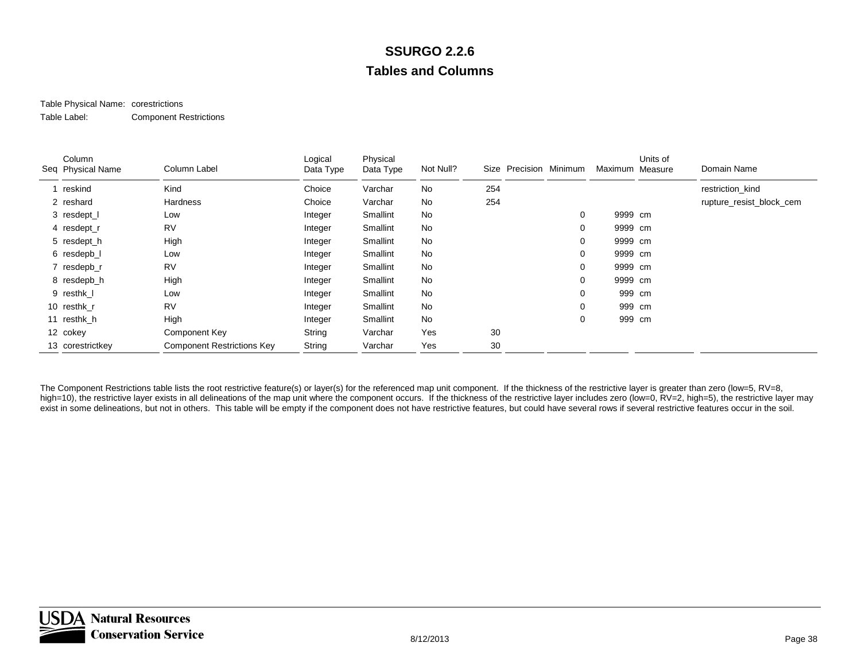#### Table Physical Name: corestrictions Table Label:Component Restrictions

| Column<br>Seq Physical Name | Column Label                      | Logical<br>Data Type | Physical<br>Data Type | Not Null? |     | Size Precision Minimum |          | Maximum Measure | Units of | Domain Name              |
|-----------------------------|-----------------------------------|----------------------|-----------------------|-----------|-----|------------------------|----------|-----------------|----------|--------------------------|
| reskind                     | Kind                              | Choice               | Varchar               | No        | 254 |                        |          |                 |          | restriction kind         |
| 2 reshard                   | Hardness                          | Choice               | Varchar               | No        | 254 |                        |          |                 |          | rupture_resist_block_cem |
| 3 resdept_l                 | Low                               | Integer              | Smallint              | No        |     |                        | 0        | 9999 cm         |          |                          |
| 4 resdept_r                 | <b>RV</b>                         | Integer              | Smallint              | No        |     |                        | 0        | 9999 cm         |          |                          |
| 5 resdept_h                 | High                              | Integer              | Smallint              | No        |     |                        | 0        | 9999 cm         |          |                          |
| 6 resdepb_l                 | Low                               | Integer              | Smallint              | No        |     |                        | 0        | 9999 cm         |          |                          |
| 7 resdepb_r                 | <b>RV</b>                         | Integer              | Smallint              | No        |     |                        | 0        | 9999 cm         |          |                          |
| 8 resdepb_h                 | High                              | Integer              | Smallint              | No        |     |                        | 0        | 9999 cm         |          |                          |
| 9 resthk_l                  | Low                               | Integer              | Smallint              | No        |     |                        | $\Omega$ | 999 cm          |          |                          |
| 10 resthk_r                 | RV                                | Integer              | Smallint              | No        |     |                        |          | 999 cm          |          |                          |
| 11 resthk h                 | High                              | Integer              | Smallint              | No        |     |                        | 0        | 999 cm          |          |                          |
| 12 cokey                    | Component Key                     | String               | Varchar               | Yes       | 30  |                        |          |                 |          |                          |
| 13 corestrictkey            | <b>Component Restrictions Key</b> | String               | Varchar               | Yes       | 30  |                        |          |                 |          |                          |

The Component Restrictions table lists the root restrictive feature(s) or layer(s) for the referenced map unit component. If the thickness of the restrictive layer is greater than zero (low=5, RV=8, high=10), the restrictive layer exists in all delineations of the map unit where the component occurs. If the thickness of the restrictive layer includes zero (low=0, RV=2, high=5), the restrictive layer may exist in some delineations, but not in others. This table will be empty if the component does not have restrictive features, but could have several rows if several restrictive features occur in the soil.

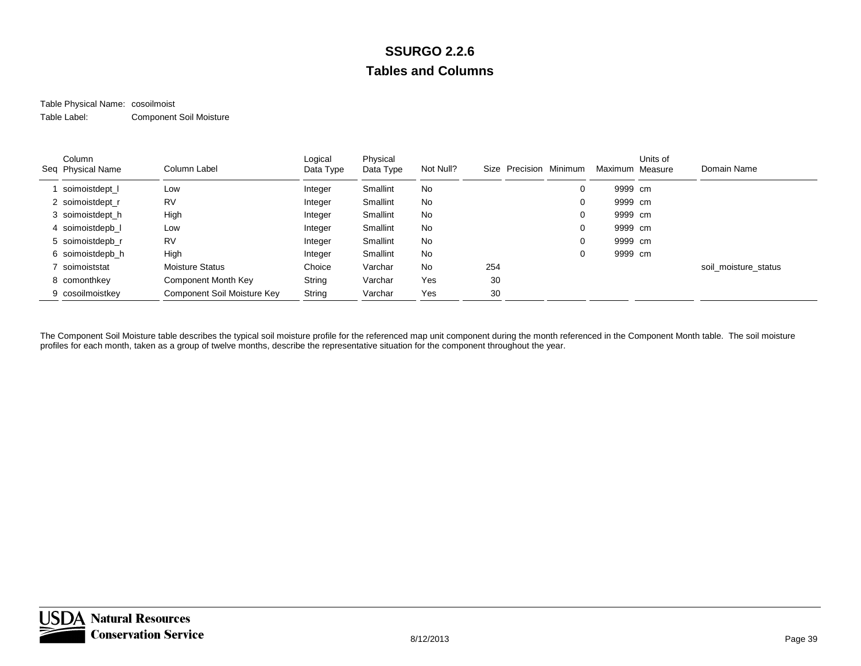#### Table Physical Name: cosoilmoist Table Label:Component Soil Moisture

| Column<br>Seq Physical Name | Column Label                | Logical<br>Data Type | Physical<br>Data Type | Not Null? | Size | Precision Minimum | Maximum Measure | Units of | Domain Name          |
|-----------------------------|-----------------------------|----------------------|-----------------------|-----------|------|-------------------|-----------------|----------|----------------------|
| soimoistdept                | Low                         | Integer              | Smallint              | No        |      | 0                 | 9999 cm         |          |                      |
| 2 soimoistdept r            | <b>RV</b>                   | Integer              | Smallint              | No        |      | 0                 | 9999 cm         |          |                      |
| 3 soimoistdept h            | High                        | Integer              | Smallint              | No        |      | 0                 | 9999 cm         |          |                      |
| 4 soimoistdepb I            | Low                         | Integer              | Smallint              | No        |      | 0                 | 9999 cm         |          |                      |
| 5 soimoistdepb r            | <b>RV</b>                   | Integer              | Smallint              | No        |      | 0                 | 9999 cm         |          |                      |
| 6 soimoistdepb_h            | High                        | Integer              | Smallint              | No        |      | 0                 | 9999 cm         |          |                      |
| soimoiststat                | <b>Moisture Status</b>      | Choice               | Varchar               | <b>No</b> | 254  |                   |                 |          | soil_moisture_status |
| 8 comonthkey                | Component Month Key         | String               | Varchar               | Yes       | 30   |                   |                 |          |                      |
| 9 cosoilmoistkey            | Component Soil Moisture Key | String               | Varchar               | Yes       | 30   |                   |                 |          |                      |

The Component Soil Moisture table describes the typical soil moisture profile for the referenced map unit component during the month referenced in the Component Month table. The soil moisture profiles for each month, taken as a group of twelve months, describe the representative situation for the component throughout the year.

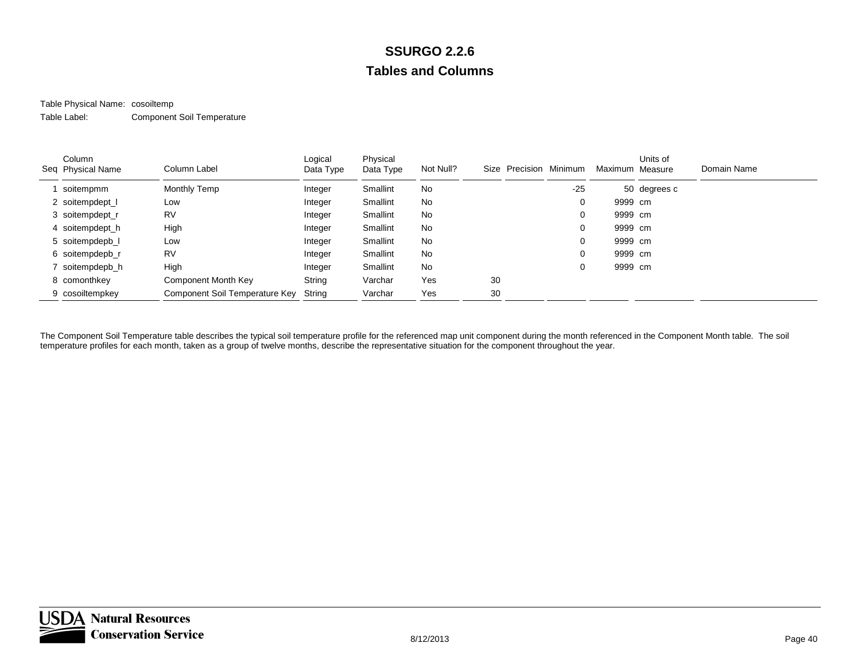#### Table Physical Name: cosoiltemp Table Label:Component Soil Temperature

| Column<br>Seq Physical Name | Column Label                   | Logical<br>Data Type | Physical<br>Data Type | Not Null? | Precision Minimum<br>Size |       | Maximum Measure | Units of     | Domain Name |
|-----------------------------|--------------------------------|----------------------|-----------------------|-----------|---------------------------|-------|-----------------|--------------|-------------|
| soitempmm                   | Monthly Temp                   | Integer              | Smallint              | No        |                           | $-25$ |                 | 50 degrees c |             |
| 2 soitempdept_l             | Low                            | Integer              | Smallint              | No        |                           | 0     | 9999 cm         |              |             |
| 3 soitempdept_r             | <b>RV</b>                      | Integer              | Smallint              | No        |                           | 0     | 9999 cm         |              |             |
| 4 soitempdept_h             | High                           | Integer              | Smallint              | No        |                           | 0     | 9999 cm         |              |             |
| 5 soitempdepb_l             | Low                            | Integer              | <b>Smallint</b>       | No        |                           | 0     | 9999 cm         |              |             |
| 6 soitempdepb_r             | <b>RV</b>                      | Integer              | Smallint              | No        |                           | 0     | 9999 cm         |              |             |
| 7 soitempdepb h             | High                           | Integer              | Smallint              | No        |                           | 0     | 9999 cm         |              |             |
| 8 comonthkey                | Component Month Key            | String               | Varchar               | Yes       | 30                        |       |                 |              |             |
| 9 cosoiltempkey             | Component Soil Temperature Key | String               | Varchar               | Yes       | 30                        |       |                 |              |             |

The Component Soil Temperature table describes the typical soil temperature profile for the referenced map unit component during the month referenced in the Component Month table. The soil temperature profiles for each month, taken as a group of twelve months, describe the representative situation for the component throughout the year.

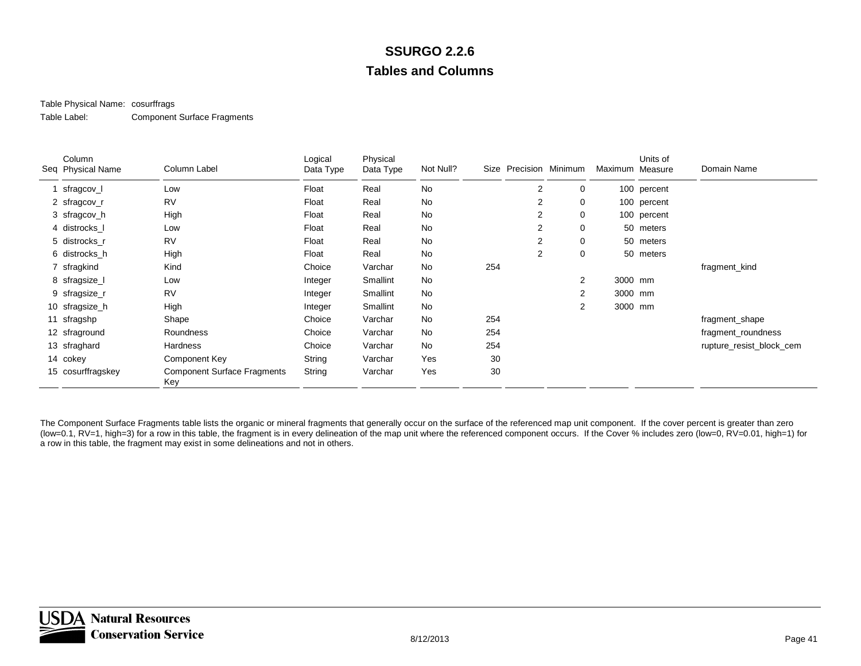#### Table Physical Name: cosurffrags

Table Label:Component Surface Fragments

| Column<br>Seq Physical Name | Column Label                              | Logical<br>Data Type | Physical<br>Data Type | Not Null? |     | Size Precision Minimum |                | Maximum Measure | Units of    | Domain Name              |
|-----------------------------|-------------------------------------------|----------------------|-----------------------|-----------|-----|------------------------|----------------|-----------------|-------------|--------------------------|
| sfragcov_l                  | Low                                       | Float                | Real                  | No        |     | 2                      | 0              |                 | 100 percent |                          |
| 2 sfragcov_r                | <b>RV</b>                                 | Float                | Real                  | No        |     | 2                      | 0              |                 | 100 percent |                          |
| 3 sfragcov_h                | High                                      | Float                | Real                  | No        |     | 2                      | 0              |                 | 100 percent |                          |
| 4 distrocks I               | Low                                       | Float                | Real                  | No        |     | 2                      | 0              |                 | 50 meters   |                          |
| 5 distrocks r               | <b>RV</b>                                 | Float                | Real                  | No        |     | 2                      | 0              |                 | 50 meters   |                          |
| 6 distrocks_h               | High                                      | Float                | Real                  | No        |     | $\overline{2}$         | 0              |                 | 50 meters   |                          |
| 7 sfragkind                 | Kind                                      | Choice               | Varchar               | No        | 254 |                        |                |                 |             | fragment_kind            |
| 8 sfragsize_l               | Low                                       | Integer              | Smallint              | <b>No</b> |     |                        | 2              | 3000 mm         |             |                          |
| 9 sfragsize_r               | <b>RV</b>                                 | Integer              | Smallint              | No        |     |                        | $\overline{2}$ | 3000 mm         |             |                          |
| 10 sfragsize_h              | High                                      | Integer              | Smallint              | No        |     |                        | $\overline{2}$ | 3000 mm         |             |                          |
| 11 sfragshp                 | Shape                                     | Choice               | Varchar               | No        | 254 |                        |                |                 |             | fragment_shape           |
| 12 sfraground               | Roundness                                 | Choice               | Varchar               | No        | 254 |                        |                |                 |             | fragment_roundness       |
| 13 sfraghard                | Hardness                                  | Choice               | Varchar               | No        | 254 |                        |                |                 |             | rupture_resist_block_cem |
| 14 cokey                    | Component Key                             | String               | Varchar               | Yes       | 30  |                        |                |                 |             |                          |
| 15 cosurffragskey           | <b>Component Surface Fragments</b><br>Key | String               | Varchar               | Yes       | 30  |                        |                |                 |             |                          |

The Component Surface Fragments table lists the organic or mineral fragments that generally occur on the surface of the referenced map unit component. If the cover percent is greater than zero (low=0.1, RV=1, high=3) for a row in this table, the fragment is in every delineation of the map unit where the referenced component occurs. If the Cover % includes zero (low=0, RV=0.01, high=1) for a row in this table, the fragment may exist in some delineations and not in others.

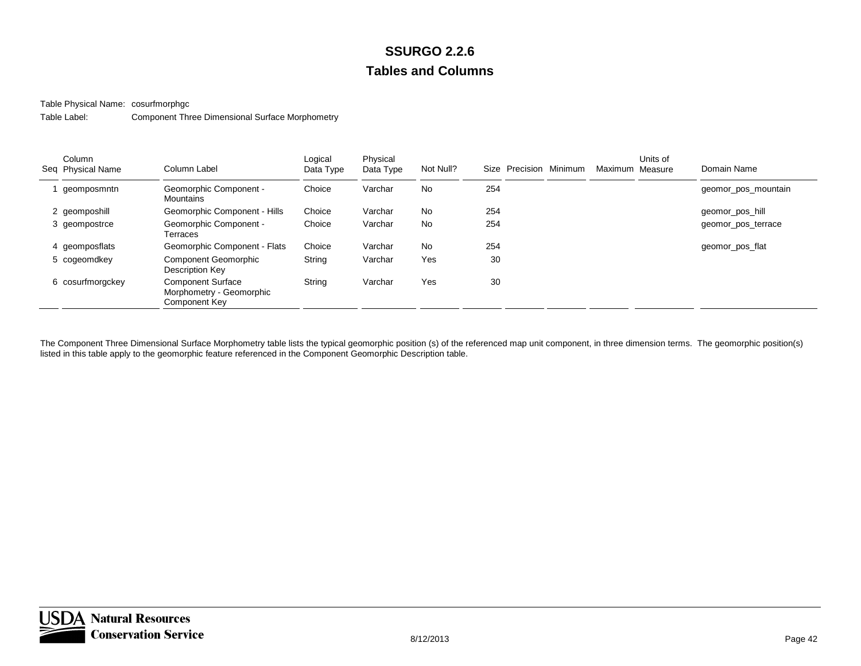Table Physical Name: cosurfmorphgc

Table Label:Component Three Dimensional Surface Morphometry

| Column<br>Seq Physical Name | Column Label                                                          | Logical<br>Data Type | Physical<br>Data Type | Not Null? | Size Precision Minimum | Maximum Measure | Units of | Domain Name         |
|-----------------------------|-----------------------------------------------------------------------|----------------------|-----------------------|-----------|------------------------|-----------------|----------|---------------------|
| geomposmntn                 | <b>Geomorphic Component -</b><br>Mountains                            | Choice               | Varchar               | No        | 254                    |                 |          | geomor_pos_mountain |
| 2 geomposhill               | Geomorphic Component - Hills                                          | Choice               | Varchar               | <b>No</b> | 254                    |                 |          | geomor_pos_hill     |
| 3 geompostrce               | <b>Geomorphic Component -</b><br>Terraces                             | Choice               | Varchar               | <b>No</b> | 254                    |                 |          | geomor_pos_terrace  |
| 4 geomposflats              | Geomorphic Component - Flats                                          | Choice               | Varchar               | <b>No</b> | 254                    |                 |          | geomor_pos_flat     |
| 5 cogeomdkey                | <b>Component Geomorphic</b><br>Description Key                        | String               | Varchar               | Yes       | 30                     |                 |          |                     |
| 6 cosurfmorgckey            | <b>Component Surface</b><br>Morphometry - Geomorphic<br>Component Key | String               | Varchar               | Yes       | 30                     |                 |          |                     |

The Component Three Dimensional Surface Morphometry table lists the typical geomorphic position (s) of the referenced map unit component, in three dimension terms. The geomorphic position(s) listed in this table apply to the geomorphic feature referenced in the Component Geomorphic Description table.

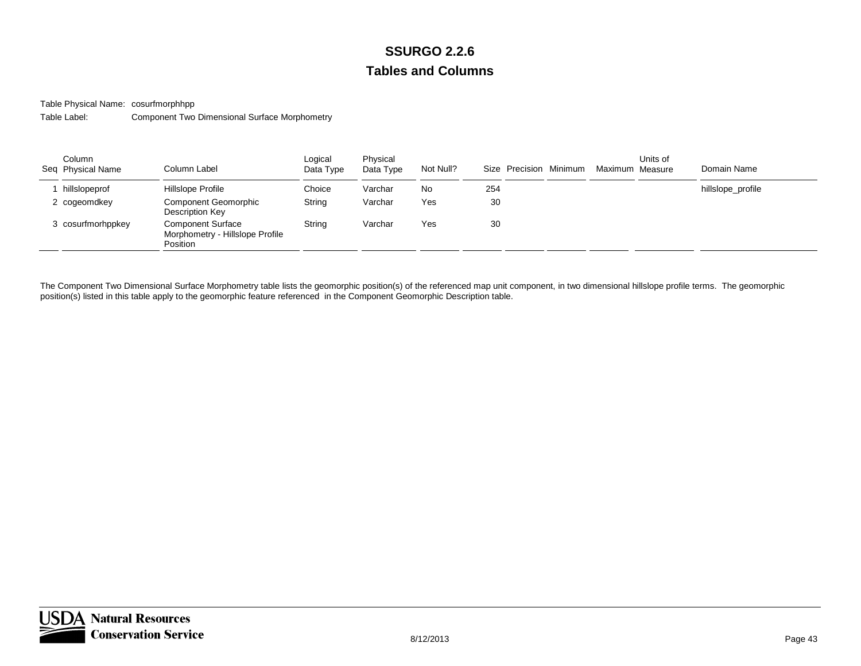Table Physical Name: cosurfmorphhpp

Table Label:Component Two Dimensional Surface Morphometry

| Column<br>Seq Physical Name | Column Label                                                            | Logical<br>Data Type | Physical<br>Data Type | Not Null? | Size Precision Minimum | Maximum Measure | Units of | Domain Name       |
|-----------------------------|-------------------------------------------------------------------------|----------------------|-----------------------|-----------|------------------------|-----------------|----------|-------------------|
| hillslopeprof               | Hillslope Profile                                                       | Choice               | Varchar               | No        | 254                    |                 |          | hillslope_profile |
| 2 cogeomdkey                | Component Geomorphic<br>Description Key                                 | String               | Varchar               | Yes       | 30                     |                 |          |                   |
| 3 cosurfmorhppkey           | <b>Component Surface</b><br>Morphometry - Hillslope Profile<br>Position | String               | Varchar               | Yes       | 30                     |                 |          |                   |

The Component Two Dimensional Surface Morphometry table lists the geomorphic position(s) of the referenced map unit component, in two dimensional hillslope profile terms. The geomorphic position(s) listed in this table apply to the geomorphic feature referenced in the Component Geomorphic Description table.

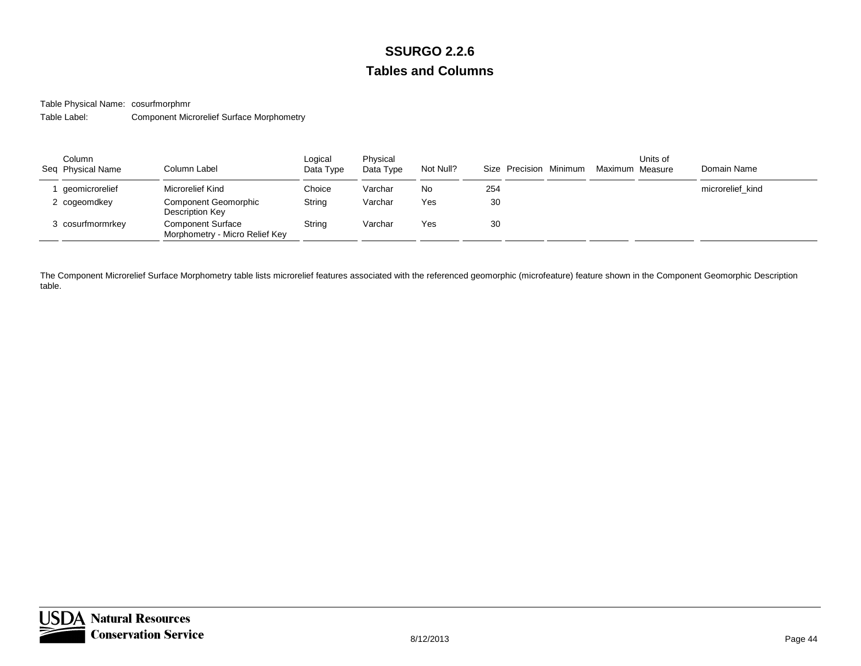Table Physical Name: cosurfmorphmr

Table Label:Component Microrelief Surface Morphometry

| Column<br>Seq Physical Name | Column Label                                               | Logical<br>Data Type | Physical<br>Data Type | Not Null? | Size Precision Minimum | Maximum Measure | Units of | Domain Name      |
|-----------------------------|------------------------------------------------------------|----------------------|-----------------------|-----------|------------------------|-----------------|----------|------------------|
| qeomicrorelief              | Microrelief Kind                                           | Choice               | Varchar               | No        | 254                    |                 |          | microrelief kind |
| 2 cogeomdkey                | <b>Component Geomorphic</b><br>Description Key             | String               | Varchar               | Yes       | 30                     |                 |          |                  |
| cosurfmormrkey >            | <b>Component Surface</b><br>Morphometry - Micro Relief Key | String               | Varchar               | Yes       | 30                     |                 |          |                  |

The Component Microrelief Surface Morphometry table lists microrelief features associated with the referenced geomorphic (microfeature) feature shown in the Component Geomorphic Description table.

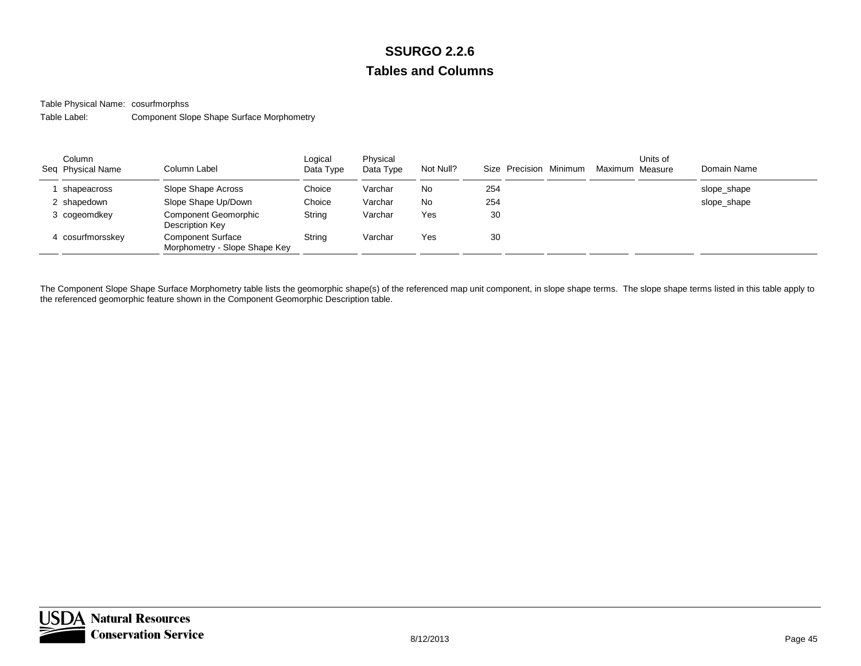Table Physical Name: cosurfmorphss

Table Label:Component Slope Shape Surface Morphometry

| Column<br>Seq Physical Name | Column Label                                              | Logical<br>Data Type | Physical<br>Data Type | Not Null? | Size Precision Minimum | Maximum Measure | Units of | Domain Name |
|-----------------------------|-----------------------------------------------------------|----------------------|-----------------------|-----------|------------------------|-----------------|----------|-------------|
| shapeacross                 | Slope Shape Across                                        | Choice               | Varchar               | No        | 254                    |                 |          | slope_shape |
| 2 shapedown                 | Slope Shape Up/Down                                       | Choice               | Varchar               | No        | 254                    |                 |          | slope_shape |
| 3 cogeomdkey                | <b>Component Geomorphic</b><br>Description Key            | String               | Varchar               | Yes       | 30                     |                 |          |             |
| 4 cosurfmorsskev            | <b>Component Surface</b><br>Morphometry - Slope Shape Key | Strina               | Varchar               | Yes       | 30                     |                 |          |             |

The Component Slope Shape Surface Morphometry table lists the geomorphic shape(s) of the referenced map unit component, in slope shape terms. The slope shape terms listed in this table apply to the referenced geomorphic feature shown in the Component Geomorphic Description table.

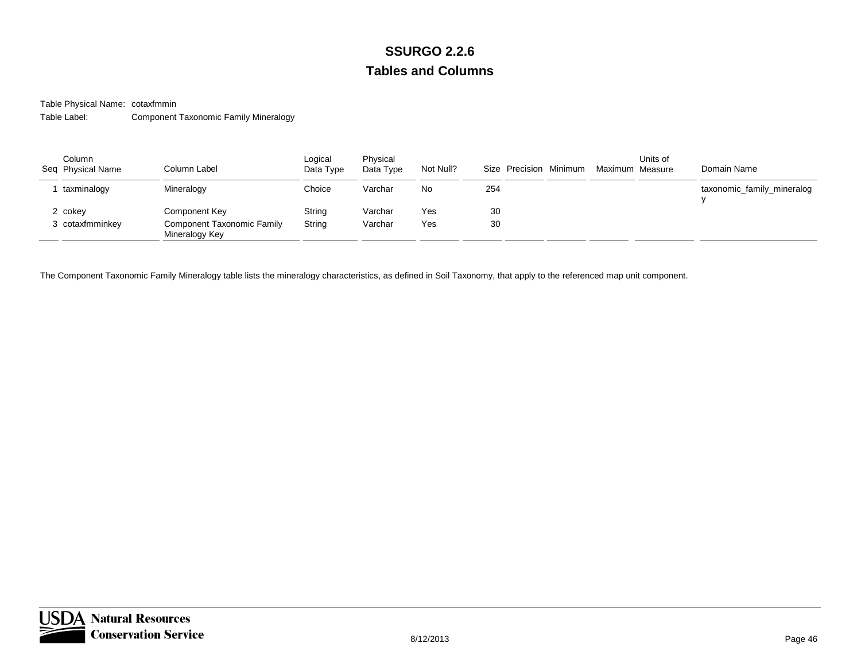Table Physical Name: cotaxfmmin

Table Label:Component Taxonomic Family Mineralogy

| Column<br>Seq Physical Name | Column Label                                 | Logical<br>Data Type | Physical<br>Data Type | Not Null? | Size Precision Minimum | Maximum Measure | Units of | Domain Name                |
|-----------------------------|----------------------------------------------|----------------------|-----------------------|-----------|------------------------|-----------------|----------|----------------------------|
| taxminalogy                 | Mineralogy                                   | Choice               | Varchar               | No.       | 254                    |                 |          | taxonomic_family_mineralog |
| 2 cokey                     | Component Key                                | String               | Varchar               | Yes       | 30                     |                 |          |                            |
| 3 cotaxfmminkey             | Component Taxonomic Family<br>Mineralogy Key | String               | Varchar               | Yes       | 30                     |                 |          |                            |

The Component Taxonomic Family Mineralogy table lists the mineralogy characteristics, as defined in Soil Taxonomy, that apply to the referenced map unit component.

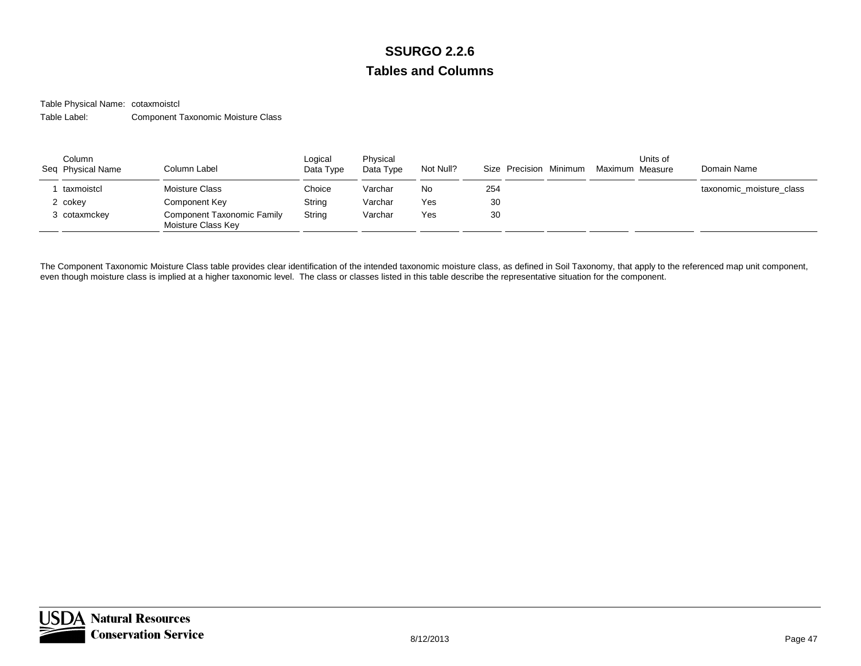Table Physical Name: cotaxmoistcl

Table Label:Component Taxonomic Moisture Class

| Column<br>Seq Physical Name | Column Label                                            | Logical<br>Data Type | Physical<br>Data Type | Not Null? | Size Precision Minimum | Maximum Measure | Units of | Domain Name              |
|-----------------------------|---------------------------------------------------------|----------------------|-----------------------|-----------|------------------------|-----------------|----------|--------------------------|
| taxmoistcl                  | Moisture Class                                          | Choice               | Varchar               | No        | 254                    |                 |          | taxonomic moisture class |
| 2 cokev                     | Component Key                                           | String               | Varchar               | Yes       | 30                     |                 |          |                          |
| cotaxmckev                  | <b>Component Taxonomic Family</b><br>Moisture Class Key | String               | Varchar               | Yes       | 30                     |                 |          |                          |

The Component Taxonomic Moisture Class table provides clear identification of the intended taxonomic moisture class, as defined in Soil Taxonomy, that apply to the referenced map unit component, even though moisture class is implied at a higher taxonomic level. The class or classes listed in this table describe the representative situation for the component.

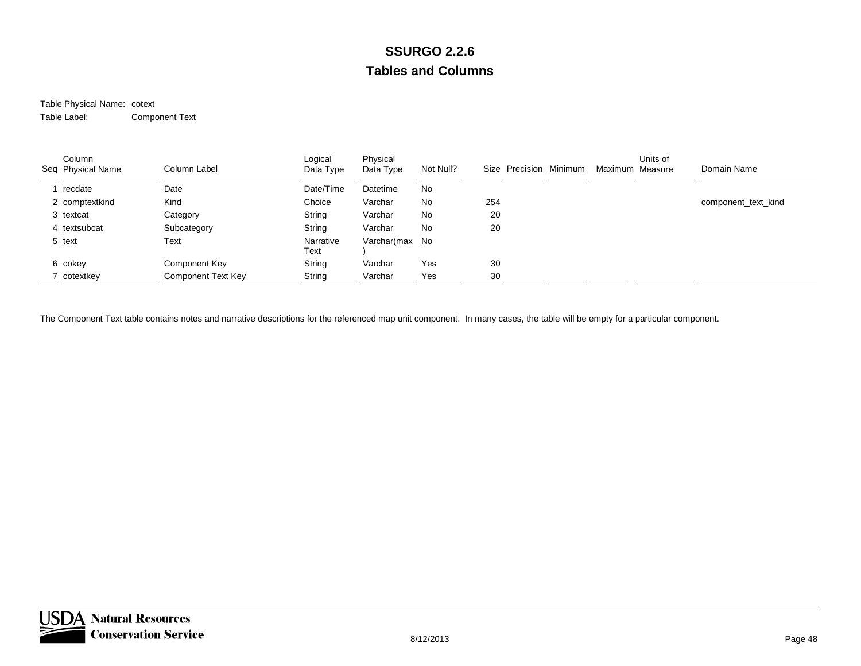#### Table Physical Name: cotext Table Label:Component Text

| Column<br>Seq Physical Name | Column Label       | Logical<br>Data Type | Physical<br>Data Type | Not Null? | Size Precision Minimum | Maximum Measure | Units of | Domain Name         |
|-----------------------------|--------------------|----------------------|-----------------------|-----------|------------------------|-----------------|----------|---------------------|
| recdate                     | Date               | Date/Time            | Datetime              | No        |                        |                 |          |                     |
| 2 comptextkind              | Kind               | Choice               | Varchar               | No        | 254                    |                 |          | component_text_kind |
| 3 textcat                   | Category           | String               | Varchar               | <b>No</b> | 20                     |                 |          |                     |
| 4 textsubcat                | Subcategory        | String               | Varchar               | No        | 20                     |                 |          |                     |
| 5 text                      | Text               | Narrative<br>Text    | Varchar(max No        |           |                        |                 |          |                     |
| 6 cokey                     | Component Key      | String               | Varchar               | Yes       | 30                     |                 |          |                     |
| 7 cotextkey                 | Component Text Key | String               | Varchar               | Yes       | 30                     |                 |          |                     |

The Component Text table contains notes and narrative descriptions for the referenced map unit component. In many cases, the table will be empty for a particular component.

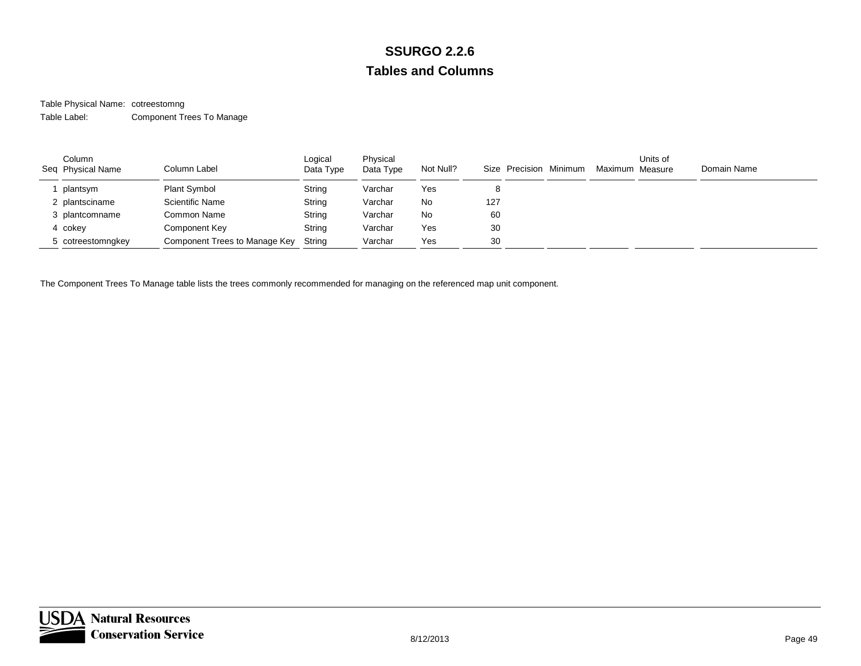#### Table Physical Name: cotreestomng Table Label:Component Trees To Manage

| Column<br>Seq Physical Name | Column Label                  | Logical<br>Data Type | Physical<br>Data Type | Not Null? | Size Precision Minimum | Maximum Measure | Units of | Domain Name |
|-----------------------------|-------------------------------|----------------------|-----------------------|-----------|------------------------|-----------------|----------|-------------|
| plantsym                    | <b>Plant Symbol</b>           | String               | Varchar               | Yes       |                        |                 |          |             |
| 2 plantsciname              | <b>Scientific Name</b>        | String               | Varchar               | No        | 127                    |                 |          |             |
| 3 plantcomname              | Common Name                   | String               | Varchar               | <b>No</b> | 60                     |                 |          |             |
| 4 cokey                     | Component Key                 | String               | Varchar               | Yes       | 30                     |                 |          |             |
| 5 cotreestomngkey           | Component Trees to Manage Key | String               | Varchar               | Yes       | 30                     |                 |          |             |

The Component Trees To Manage table lists the trees commonly recommended for managing on the referenced map unit component.

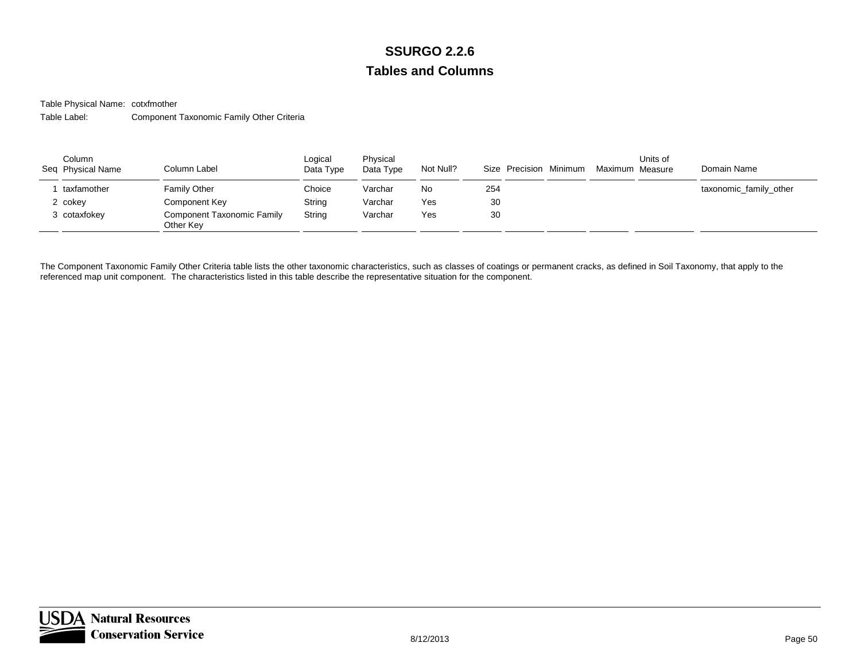Table Physical Name: cotxfmother

Table Label:Component Taxonomic Family Other Criteria

| Column<br>Seq Physical Name | Column Label                                   | Logical<br>Data Type | Physical<br>Data Type | Not Null? | Size Precision Minimum | Maximum Measure | Units of | Domain Name            |
|-----------------------------|------------------------------------------------|----------------------|-----------------------|-----------|------------------------|-----------------|----------|------------------------|
| taxfamother                 | Family Other                                   | Choice               | Varchar               | No        | 254                    |                 |          | taxonomic_family_other |
| 2 cokev                     | Component Key                                  | String               | Varchar               | Yes       | 30                     |                 |          |                        |
| 3 cotaxfokev                | <b>Component Taxonomic Family</b><br>Other Kev | String               | Varchar               | Yes       | 30                     |                 |          |                        |

The Component Taxonomic Family Other Criteria table lists the other taxonomic characteristics, such as classes of coatings or permanent cracks, as defined in Soil Taxonomy, that apply to the referenced map unit component. The characteristics listed in this table describe the representative situation for the component.

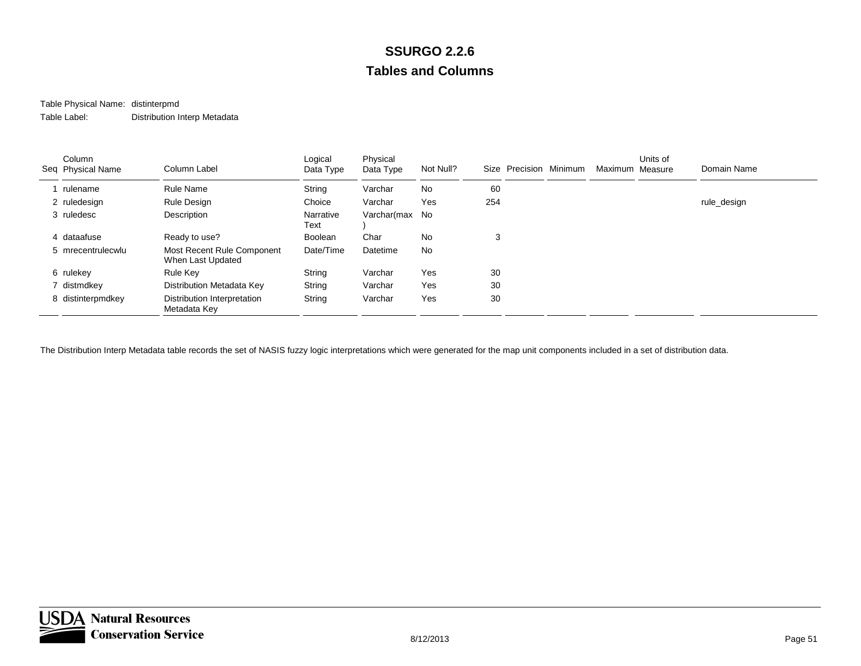# Table Physical Name: distinterpmd

Table Label:Distribution Interp Metadata

| Column<br>Seq Physical Name | Column Label                                    | Logical<br>Data Type | Physical<br>Data Type | Not Null? |     | Size Precision Minimum | Maximum Measure | Units of | Domain Name |
|-----------------------------|-------------------------------------------------|----------------------|-----------------------|-----------|-----|------------------------|-----------------|----------|-------------|
| rulename                    | <b>Rule Name</b>                                | String               | Varchar               | <b>No</b> | 60  |                        |                 |          |             |
| 2 ruledesign                | Rule Design                                     | Choice               | Varchar               | Yes       | 254 |                        |                 |          | rule_design |
| 3 ruledesc                  | Description                                     | Narrative<br>Text    | Varchar(max No        |           |     |                        |                 |          |             |
| 4 dataafuse                 | Ready to use?                                   | Boolean              | Char                  | <b>No</b> | 3   |                        |                 |          |             |
| 5 mrecentrulecwlu           | Most Recent Rule Component<br>When Last Updated | Date/Time            | Datetime              | <b>No</b> |     |                        |                 |          |             |
| 6 rulekey                   | Rule Key                                        | String               | Varchar               | Yes       | 30  |                        |                 |          |             |
| 7 distmdkey                 | Distribution Metadata Key                       | String               | Varchar               | Yes       | 30  |                        |                 |          |             |
| 8 distinterpmdkey           | Distribution Interpretation<br>Metadata Key     | String               | Varchar               | Yes       | 30  |                        |                 |          |             |

The Distribution Interp Metadata table records the set of NASIS fuzzy logic interpretations which were generated for the map unit components included in a set of distribution data.

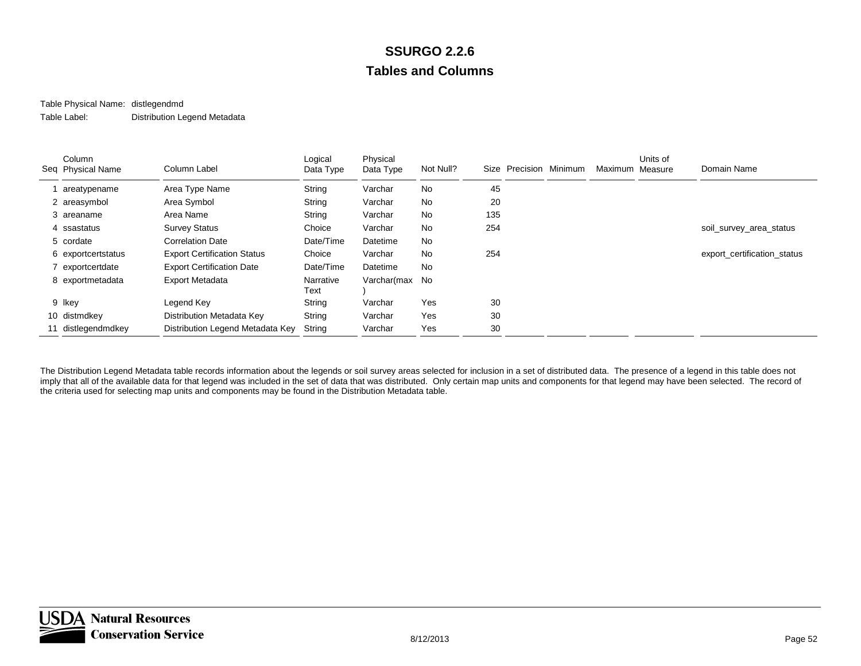#### Table Physical Name: distlegendmd Table Label:Distribution Legend Metadata

| Column<br>Seq Physical Name | Column Label                       | Logical<br>Data Type | Physical<br>Data Type | Not Null? | Size | Precision Minimum | Maximum Measure | Units of | Domain Name                 |
|-----------------------------|------------------------------------|----------------------|-----------------------|-----------|------|-------------------|-----------------|----------|-----------------------------|
| areatypename                | Area Type Name                     | String               | Varchar               | No        | 45   |                   |                 |          |                             |
| 2 areasymbol                | Area Symbol                        | String               | Varchar               | No        | 20   |                   |                 |          |                             |
| 3 areaname                  | Area Name                          | String               | Varchar               | <b>No</b> | 135  |                   |                 |          |                             |
| 4 ssastatus                 | <b>Survey Status</b>               | Choice               | Varchar               | No.       | 254  |                   |                 |          | soil_survey_area_status     |
| 5 cordate                   | <b>Correlation Date</b>            | Date/Time            | Datetime              | No        |      |                   |                 |          |                             |
| 6 exportcertstatus          | <b>Export Certification Status</b> | Choice               | Varchar               | No        | 254  |                   |                 |          | export certification status |
| 7 exportcertdate            | <b>Export Certification Date</b>   | Date/Time            | Datetime              | <b>No</b> |      |                   |                 |          |                             |
| 8 exportmetadata            | <b>Export Metadata</b>             | Narrative<br>Text    | Varchar(max No        |           |      |                   |                 |          |                             |
| 9 Ikey                      | Legend Key                         | String               | Varchar               | Yes       | 30   |                   |                 |          |                             |
| 10 distmdkey                | Distribution Metadata Key          | String               | Varchar               | Yes       | 30   |                   |                 |          |                             |
| 11 distlegendmdkey          | Distribution Legend Metadata Key   | String               | Varchar               | Yes       | 30   |                   |                 |          |                             |

The Distribution Legend Metadata table records information about the legends or soil survey areas selected for inclusion in a set of distributed data. The presence of a legend in this table does not imply that all of the available data for that legend was included in the set of data that was distributed. Only certain map units and components for that legend may have been selected. The record of the criteria used for selecting map units and components may be found in the Distribution Metadata table.

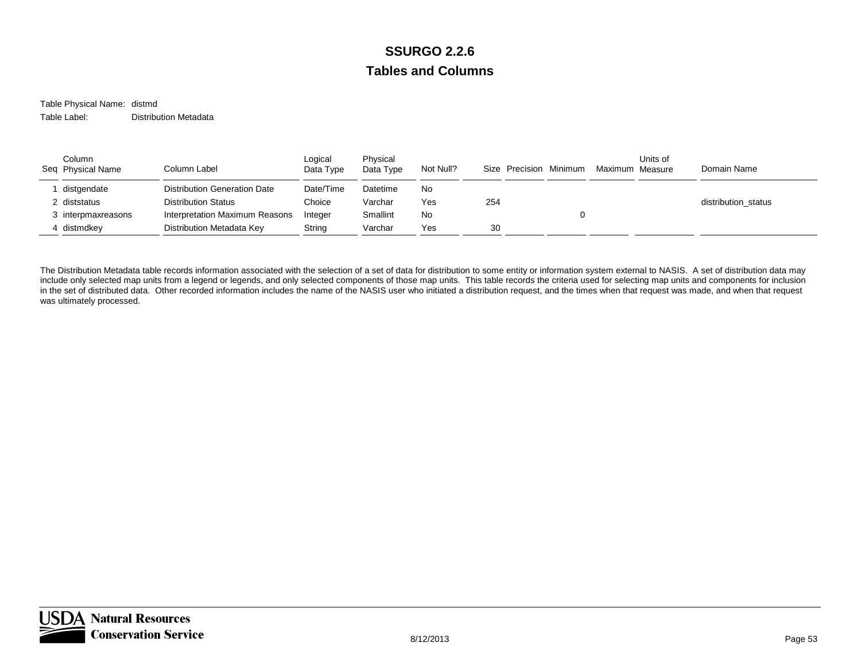Table Physical Name: distmd Table Label:Distribution Metadata

| Column<br>Seq Physical Name | Column Label                   | Logical<br>Data Type | Physical<br>Data Type | Not Null? | Size Precision Minimum | Maximum Measure | Units of | Domain Name         |
|-----------------------------|--------------------------------|----------------------|-----------------------|-----------|------------------------|-----------------|----------|---------------------|
| distgendate                 | Distribution Generation Date   | Date/Time            | Datetime              | No.       |                        |                 |          |                     |
| 2 diststatus                | <b>Distribution Status</b>     | Choice               | Varchar               | Yes       | 254                    |                 |          | distribution status |
| 3 interpmaxreasons          | Interpretation Maximum Reasons | Integer              | Smallint              | No        |                        |                 |          |                     |
| 4 distmdkey                 | Distribution Metadata Key      | String               | Varchar               | Yes       | 30                     |                 |          |                     |

The Distribution Metadata table records information associated with the selection of a set of data for distribution to some entity or information system external to NASIS. A set of distribution data may include only selected map units from a legend or legends, and only selected components of those map units. This table records the criteria used for selecting map units and components for inclusion in the set of distributed data. Other recorded information includes the name of the NASIS user who initiated a distribution request, and the times when that request was made, and when that request was ultimately processed.

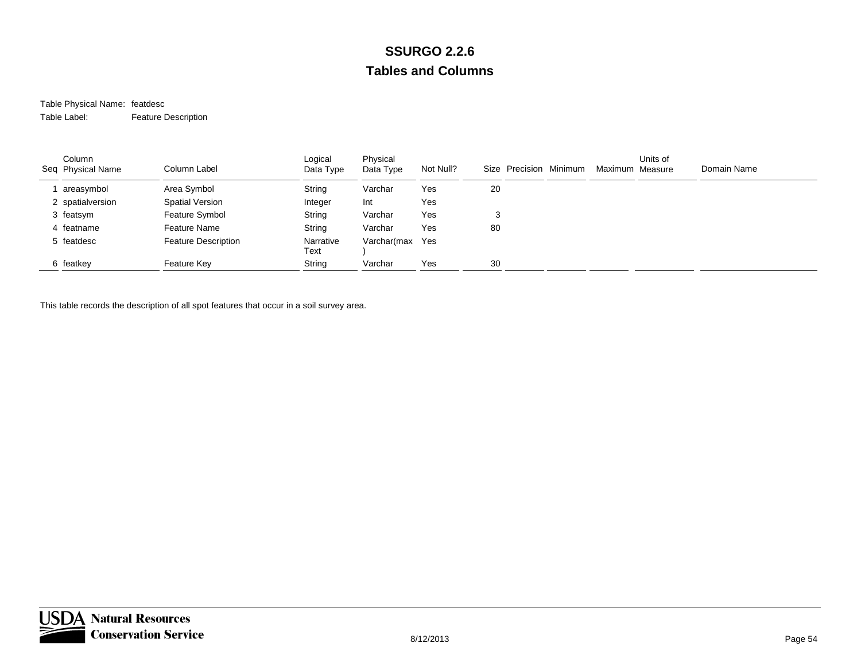#### Table Physical Name: featdesc Table Label:Feature Description

| Column<br>Seq Physical Name | Column Label               | Logical<br>Data Type | Physical<br>Data Type | Not Null? | Size Precision Minimum | Maximum Measure | Units of | Domain Name |
|-----------------------------|----------------------------|----------------------|-----------------------|-----------|------------------------|-----------------|----------|-------------|
| areasymbol                  | Area Symbol                | String               | Varchar               | Yes       | 20                     |                 |          |             |
| 2 spatialversion            | Spatial Version            | Integer              | Int                   | Yes       |                        |                 |          |             |
| 3 featsym                   | Feature Symbol             | String               | Varchar               | Yes       | 3                      |                 |          |             |
| 4 featname                  | Feature Name               | String               | Varchar               | Yes       | 80                     |                 |          |             |
| 5 featdesc                  | <b>Feature Description</b> | Narrative<br>Text    | Varchar(max           | Yes       |                        |                 |          |             |
| 6 featkey                   | Feature Key                | String               | Varchar               | Yes       | 30                     |                 |          |             |

This table records the description of all spot features that occur in a soil survey area.

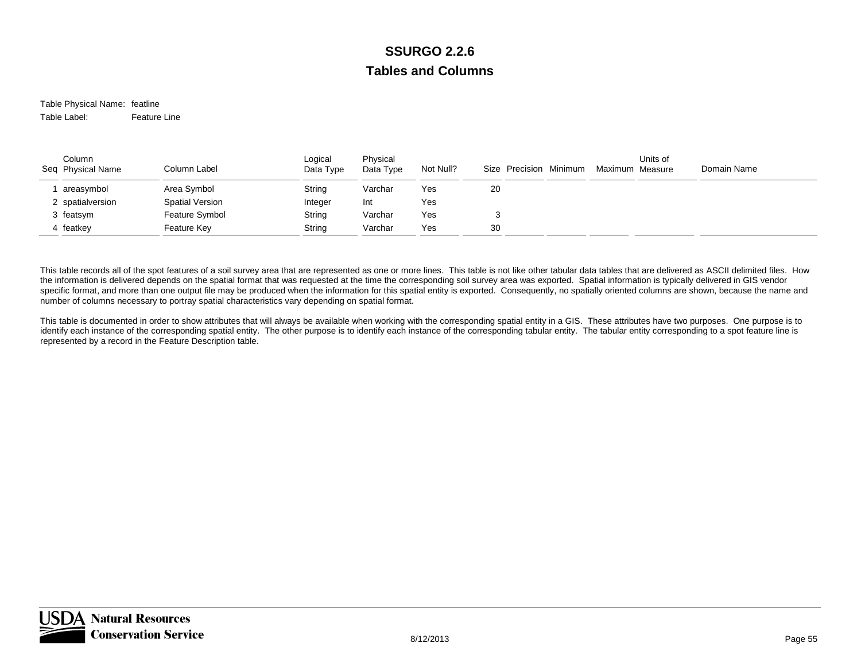Table Physical Name: featline Table Label:Feature Line

| Column<br>Seq Physical Name | Column Label           | Logical<br>Data Type | Physical<br>Data Type | Not Null? | Size Precision Minimum | Maximum Measure | Units of | Domain Name |
|-----------------------------|------------------------|----------------------|-----------------------|-----------|------------------------|-----------------|----------|-------------|
| areasymbol                  | Area Symbol            | String               | Varchar               | Yes       | 20                     |                 |          |             |
| 2 spatialversion            | <b>Spatial Version</b> | Integer              | Int                   | Yes       |                        |                 |          |             |
| 3 featsym                   | Feature Symbol         | String               | Varchar               | Yes       |                        |                 |          |             |
| 4 featkey                   | Feature Key            | String               | Varchar               | Yes       | 30                     |                 |          |             |

This table records all of the spot features of a soil survey area that are represented as one or more lines. This table is not like other tabular data tables that are delivered as ASCII delimited files. How the information is delivered depends on the spatial format that was requested at the time the corresponding soil survey area was exported. Spatial information is typically delivered in GIS vendor specific format, and more than one output file may be produced when the information for this spatial entity is exported. Consequently, no spatially oriented columns are shown, because the name and number of columns necessary to portray spatial characteristics vary depending on spatial format.

This table is documented in order to show attributes that will always be available when working with the corresponding spatial entity in a GIS. These attributes have two purposes. One purpose is to identify each instance of the corresponding spatial entity. The other purpose is to identify each instance of the corresponding tabular entity. The tabular entity corresponding to a spot feature line is represented by a record in the Feature Description table.

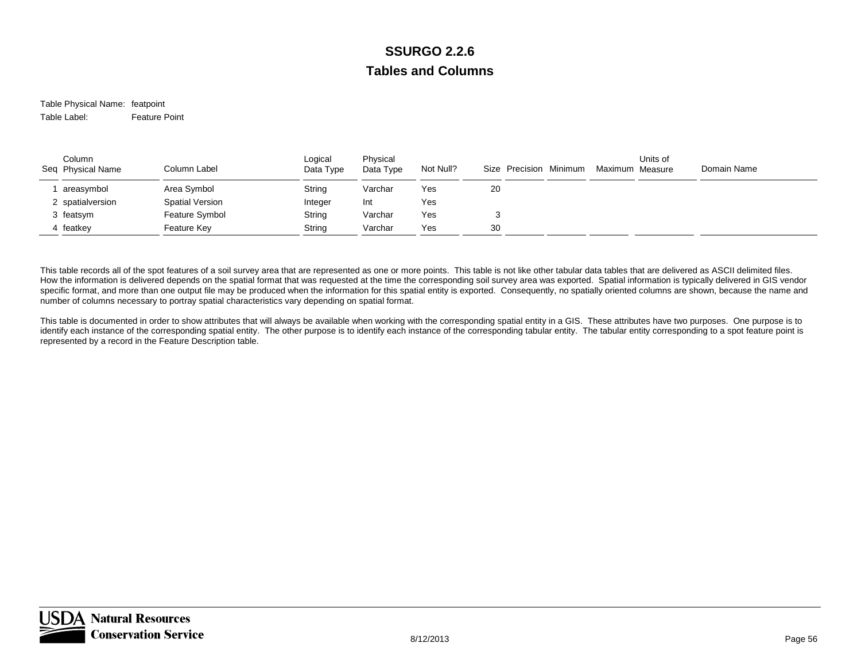#### Table Physical Name: featpoint Table Label:Feature Point

| Column<br>Seq Physical Name | Column Label           | Logical<br>Data Type | Physical<br>Data Type | Not Null? |    | Size Precision Minimum | Maximum Measure | Units of | Domain Name |
|-----------------------------|------------------------|----------------------|-----------------------|-----------|----|------------------------|-----------------|----------|-------------|
| areasymbol                  | Area Symbol            | String               | Varchar               | Yes       | 20 |                        |                 |          |             |
| 2 spatialversion            | <b>Spatial Version</b> | Integer              | Int                   | Yes       |    |                        |                 |          |             |
| 3 featsym                   | Feature Symbol         | String               | Varchar               | Yes       |    |                        |                 |          |             |
| 4 featkey                   | Feature Key            | String               | Varchar               | Yes       | 30 |                        |                 |          |             |

This table records all of the spot features of a soil survey area that are represented as one or more points. This table is not like other tabular data tables that are delivered as ASCII delimited files. How the information is delivered depends on the spatial format that was requested at the time the corresponding soil survey area was exported. Spatial information is typically delivered in GIS vendor specific format, and more than one output file may be produced when the information for this spatial entity is exported. Consequently, no spatially oriented columns are shown, because the name and number of columns necessary to portray spatial characteristics vary depending on spatial format.

This table is documented in order to show attributes that will always be available when working with the corresponding spatial entity in a GIS. These attributes have two purposes. One purpose is to identify each instance of the corresponding spatial entity. The other purpose is to identify each instance of the corresponding tabular entity. The tabular entity corresponding to a spot feature point is represented by a record in the Feature Description table.

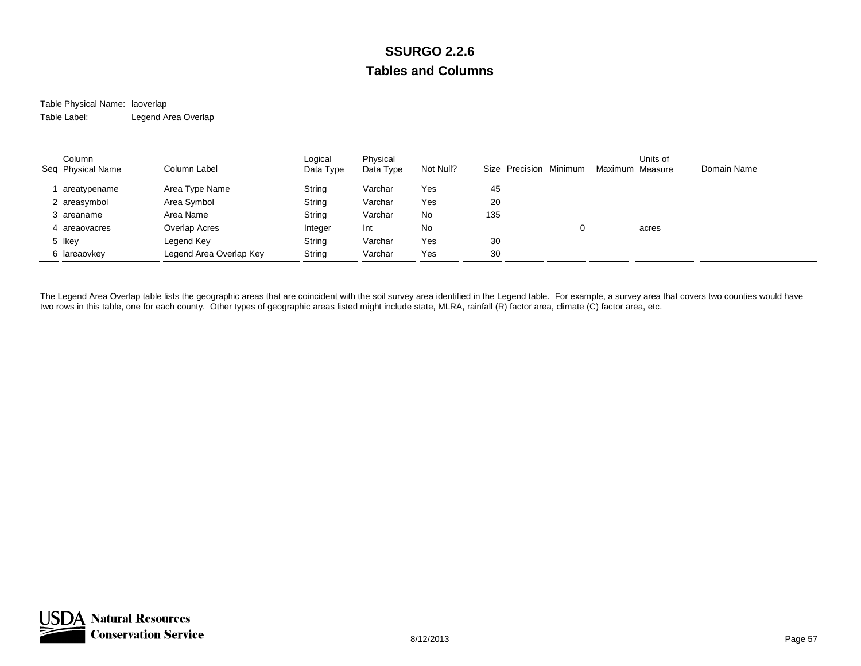#### Table Physical Name: laoverlap Table Label:Legend Area Overlap

| Column<br>Seq Physical Name | Column Label            | Logical<br>Data Type | Physical<br>Data Type | Not Null? |     | Size Precision Minimum | Maximum Measure | Units of | Domain Name |
|-----------------------------|-------------------------|----------------------|-----------------------|-----------|-----|------------------------|-----------------|----------|-------------|
| areatypename                | Area Type Name          | String               | Varchar               | Yes       | 45  |                        |                 |          |             |
| 2 areasymbol                | Area Symbol             | String               | Varchar               | Yes       | 20  |                        |                 |          |             |
| 3 areaname                  | Area Name               | String               | Varchar               | No        | 135 |                        |                 |          |             |
| areaovacres                 | Overlap Acres           | Integer              | Int                   | No        |     |                        |                 | acres    |             |
| 5 Ikey                      | Legend Key              | String               | Varchar               | Yes       | 30  |                        |                 |          |             |
| 6 lareaovkey                | Legend Area Overlap Key | String               | Varchar               | Yes       | 30  |                        |                 |          |             |

The Legend Area Overlap table lists the geographic areas that are coincident with the soil survey area identified in the Legend table. For example, a survey area that covers two counties would have two rows in this table, one for each county. Other types of geographic areas listed might include state, MLRA, rainfall (R) factor area, climate (C) factor area, etc.

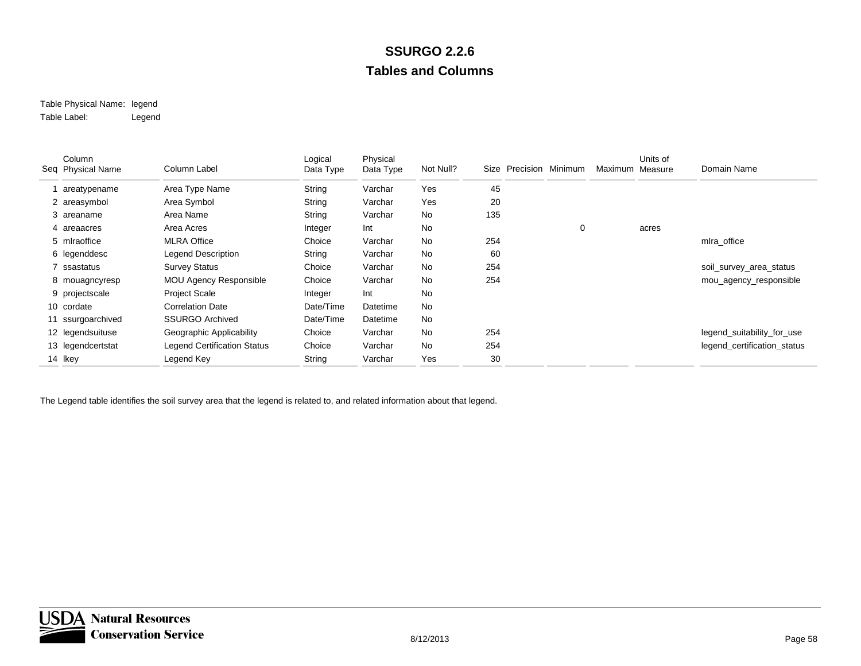#### Table Physical Name: legend Table Label:Legend

| Column<br>Seq Physical Name | Column Label                       | Logical<br>Data Type | Physical<br>Data Type | Not Null? |     | Size Precision Minimum |   | Maximum Measure | Units of | Domain Name                 |
|-----------------------------|------------------------------------|----------------------|-----------------------|-----------|-----|------------------------|---|-----------------|----------|-----------------------------|
| areatypename                | Area Type Name                     | String               | Varchar               | Yes       | 45  |                        |   |                 |          |                             |
| 2 areasymbol                | Area Symbol                        | String               | Varchar               | Yes       | 20  |                        |   |                 |          |                             |
| 3 areaname                  | Area Name                          | String               | Varchar               | No        | 135 |                        |   |                 |          |                             |
| 4 areaacres                 | Area Acres                         | Integer              | Int                   | No        |     |                        | 0 |                 | acres    |                             |
| 5 mlraoffice                | <b>MLRA Office</b>                 | Choice               | Varchar               | No        | 254 |                        |   |                 |          | mlra_office                 |
| 6 legenddesc                | <b>Legend Description</b>          | String               | Varchar               | No        | 60  |                        |   |                 |          |                             |
| 7 ssastatus                 | <b>Survey Status</b>               | Choice               | Varchar               | No        | 254 |                        |   |                 |          | soil_survey_area_status     |
| 8 mouagncyresp              | <b>MOU Agency Responsible</b>      | Choice               | Varchar               | No        | 254 |                        |   |                 |          | mou_agency_responsible      |
| 9 projectscale              | Project Scale                      | Integer              | Int                   | No        |     |                        |   |                 |          |                             |
| 10 cordate                  | <b>Correlation Date</b>            | Date/Time            | Datetime              | <b>No</b> |     |                        |   |                 |          |                             |
| 11 ssurgoarchived           | <b>SSURGO Archived</b>             | Date/Time            | Datetime              | No        |     |                        |   |                 |          |                             |
| 12 legendsuituse            | Geographic Applicability           | Choice               | Varchar               | No        | 254 |                        |   |                 |          | legend_suitability_for_use  |
| 13 legendcertstat           | <b>Legend Certification Status</b> | Choice               | Varchar               | No        | 254 |                        |   |                 |          | legend_certification_status |
| 14 Ikey                     | Legend Key                         | String               | Varchar               | Yes       | 30  |                        |   |                 |          |                             |

The Legend table identifies the soil survey area that the legend is related to, and related information about that legend.

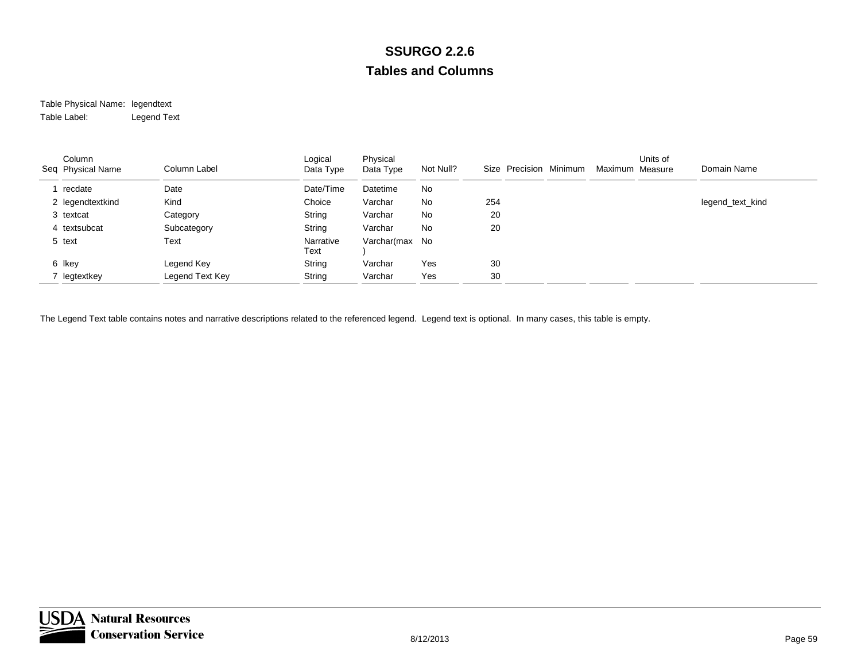#### Table Physical Name: legendtext Table Label:Legend Text

| Column<br>Seq Physical Name | Column Label    | Logical<br>Data Type | Physical<br>Data Type | Not Null? | Size Precision Minimum | Maximum Measure | Units of | Domain Name      |
|-----------------------------|-----------------|----------------------|-----------------------|-----------|------------------------|-----------------|----------|------------------|
| recdate                     | Date            | Date/Time            | Datetime              | No        |                        |                 |          |                  |
| 2 legendtextkind            | Kind            | Choice               | Varchar               | No        | 254                    |                 |          | legend_text_kind |
| 3 textcat                   | Category        | String               | Varchar               | No        | 20                     |                 |          |                  |
| 4 textsubcat                | Subcategory     | String               | Varchar               | No        | 20                     |                 |          |                  |
| 5 text                      | Text            | Narrative<br>Text    | Varchar(max No        |           |                        |                 |          |                  |
| 6 Ikey                      | Legend Key      | String               | Varchar               | Yes       | 30                     |                 |          |                  |
| legtextkey                  | Legend Text Key | String               | Varchar               | Yes       | 30                     |                 |          |                  |

The Legend Text table contains notes and narrative descriptions related to the referenced legend. Legend text is optional. In many cases, this table is empty.

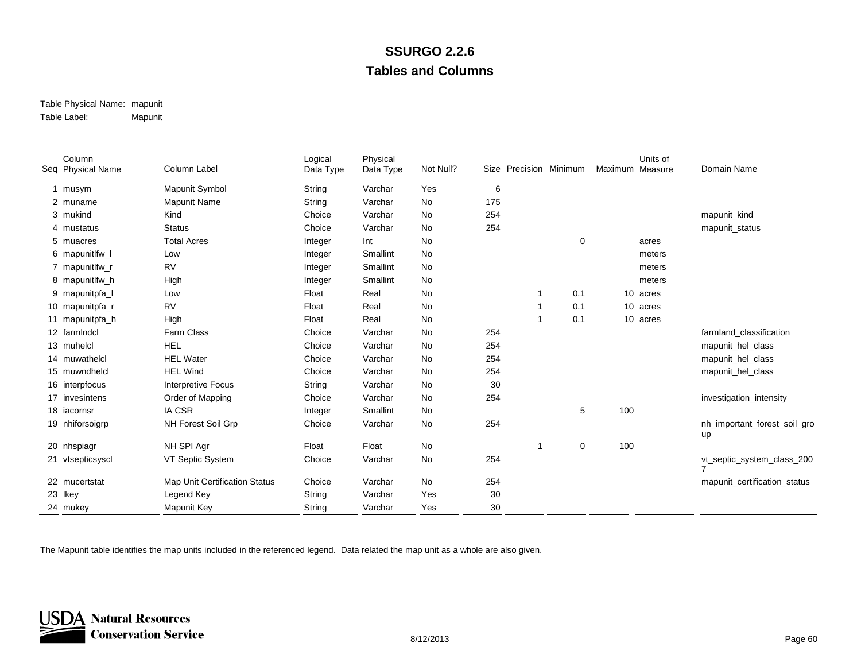#### Table Physical Name: mapunit Table Label:Mapunit

| Column<br>Seq Physical Name | Column Label                  | Logical<br>Data Type | Physical<br>Data Type | Not Null? |     | Size Precision Minimum |             | Maximum Measure | Units of | Domain Name                        |
|-----------------------------|-------------------------------|----------------------|-----------------------|-----------|-----|------------------------|-------------|-----------------|----------|------------------------------------|
| 1 musym                     | Mapunit Symbol                | String               | Varchar               | Yes       | 6   |                        |             |                 |          |                                    |
| 2 muname                    | Mapunit Name                  | String               | Varchar               | No        | 175 |                        |             |                 |          |                                    |
| 3 mukind                    | Kind                          | Choice               | Varchar               | No        | 254 |                        |             |                 |          | mapunit_kind                       |
| 4 mustatus                  | <b>Status</b>                 | Choice               | Varchar               | No        | 254 |                        |             |                 |          | mapunit_status                     |
| 5 muacres                   | <b>Total Acres</b>            | Integer              | Int                   | No        |     |                        | $\Omega$    |                 | acres    |                                    |
| 6 mapunitlfw_l              | Low                           | Integer              | Smallint              | <b>No</b> |     |                        |             |                 | meters   |                                    |
| 7 mapunitlfw_r              | <b>RV</b>                     | Integer              | Smallint              | <b>No</b> |     |                        |             |                 | meters   |                                    |
| 8 mapunitlfw_h              | High                          | Integer              | Smallint              | No        |     |                        |             |                 | meters   |                                    |
| 9 mapunitpfa                | Low                           | Float                | Real                  | <b>No</b> |     |                        | 0.1         |                 | 10 acres |                                    |
| 10 mapunitpfa_r             | <b>RV</b>                     | Float                | Real                  | <b>No</b> |     |                        | 0.1         |                 | 10 acres |                                    |
| 11 mapunitpfa_h             | High                          | Float                | Real                  | No        |     |                        | 0.1         |                 | 10 acres |                                    |
| 12 farmIndcl                | <b>Farm Class</b>             | Choice               | Varchar               | <b>No</b> | 254 |                        |             |                 |          | farmland classification            |
| 13 muhelcl                  | <b>HEL</b>                    | Choice               | Varchar               | <b>No</b> | 254 |                        |             |                 |          | mapunit_hel_class                  |
| 14 muwathelcl               | <b>HEL Water</b>              | Choice               | Varchar               | No        | 254 |                        |             |                 |          | mapunit_hel_class                  |
| 15 muwndhelcl               | <b>HEL Wind</b>               | Choice               | Varchar               | <b>No</b> | 254 |                        |             |                 |          | mapunit_hel_class                  |
| 16 interpfocus              | Interpretive Focus            | String               | Varchar               | <b>No</b> | 30  |                        |             |                 |          |                                    |
| 17 invesintens              | Order of Mapping              | Choice               | Varchar               | No        | 254 |                        |             |                 |          | investigation_intensity            |
| 18 iacornsr                 | <b>IA CSR</b>                 | Integer              | Smallint              | <b>No</b> |     |                        | 5           | 100             |          |                                    |
| 19 nhiforsoigrp             | NH Forest Soil Grp            | Choice               | Varchar               | No        | 254 |                        |             |                 |          | nh_important_forest_soil_gro<br>up |
| 20 nhspiagr                 | NH SPI Agr                    | Float                | Float                 | No        |     |                        | $\mathbf 0$ | 100             |          |                                    |
| 21 vtsepticsyscl            | VT Septic System              | Choice               | Varchar               | No        | 254 |                        |             |                 |          | vt_septic_system_class_200         |
| 22 mucertstat               | Map Unit Certification Status | Choice               | Varchar               | No        | 254 |                        |             |                 |          | mapunit_certification_status       |
| 23 lkey                     | Legend Key                    | String               | Varchar               | Yes       | 30  |                        |             |                 |          |                                    |
| 24 mukey                    | Mapunit Key                   | String               | Varchar               | Yes       | 30  |                        |             |                 |          |                                    |

The Mapunit table identifies the map units included in the referenced legend. Data related the map unit as a whole are also given.

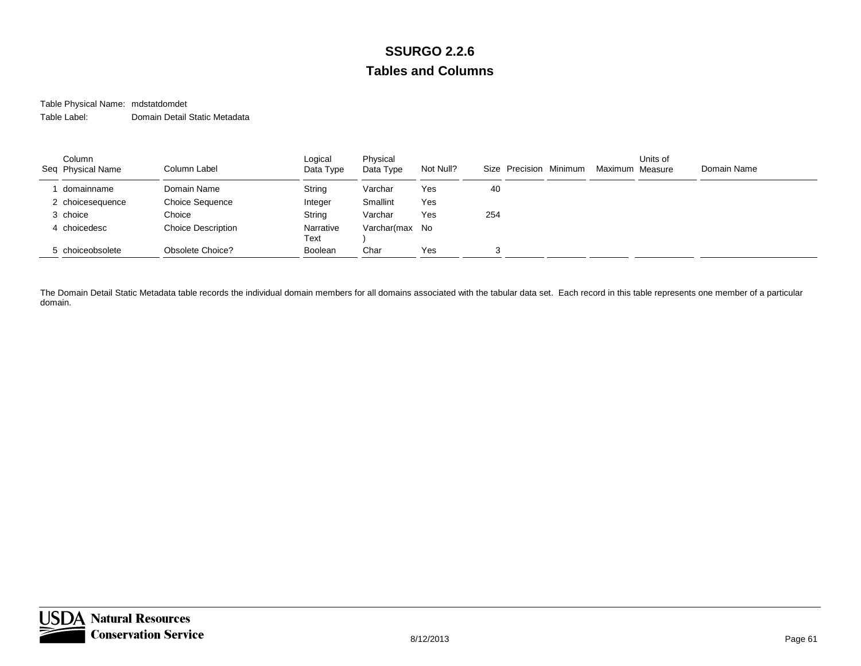#### Table Physical Name: mdstatdomdet Table Label:Domain Detail Static Metadata

| Column<br>Seq Physical Name | Column Label              | Logical<br>Data Type | Physical<br>Data Type | Not Null? |     | Size Precision Minimum | Maximum Measure | Units of | Domain Name |
|-----------------------------|---------------------------|----------------------|-----------------------|-----------|-----|------------------------|-----------------|----------|-------------|
| domainname                  | Domain Name               | String               | Varchar               | Yes       | 40  |                        |                 |          |             |
| 2 choicesequence            | <b>Choice Sequence</b>    | Integer              | Smallint              | Yes       |     |                        |                 |          |             |
| 3 choice                    | Choice                    | String               | Varchar               | Yes       | 254 |                        |                 |          |             |
| 4 choicedesc                | <b>Choice Description</b> | Narrative<br>Text    | Varchar(max No        |           |     |                        |                 |          |             |
| 5 choiceobsolete            | <b>Obsolete Choice?</b>   | <b>Boolean</b>       | Char                  | Yes       | 3   |                        |                 |          |             |

The Domain Detail Static Metadata table records the individual domain members for all domains associated with the tabular data set. Each record in this table represents one member of a particular domain.

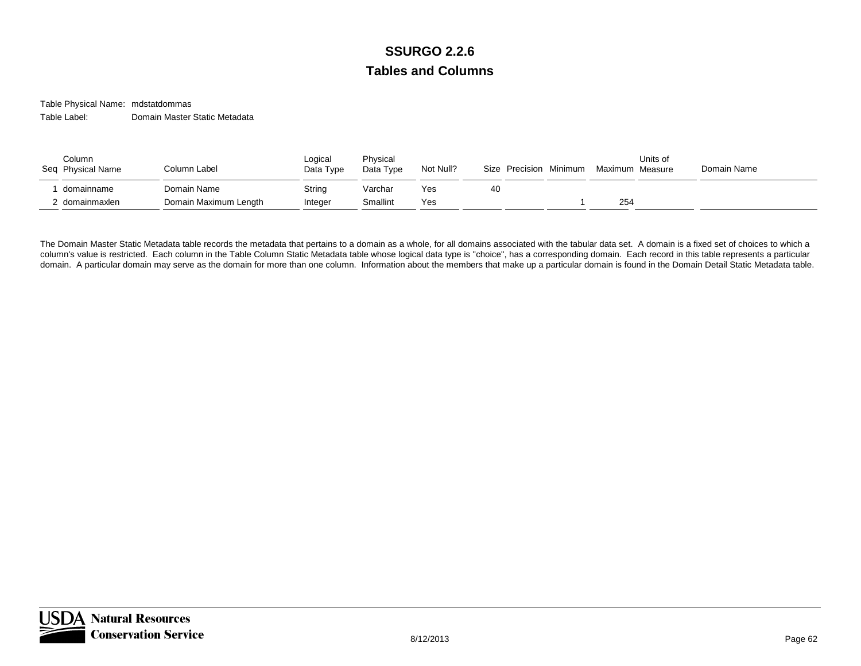Table Physical Name: mdstatdommas Table Label:Domain Master Static Metadata

| Column<br>Seq Physical Name  | Column Label                         | Logical<br>Data Type | Physical<br>Data Type | Not Null?  | Size Precision Minimum | Maximum Measure | Units of | Domain Name |
|------------------------------|--------------------------------------|----------------------|-----------------------|------------|------------------------|-----------------|----------|-------------|
| domainname<br>! domainmaxlen | Domain Name<br>Domain Maximum Length | String<br>Integer    | Varchar<br>Smallint   | Yes<br>Yes | 40                     | 254             |          |             |

The Domain Master Static Metadata table records the metadata that pertains to a domain as a whole, for all domains associated with the tabular data set. A domain is a fixed set of choices to which a column's value is restricted. Each column in the Table Column Static Metadata table whose logical data type is "choice", has a corresponding domain. Each record in this table represents a particular domain. A particular domain may serve as the domain for more than one column. Information about the members that make up a particular domain is found in the Domain Detail Static Metadata table.

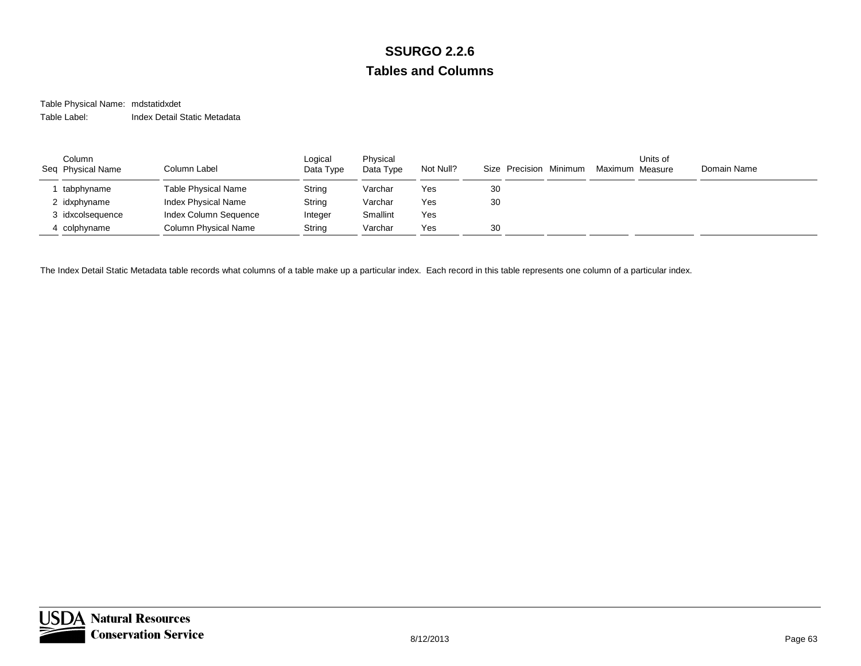#### Table Physical Name: mdstatidxdet Table Label:Index Detail Static Metadata

| Column<br>Seq Physical Name | Column Label          | Logical<br>Data Type | Physical<br>Data Type | Not Null? |    | Size Precision | Minimum | Maximum Measure | Units of | Domain Name |
|-----------------------------|-----------------------|----------------------|-----------------------|-----------|----|----------------|---------|-----------------|----------|-------------|
| tabphyname                  | Table Physical Name   | String               | Varchar               | Yes       | 30 |                |         |                 |          |             |
| 2 idxphyname                | Index Physical Name   | String               | Varchar               | Yes       | 30 |                |         |                 |          |             |
| 3 idxcolsequence            | Index Column Sequence | Integer              | Smallint              | Yes       |    |                |         |                 |          |             |
| 4 colphyname                | Column Physical Name  | String               | Varchar               | Yes       | 30 |                |         |                 |          |             |

The Index Detail Static Metadata table records what columns of a table make up a particular index. Each record in this table represents one column of a particular index.

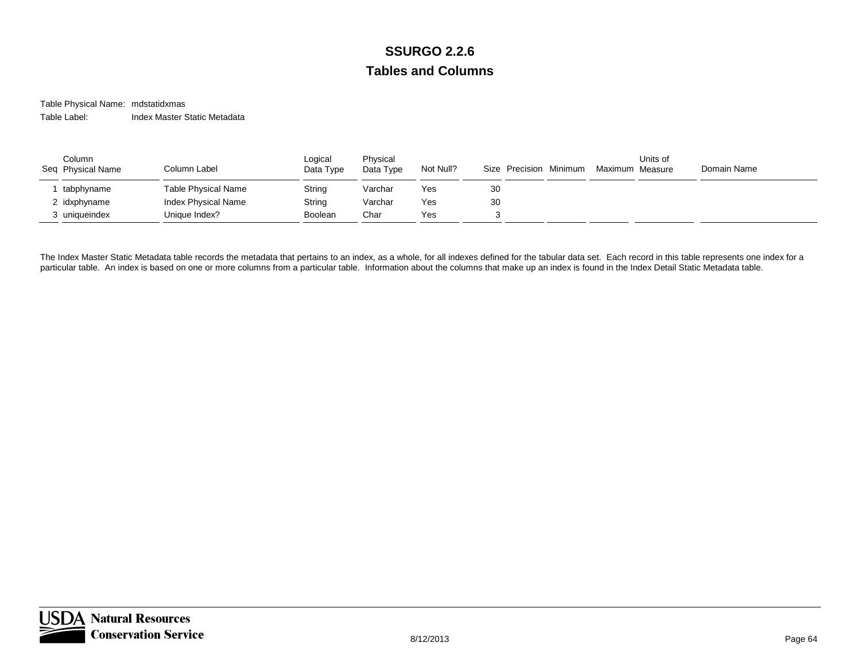#### Table Physical Name: mdstatidxmas Table Label:Index Master Static Metadata

| Column<br>Seq Physical Name | Column Label        | Logical<br>Data Type | Physical<br>Data Type | Not Null? | Size Precision Minimum | Maximum Measure | Units of | Domain Name |
|-----------------------------|---------------------|----------------------|-----------------------|-----------|------------------------|-----------------|----------|-------------|
| tabphyname                  | Table Physical Name | String               | Varchar               | Yes       | 30                     |                 |          |             |
| 2 idxphyname                | Index Physical Name | String               | Varchar               | Yes       | 30                     |                 |          |             |
| 3 uniqueindex               | Unique Index?       | Boolean              | Char                  | Yes       |                        |                 |          |             |

The Index Master Static Metadata table records the metadata that pertains to an index, as a whole, for all indexes defined for the tabular data set. Each record in this table represents one index for a particular table. An index is based on one or more columns from a particular table. Information about the columns that make up an index is found in the Index Detail Static Metadata table.

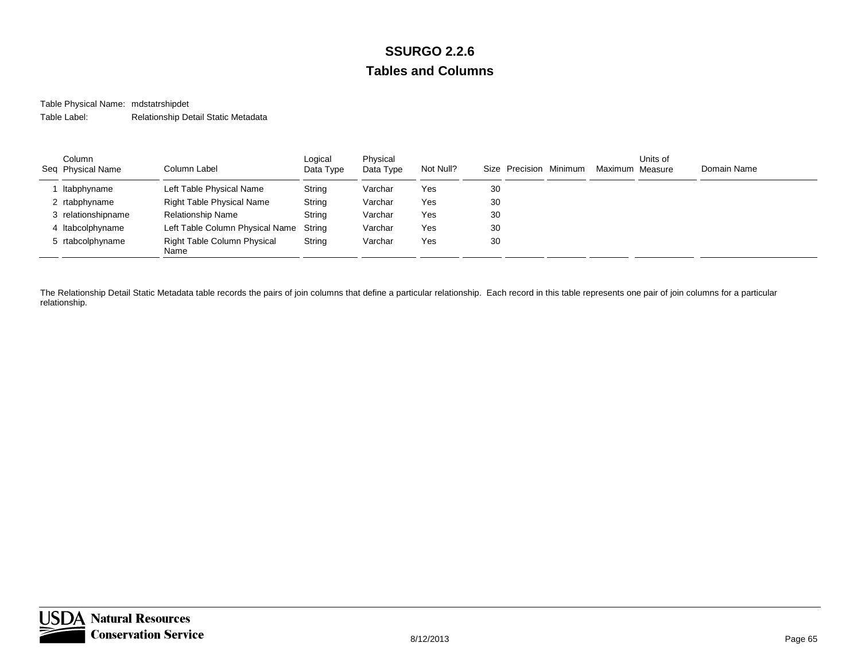Table Physical Name: mdstatrshipdet Table Label:Relationship Detail Static Metadata

| Column<br>Seq Physical Name | Column Label                               | Logical<br>Data Type | Physical<br>Data Type | Not Null? |    | Size Precision Minimum | Maximum Measure | Units of | Domain Name |
|-----------------------------|--------------------------------------------|----------------------|-----------------------|-----------|----|------------------------|-----------------|----------|-------------|
| Itabphyname                 | Left Table Physical Name                   | String               | Varchar               | Yes       | 30 |                        |                 |          |             |
| 2 rtabphyname               | <b>Right Table Physical Name</b>           | String               | Varchar               | Yes       | 30 |                        |                 |          |             |
| 3 relationshipname          | <b>Relationship Name</b>                   | String               | Varchar               | Yes       | 30 |                        |                 |          |             |
| 4 Itabcolphyname            | Left Table Column Physical Name            | Strina               | Varchar               | Yes       | 30 |                        |                 |          |             |
| 5 rtabcolphyname            | <b>Right Table Column Physical</b><br>Name | String               | Varchar               | Yes       | 30 |                        |                 |          |             |

The Relationship Detail Static Metadata table records the pairs of join columns that define a particular relationship. Each record in this table represents one pair of join columns for a particular relationship.

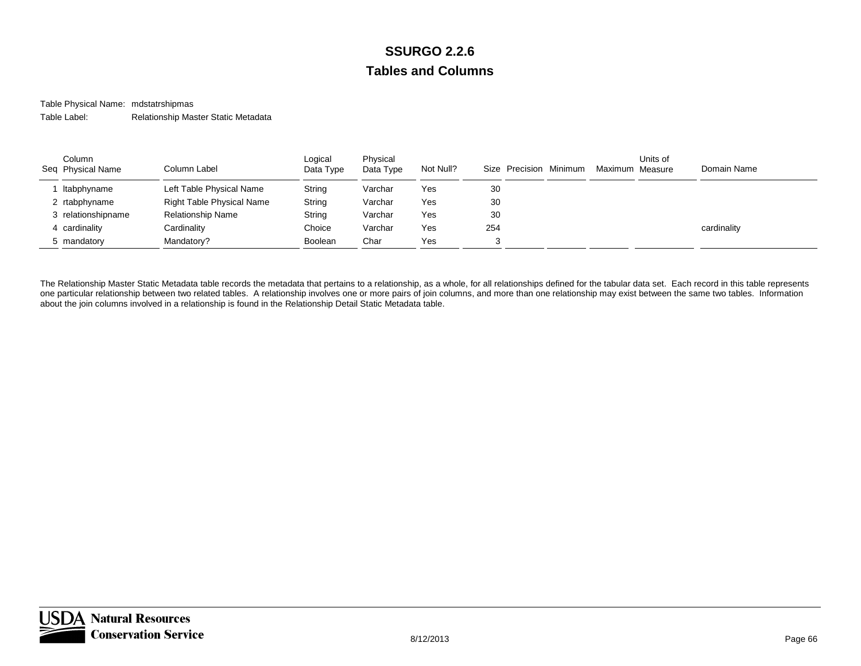Table Physical Name: mdstatrshipmas Table Label:Relationship Master Static Metadata

| Column<br>Seq Physical Name | Column Label                     | Logical<br>Data Type | Physical<br>Data Type | Not Null? |     | Size Precision Minimum | Maximum Measure | Units of | Domain Name |
|-----------------------------|----------------------------------|----------------------|-----------------------|-----------|-----|------------------------|-----------------|----------|-------------|
| Itabphyname                 | Left Table Physical Name         | String               | Varchar               | Yes       | 30  |                        |                 |          |             |
| 2 rtabphyname               | <b>Right Table Physical Name</b> | String               | Varchar               | Yes       | 30  |                        |                 |          |             |
| 3 relationshipname          | <b>Relationship Name</b>         | String               | Varchar               | Yes       | 30  |                        |                 |          |             |
| 4 cardinality               | Cardinality                      | Choice               | Varchar               | Yes       | 254 |                        |                 |          | cardinality |
| 5 mandatory                 | Mandatory?                       | Boolean              | Char                  | Yes       |     |                        |                 |          |             |

The Relationship Master Static Metadata table records the metadata that pertains to a relationship, as a whole, for all relationships defined for the tabular data set. Each record in this table represents one particular relationship between two related tables. A relationship involves one or more pairs of join columns, and more than one relationship may exist between the same two tables. Information about the join columns involved in a relationship is found in the Relationship Detail Static Metadata table.

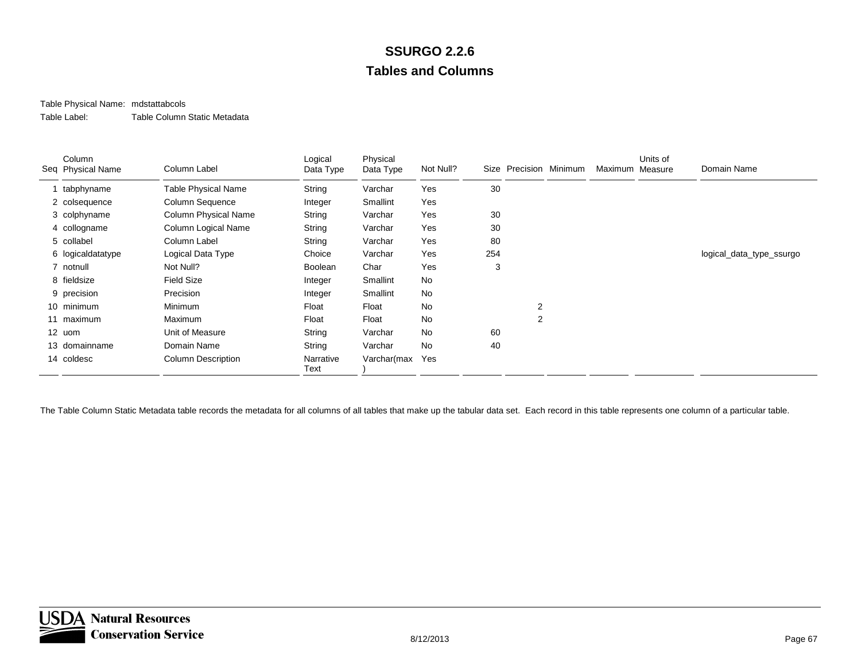#### Table Physical Name: mdstattabcols

Table Label:Table Column Static Metadata

| Column<br>Seq Physical Name | Column Label               | Logical<br>Data Type | Physical<br>Data Type | Not Null? |     |                | Size Precision Minimum | Maximum Measure | Units of | Domain Name              |
|-----------------------------|----------------------------|----------------------|-----------------------|-----------|-----|----------------|------------------------|-----------------|----------|--------------------------|
| tabphyname                  | <b>Table Physical Name</b> | String               | Varchar               | Yes       | 30  |                |                        |                 |          |                          |
| 2 colsequence               | Column Sequence            | Integer              | Smallint              | Yes       |     |                |                        |                 |          |                          |
| 3 colphyname                | Column Physical Name       | String               | Varchar               | Yes       | 30  |                |                        |                 |          |                          |
| 4 collogname                | Column Logical Name        | String               | Varchar               | Yes       | 30  |                |                        |                 |          |                          |
| 5 collabel                  | Column Label               | String               | Varchar               | Yes       | 80  |                |                        |                 |          |                          |
| 6 logicaldatatype           | Logical Data Type          | Choice               | Varchar               | Yes       | 254 |                |                        |                 |          | logical_data_type_ssurgo |
| 7 notnull                   | Not Null?                  | Boolean              | Char                  | Yes       | 3   |                |                        |                 |          |                          |
| 8 fieldsize                 | <b>Field Size</b>          | Integer              | Smallint              | No        |     |                |                        |                 |          |                          |
| 9 precision                 | Precision                  | Integer              | Smallint              | <b>No</b> |     |                |                        |                 |          |                          |
| 10 minimum                  | Minimum                    | Float                | Float                 | No        |     | $\overline{2}$ |                        |                 |          |                          |
| 11 maximum                  | Maximum                    | Float                | Float                 | No        |     | 2              |                        |                 |          |                          |
| 12 uom                      | Unit of Measure            | String               | Varchar               | No        | 60  |                |                        |                 |          |                          |
| 13 domainname               | Domain Name                | String               | Varchar               | <b>No</b> | 40  |                |                        |                 |          |                          |
| 14 coldesc                  | <b>Column Description</b>  | Narrative<br>Text    | Varchar(max           | Yes       |     |                |                        |                 |          |                          |

The Table Column Static Metadata table records the metadata for all columns of all tables that make up the tabular data set. Each record in this table represents one column of a particular table.

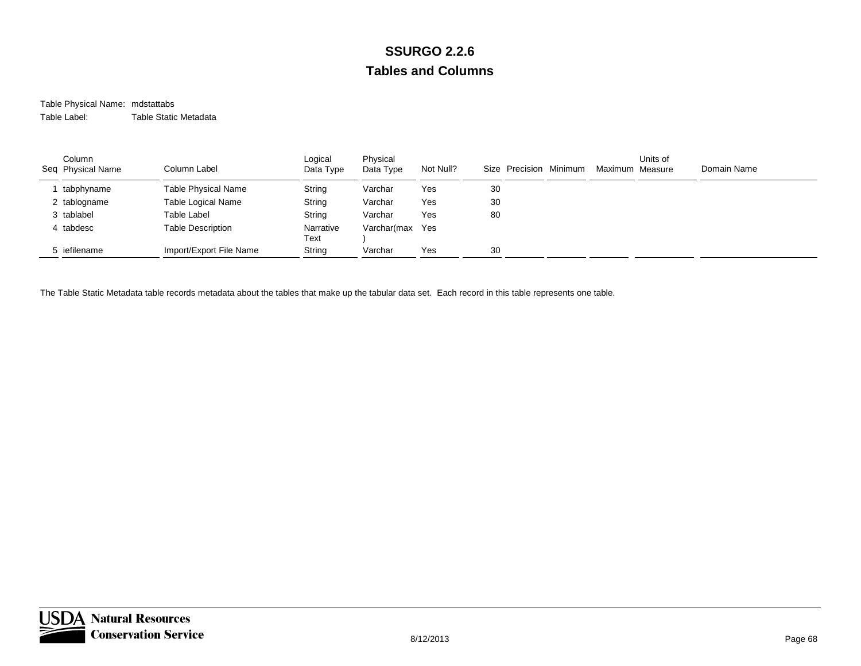#### Table Physical Name: mdstattabs Table Label:Table Static Metadata

| Column<br>Seq Physical Name | Column Label               | Logical<br>Data Type | Physical<br>Data Type | Not Null? | Size Precision Minimum | Maximum Measure | Units of | Domain Name |
|-----------------------------|----------------------------|----------------------|-----------------------|-----------|------------------------|-----------------|----------|-------------|
| tabphyname                  | <b>Table Physical Name</b> | String               | Varchar               | Yes       | 30                     |                 |          |             |
| 2 tablogname                | Table Logical Name         | String               | Varchar               | Yes       | 30                     |                 |          |             |
| 3 tablabel                  | <b>Table Label</b>         | String               | Varchar               | Yes       | 80                     |                 |          |             |
| 4 tabdesc                   | <b>Table Description</b>   | Narrative<br>Text    | Varchar(max           | Yes       |                        |                 |          |             |
| 5 iefilename                | Import/Export File Name    | String               | Varchar               | Yes       | 30                     |                 |          |             |

The Table Static Metadata table records metadata about the tables that make up the tabular data set. Each record in this table represents one table.

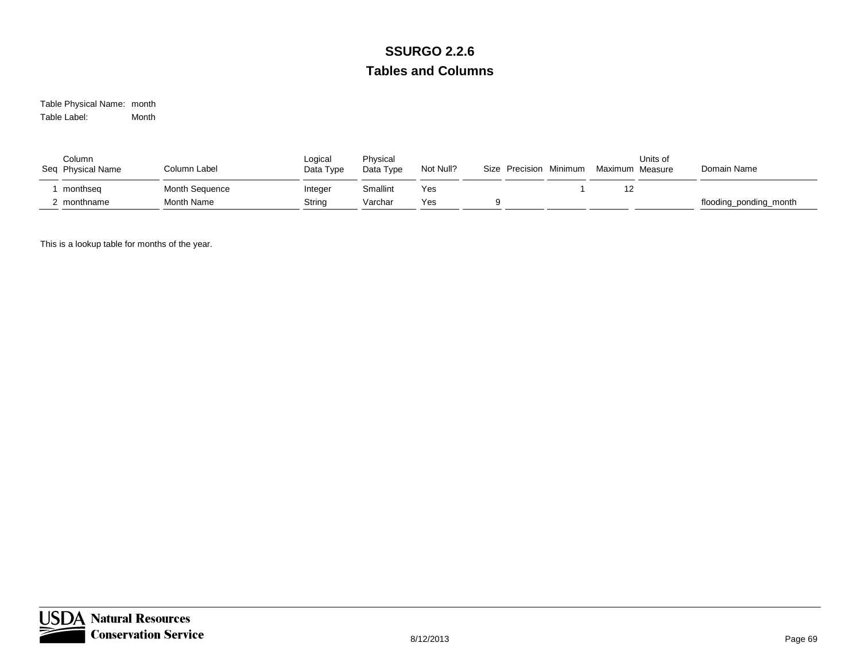Table Physical Name: month Table Label:Month

| Column<br>Seq Physical Name | Column Label      | Logical<br>Data Type | Physical<br>Data Type | Not Null? | Size Precision Minimum | Maximum Measure | Units of | Domain Name            |
|-----------------------------|-------------------|----------------------|-----------------------|-----------|------------------------|-----------------|----------|------------------------|
| monthseg                    | Month Sequence    | Integer              | Smallint              | Yes       |                        | 12              |          |                        |
| : monthname                 | <b>Month Name</b> | String               | Varchar               | Yes       |                        |                 |          | flooding_ponding_month |

This is a lookup table for months of the year.

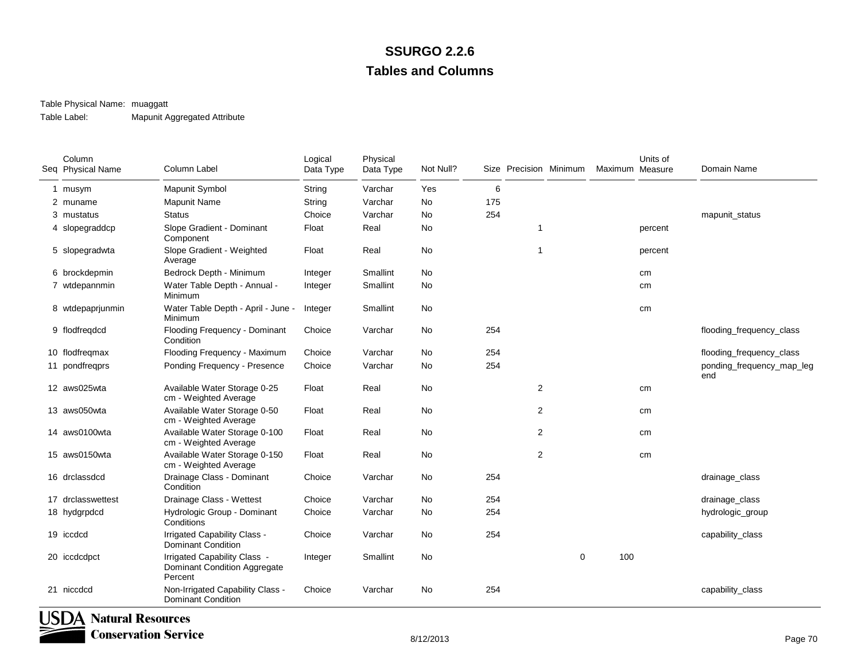#### Table Physical Name: muaggatt

Table Label:Mapunit Aggregated Attribute

| Column<br>Seq Physical Name      | Column Label                                                            | Logical<br>Data Type | Physical<br>Data Type | Not Null? |     | Size Precision Minimum |             | Maximum Measure | Units of | Domain Name                      |
|----------------------------------|-------------------------------------------------------------------------|----------------------|-----------------------|-----------|-----|------------------------|-------------|-----------------|----------|----------------------------------|
| 1 musym                          | Mapunit Symbol                                                          | String               | Varchar               | Yes       | 6   |                        |             |                 |          |                                  |
| 2 muname                         | Mapunit Name                                                            | String               | Varchar               | No        | 175 |                        |             |                 |          |                                  |
| 3 mustatus                       | <b>Status</b>                                                           | Choice               | Varchar               | No.       | 254 |                        |             |                 |          | mapunit_status                   |
| 4 slopegraddcp                   | Slope Gradient - Dominant<br>Component                                  | Float                | Real                  | <b>No</b> |     | $\overline{1}$         |             |                 | percent  |                                  |
| 5 slopegradwta                   | Slope Gradient - Weighted<br>Average                                    | Float                | Real                  | No        |     | $\overline{1}$         |             |                 | percent  |                                  |
| 6 brockdepmin                    | Bedrock Depth - Minimum                                                 | Integer              | <b>Smallint</b>       | No.       |     |                        |             |                 | cm       |                                  |
| 7 wtdepannmin                    | Water Table Depth - Annual -<br>Minimum                                 | Integer              | Smallint              | No        |     |                        |             |                 | cm       |                                  |
| 8 wtdepaprjunmin                 | Water Table Depth - April - June -<br>Minimum                           | Integer              | Smallint              | No        |     |                        |             |                 | cm       |                                  |
| 9 flodfregdcd                    | Flooding Frequency - Dominant<br>Condition                              | Choice               | Varchar               | No        | 254 |                        |             |                 |          | flooding_frequency_class         |
| 10 flodfregmax                   | Flooding Frequency - Maximum                                            | Choice               | Varchar               | No.       | 254 |                        |             |                 |          | flooding_frequency_class         |
| 11 pondfreqprs                   | Ponding Frequency - Presence                                            | Choice               | Varchar               | No        | 254 |                        |             |                 |          | ponding_frequency_map_leg<br>end |
| 12 aws025wta                     | Available Water Storage 0-25<br>cm - Weighted Average                   | Float                | Real                  | No        |     | $\overline{2}$         |             |                 | cm       |                                  |
| 13 aws050wta                     | Available Water Storage 0-50<br>cm - Weighted Average                   | Float                | Real                  | No        |     | $\overline{2}$         |             |                 | cm       |                                  |
| 14 aws0100wta                    | Available Water Storage 0-100<br>cm - Weighted Average                  | Float                | Real                  | No        |     | $\overline{2}$         |             |                 | cm       |                                  |
| 15 aws0150wta                    | Available Water Storage 0-150<br>cm - Weighted Average                  | Float                | Real                  | No.       |     | $\overline{2}$         |             |                 | cm       |                                  |
| 16 drclassdcd                    | Drainage Class - Dominant<br>Condition                                  | Choice               | Varchar               | No        | 254 |                        |             |                 |          | drainage_class                   |
| 17 drclasswettest                | Drainage Class - Wettest                                                | Choice               | Varchar               | No        | 254 |                        |             |                 |          | drainage_class                   |
| 18 hydgrpdcd                     | Hydrologic Group - Dominant<br>Conditions                               | Choice               | Varchar               | No.       | 254 |                        |             |                 |          | hydrologic_group                 |
| 19 iccdcd                        | Irrigated Capability Class -<br><b>Dominant Condition</b>               | Choice               | Varchar               | No        | 254 |                        |             |                 |          | capability_class                 |
| 20 iccdcdpct                     | Irrigated Capability Class -<br>Dominant Condition Aggregate<br>Percent | Integer              | Smallint              | No        |     |                        | $\mathbf 0$ | 100             |          |                                  |
| 21 niccdcd                       | Non-Irrigated Capability Class -<br><b>Dominant Condition</b>           | Choice               | Varchar               | No        | 254 |                        |             |                 |          | capability_class                 |
| USDA<br><b>Natural Resources</b> | Conservation Service                                                    |                      |                       |           |     |                        |             |                 |          |                                  |

**Conservation Service**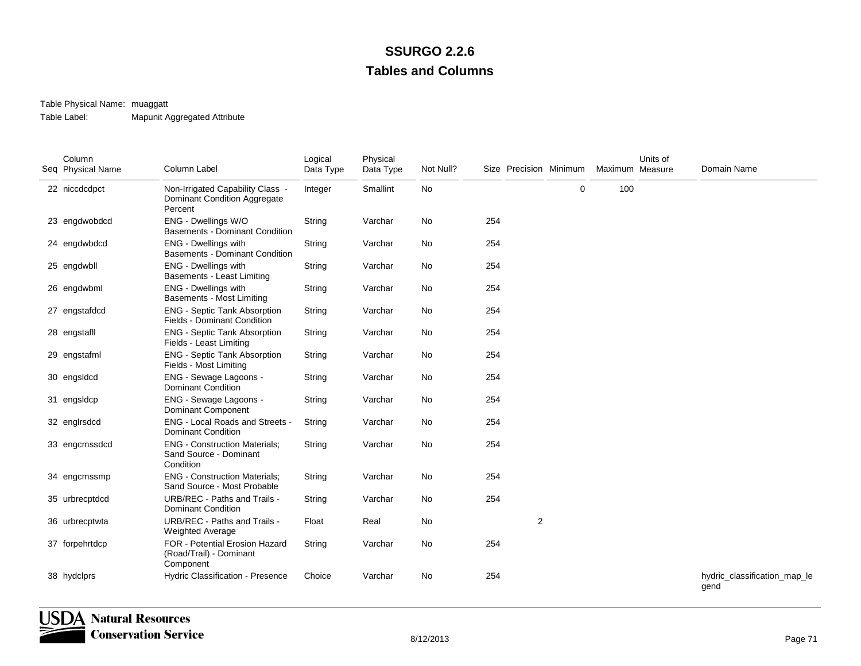#### Table Physical Name: muaggatt

Table Label:Mapunit Aggregated Attribute

| Column<br>Seq Physical Name | Column Label                                                                       | Logical<br>Data Type | Physical<br>Data Type | Not Null? |     |   | Size Precision Minimum | Maximum Measure | Units of | Domain Name                          |
|-----------------------------|------------------------------------------------------------------------------------|----------------------|-----------------------|-----------|-----|---|------------------------|-----------------|----------|--------------------------------------|
| 22 niccdcdpct               | Non-Irrigated Capability Class -<br><b>Dominant Condition Aggregate</b><br>Percent | Integer              | Smallint              | No        |     |   | $\mathbf 0$            | 100             |          |                                      |
| 23 engdwobdcd               | ENG - Dwellings W/O<br><b>Basements - Dominant Condition</b>                       | String               | Varchar               | No        | 254 |   |                        |                 |          |                                      |
| 24 engdwbdcd                | <b>ENG - Dwellings with</b><br><b>Basements - Dominant Condition</b>               | String               | Varchar               | No        | 254 |   |                        |                 |          |                                      |
| 25 engdwbll                 | ENG - Dwellings with<br>Basements - Least Limiting                                 | String               | Varchar               | No        | 254 |   |                        |                 |          |                                      |
| 26 engdwbml                 | ENG - Dwellings with<br>Basements - Most Limiting                                  | String               | Varchar               | No        | 254 |   |                        |                 |          |                                      |
| 27 engstafdcd               | <b>ENG - Septic Tank Absorption</b><br><b>Fields - Dominant Condition</b>          | String               | Varchar               | No        | 254 |   |                        |                 |          |                                      |
| 28 engstafll                | <b>ENG - Septic Tank Absorption</b><br>Fields - Least Limiting                     | String               | Varchar               | <b>No</b> | 254 |   |                        |                 |          |                                      |
| 29 engstafml                | <b>ENG - Septic Tank Absorption</b><br>Fields - Most Limiting                      | String               | Varchar               | No        | 254 |   |                        |                 |          |                                      |
| 30 engsldcd                 | ENG - Sewage Lagoons -<br><b>Dominant Condition</b>                                | String               | Varchar               | No        | 254 |   |                        |                 |          |                                      |
| 31 engsldcp                 | ENG - Sewage Lagoons -<br><b>Dominant Component</b>                                | String               | Varchar               | No        | 254 |   |                        |                 |          |                                      |
| 32 englrsdcd                | ENG - Local Roads and Streets -<br><b>Dominant Condition</b>                       | String               | Varchar               | No        | 254 |   |                        |                 |          |                                      |
| 33 engcmssdcd               | <b>ENG - Construction Materials;</b><br>Sand Source - Dominant<br>Condition        | String               | Varchar               | No        | 254 |   |                        |                 |          |                                      |
| 34 engcmssmp                | <b>ENG - Construction Materials:</b><br>Sand Source - Most Probable                | String               | Varchar               | No        | 254 |   |                        |                 |          |                                      |
| 35 urbrecptdcd              | URB/REC - Paths and Trails -<br><b>Dominant Condition</b>                          | String               | Varchar               | No        | 254 |   |                        |                 |          |                                      |
| 36 urbrecptwta              | URB/REC - Paths and Trails -<br><b>Weighted Average</b>                            | Float                | Real                  | No        |     | 2 |                        |                 |          |                                      |
| 37 forpehrtdcp              | FOR - Potential Erosion Hazard<br>(Road/Trail) - Dominant<br>Component             | String               | Varchar               | No        | 254 |   |                        |                 |          |                                      |
| 38 hydclprs                 | Hydric Classification - Presence                                                   | Choice               | Varchar               | No        | 254 |   |                        |                 |          | hydric_classification_map_le<br>gend |

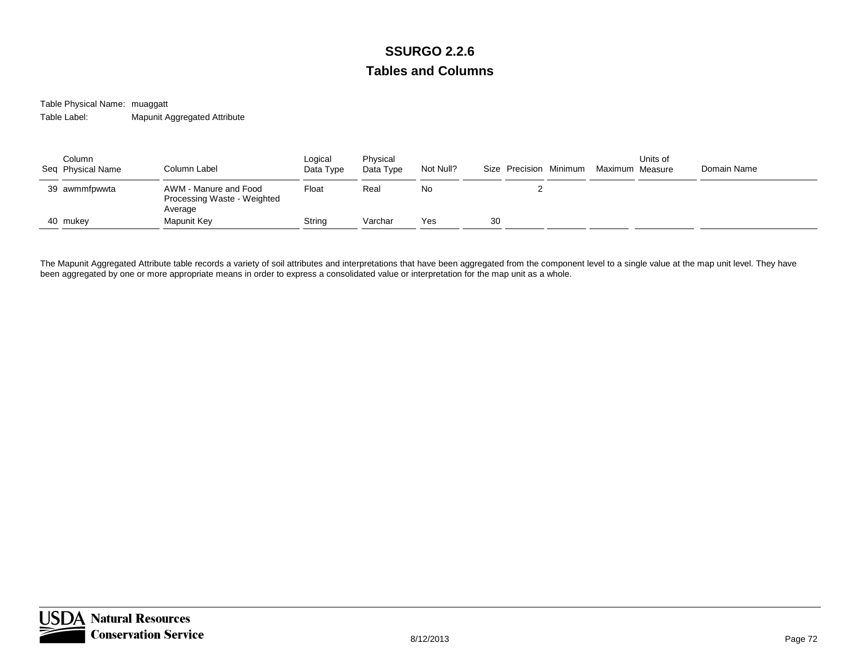Table Physical Name: muaggatt Table Label:Mapunit Aggregated Attribute

| Column<br>Seq Physical Name | Column Label                                                    | Logical<br>Data Type | Physical<br>Data Type | Not Null? | Size Precision Minimum | Maximum Measure | Units of | Domain Name |
|-----------------------------|-----------------------------------------------------------------|----------------------|-----------------------|-----------|------------------------|-----------------|----------|-------------|
| 39 awmmfpwwta               | AWM - Manure and Food<br>Processing Waste - Weighted<br>Average | Float                | Real                  | No        | ∼                      |                 |          |             |
| 40 mukey                    | Mapunit Key                                                     | String               | Varchar               | Yes       | 30                     |                 |          |             |

The Mapunit Aggregated Attribute table records a variety of soil attributes and interpretations that have been aggregated from the component level to a single value at the map unit level. They have been aggregated by one or more appropriate means in order to express a consolidated value or interpretation for the map unit as a whole.

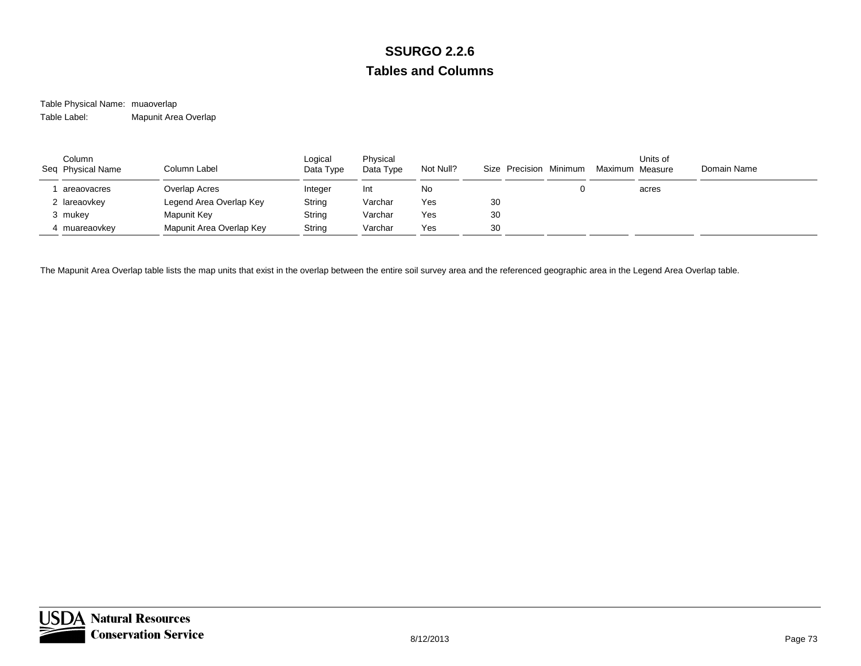Table Physical Name: muaoverlap Table Label:Mapunit Area Overlap

| Column<br>Seq Physical Name | Column Label             | Logical<br>Data Type | Physical<br>Data Type | Not Null? | Size Precision Minimum |  | Units of<br>Maximum Measure | Domain Name |
|-----------------------------|--------------------------|----------------------|-----------------------|-----------|------------------------|--|-----------------------------|-------------|
| areaovacres                 | Overlap Acres            | Integer              | Int                   | No        |                        |  | acres                       |             |
| 2 lareaovkey                | Legend Area Overlap Key  | String               | Varchar               | Yes       | 30                     |  |                             |             |
| 3 mukey                     | Mapunit Key              | String               | Varchar               | Yes       | 30                     |  |                             |             |
| 4 muareaovkey               | Mapunit Area Overlap Key | String               | Varchar               | Yes       | 30                     |  |                             |             |

The Mapunit Area Overlap table lists the map units that exist in the overlap between the entire soil survey area and the referenced geographic area in the Legend Area Overlap table.

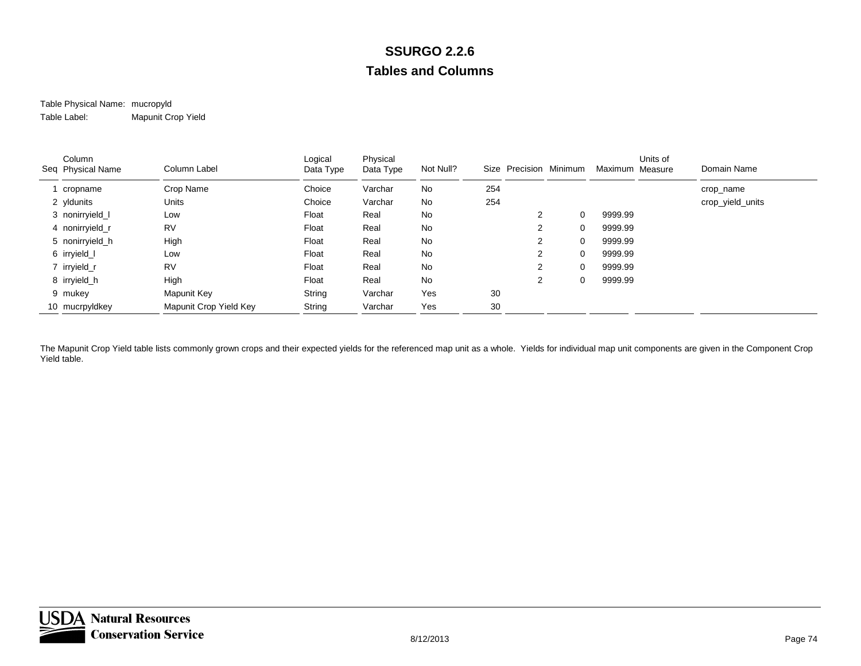### Table Physical Name: mucropyld Table Label:Mapunit Crop Yield

| Column<br>Seq Physical Name | Column Label           | Logical<br>Data Type | Physical<br>Data Type | Not Null? |     | Size Precision Minimum |          | Maximum Measure | Units of | Domain Name      |
|-----------------------------|------------------------|----------------------|-----------------------|-----------|-----|------------------------|----------|-----------------|----------|------------------|
| cropname                    | Crop Name              | Choice               | Varchar               | No        | 254 |                        |          |                 |          | crop_name        |
| 2 yldunits                  | Units                  | Choice               | Varchar               | No        | 254 |                        |          |                 |          | crop_yield_units |
| 3 nonirryield_l             | Low                    | Float                | Real                  | No        |     | 2                      |          | 9999.99         |          |                  |
| 4 nonirryield_r             | <b>RV</b>              | Float                | Real                  | No        |     | $\overline{2}$         | $\Omega$ | 9999.99         |          |                  |
| 5 nonirryield_h             | High                   | Float                | Real                  | No        |     | $\overline{2}$         | $\Omega$ | 9999.99         |          |                  |
| 6 irryield_l                | Low                    | Float                | Real                  | No        |     | $\overline{2}$         |          | 9999.99         |          |                  |
| 7 irryield_r                | <b>RV</b>              | Float                | Real                  | No        |     | 2                      |          | 9999.99         |          |                  |
| 8 irryield h                | High                   | Float                | Real                  | No        |     | $\overline{2}$         | $\Omega$ | 9999.99         |          |                  |
| 9 mukey                     | Mapunit Key            | String               | Varchar               | Yes       | 30  |                        |          |                 |          |                  |
| 10 mucrpyldkey              | Mapunit Crop Yield Key | String               | Varchar               | Yes       | 30  |                        |          |                 |          |                  |

The Mapunit Crop Yield table lists commonly grown crops and their expected yields for the referenced map unit as a whole. Yields for individual map unit components are given in the Component Crop Yield table.

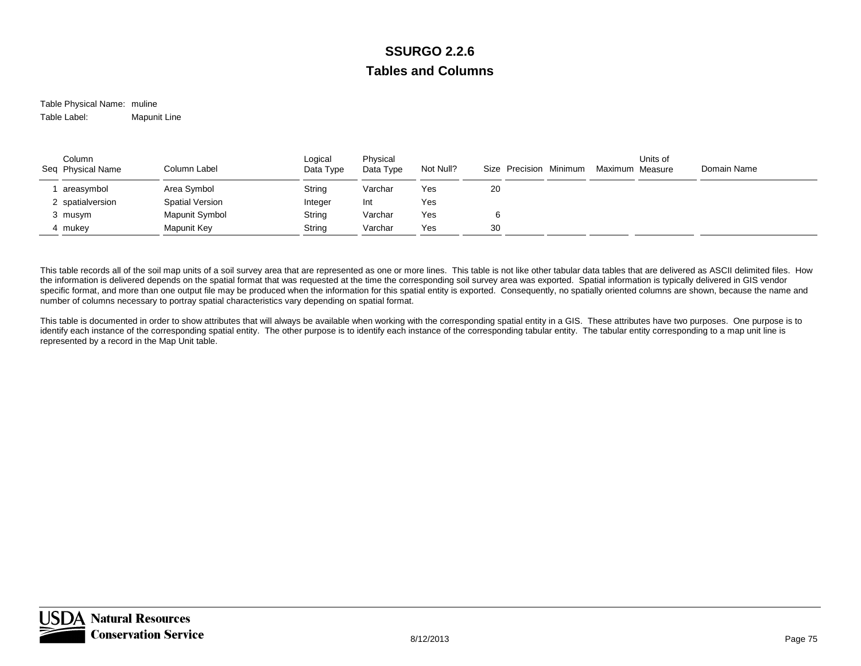Table Physical Name: muline Table Label:Mapunit Line

| Column<br>Seq Physical Name | Column Label           | Logical<br>Data Type | Physical<br>Data Type | Not Null? | Size Precision Minimum | Maximum Measure | Units of | Domain Name |
|-----------------------------|------------------------|----------------------|-----------------------|-----------|------------------------|-----------------|----------|-------------|
| areasymbol                  | Area Symbol            | String               | Varchar               | Yes       | 20                     |                 |          |             |
| 2 spatialversion            | <b>Spatial Version</b> | Integer              | Int                   | Yes       |                        |                 |          |             |
| 3 musym                     | Mapunit Symbol         | String               | Varchar               | Yes       |                        |                 |          |             |
| mukev                       | Mapunit Key            | String               | Varchar               | Yes       | 30                     |                 |          |             |

This table records all of the soil map units of a soil survey area that are represented as one or more lines. This table is not like other tabular data tables that are delivered as ASCII delimited files. How the information is delivered depends on the spatial format that was requested at the time the corresponding soil survey area was exported. Spatial information is typically delivered in GIS vendor specific format, and more than one output file may be produced when the information for this spatial entity is exported. Consequently, no spatially oriented columns are shown, because the name and number of columns necessary to portray spatial characteristics vary depending on spatial format.

This table is documented in order to show attributes that will always be available when working with the corresponding spatial entity in a GIS. These attributes have two purposes. One purpose is to identify each instance of the corresponding spatial entity. The other purpose is to identify each instance of the corresponding tabular entity. The tabular entity corresponding to a map unit line is represented by a record in the Map Unit table.

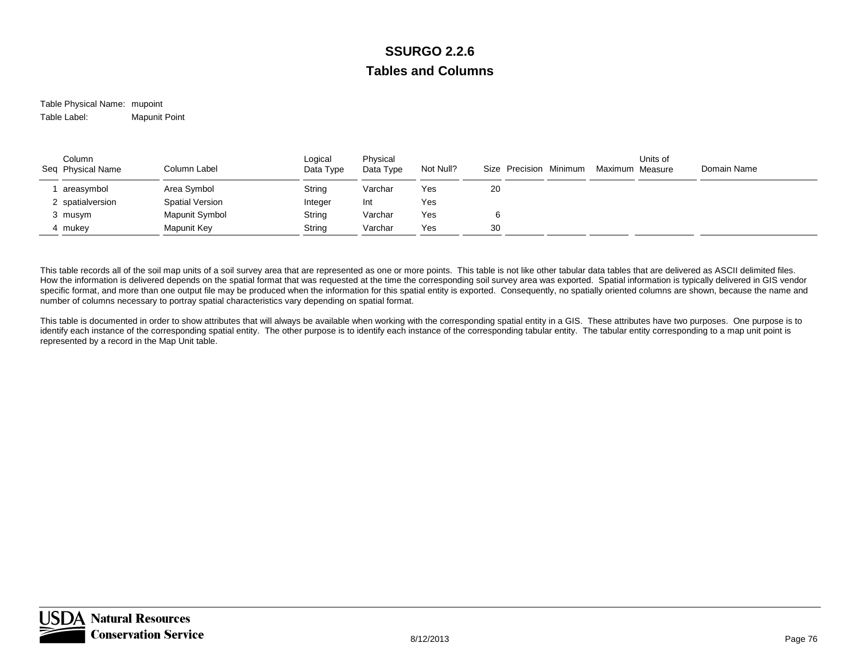Table Physical Name: mupoint Table Label:Mapunit Point

| Column<br>Seq Physical Name | Column Label           | Logical<br>Data Type | Physical<br>Data Type | Not Null? | Size Precision Minimum | Maximum Measure | Units of | Domain Name |
|-----------------------------|------------------------|----------------------|-----------------------|-----------|------------------------|-----------------|----------|-------------|
| areasymbol                  | Area Symbol            | String               | Varchar               | Yes       | 20                     |                 |          |             |
| 2 spatialversion            | <b>Spatial Version</b> | Integer              | Int                   | Yes       |                        |                 |          |             |
| 3 musym                     | Mapunit Symbol         | String               | Varchar               | Yes       |                        |                 |          |             |
| mukev                       | Mapunit Key            | String               | Varchar               | Yes       | 30                     |                 |          |             |

This table records all of the soil map units of a soil survey area that are represented as one or more points. This table is not like other tabular data tables that are delivered as ASCII delimited files. How the information is delivered depends on the spatial format that was requested at the time the corresponding soil survey area was exported. Spatial information is typically delivered in GIS vendor specific format, and more than one output file may be produced when the information for this spatial entity is exported. Consequently, no spatially oriented columns are shown, because the name and number of columns necessary to portray spatial characteristics vary depending on spatial format.

This table is documented in order to show attributes that will always be available when working with the corresponding spatial entity in a GIS. These attributes have two purposes. One purpose is to identify each instance of the corresponding spatial entity. The other purpose is to identify each instance of the corresponding tabular entity. The tabular entity corresponding to a map unit point is represented by a record in the Map Unit table.

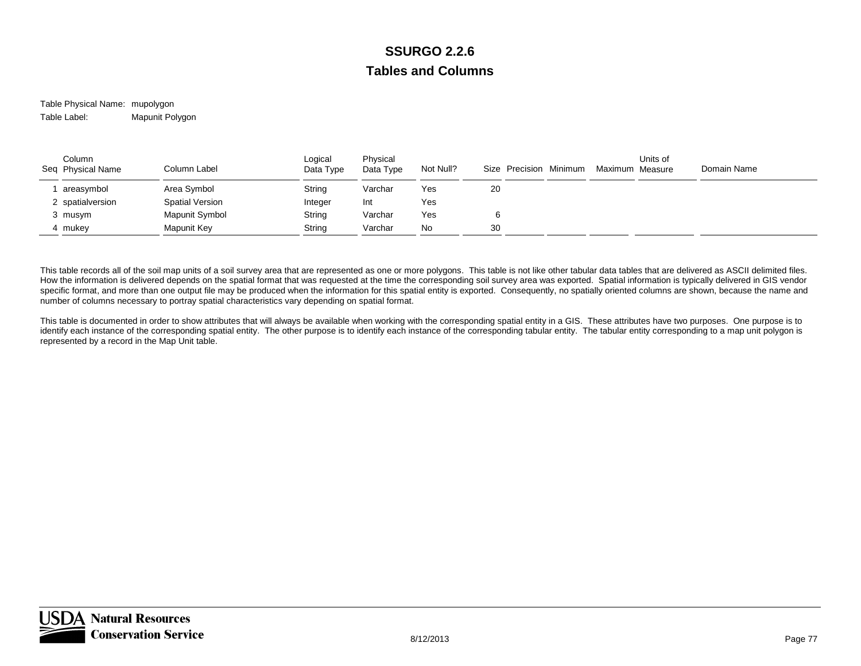### Table Physical Name: mupolygon Table Label:Mapunit Polygon

| Column<br>Seq Physical Name | Column Label           | Logical<br>Data Type | Physical<br>Data Type | Not Null? | Size Precision Minimum | Maximum Measure | Units of | Domain Name |
|-----------------------------|------------------------|----------------------|-----------------------|-----------|------------------------|-----------------|----------|-------------|
| areasymbol                  | Area Symbol            | String               | Varchar               | Yes       | 20                     |                 |          |             |
| 2 spatialversion            | <b>Spatial Version</b> | Integer              | Int                   | Yes       |                        |                 |          |             |
| 3 musym                     | Mapunit Symbol         | String               | Varchar               | Yes       |                        |                 |          |             |
| mukev                       | Mapunit Key            | String               | Varchar               | No        | 30                     |                 |          |             |

This table records all of the soil map units of a soil survey area that are represented as one or more polygons. This table is not like other tabular data tables that are delivered as ASCII delimited files. How the information is delivered depends on the spatial format that was requested at the time the corresponding soil survey area was exported. Spatial information is typically delivered in GIS vendor specific format, and more than one output file may be produced when the information for this spatial entity is exported. Consequently, no spatially oriented columns are shown, because the name and number of columns necessary to portray spatial characteristics vary depending on spatial format.

This table is documented in order to show attributes that will always be available when working with the corresponding spatial entity in a GIS. These attributes have two purposes. One purpose is to identify each instance of the corresponding spatial entity. The other purpose is to identify each instance of the corresponding tabular entity. The tabular entity corresponding to a map unit polygon is represented by a record in the Map Unit table.

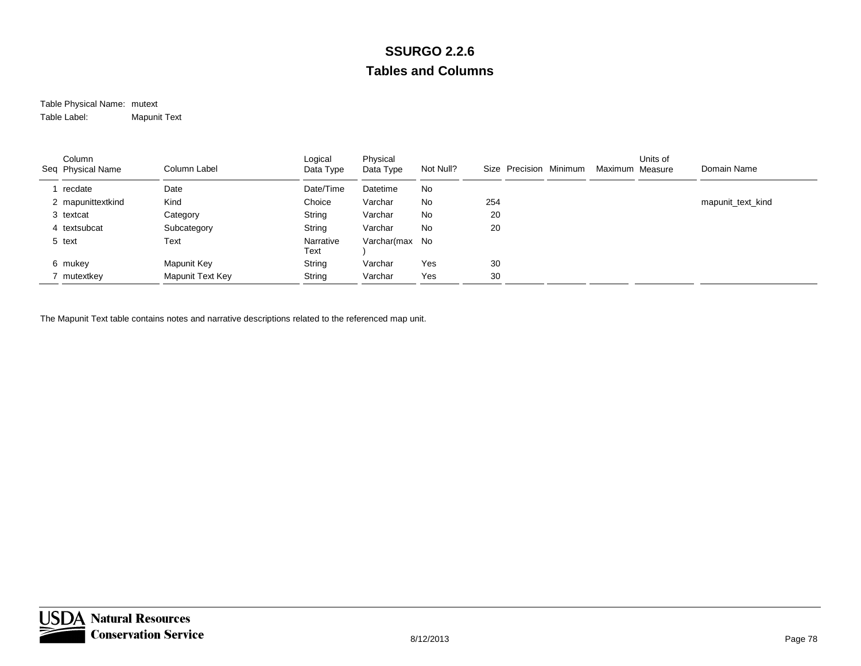### Table Physical Name: mutext Table Label:Mapunit Text

| Column<br>Seq Physical Name | Column Label     | Logical<br>Data Type | Physical<br>Data Type | Not Null? | Size Precision Minimum | Maximum Measure | Units of | Domain Name       |
|-----------------------------|------------------|----------------------|-----------------------|-----------|------------------------|-----------------|----------|-------------------|
| recdate                     | Date             | Date/Time            | Datetime              | No        |                        |                 |          |                   |
| 2 mapunittextkind           | Kind             | Choice               | Varchar               | No        | 254                    |                 |          | mapunit_text_kind |
| 3 textcat                   | Category         | String               | Varchar               | No        | 20                     |                 |          |                   |
| 4 textsubcat                | Subcategory      | String               | Varchar               | No        | 20                     |                 |          |                   |
| 5 text                      | Text             | Narrative<br>Text    | Varchar(max           | No.       |                        |                 |          |                   |
| 6 mukey                     | Mapunit Key      | String               | Varchar               | Yes       | 30                     |                 |          |                   |
| mutextkey                   | Mapunit Text Key | String               | Varchar               | Yes       | 30                     |                 |          |                   |

The Mapunit Text table contains notes and narrative descriptions related to the referenced map unit.

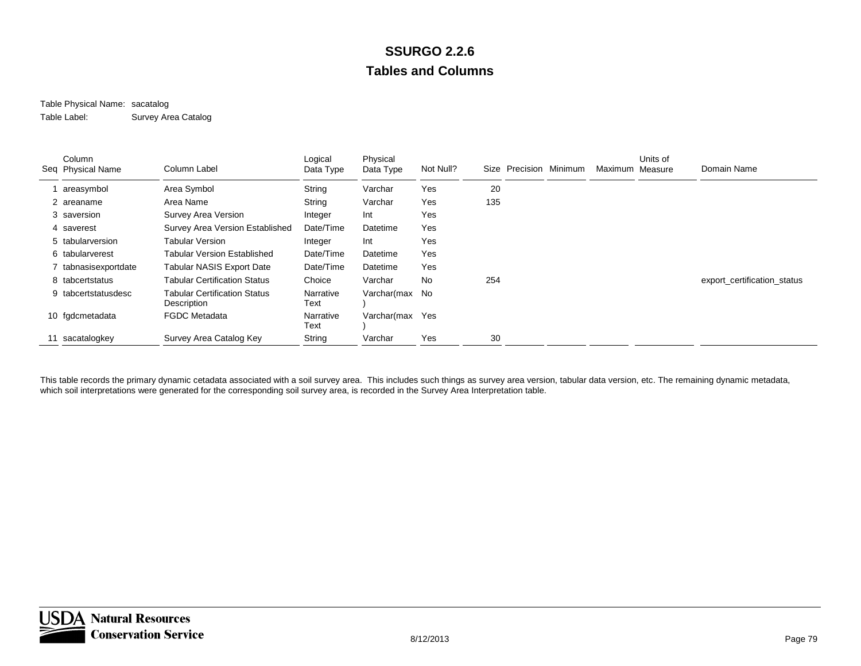### Table Physical Name: sacatalog Table Label:Survey Area Catalog

| Column<br>Seq Physical Name | Column Label                                       | Logical<br>Data Type | Physical<br>Data Type | Not Null? | Size | Precision Minimum | Maximum Measure | Units of | Domain Name                 |
|-----------------------------|----------------------------------------------------|----------------------|-----------------------|-----------|------|-------------------|-----------------|----------|-----------------------------|
| areasymbol                  | Area Symbol                                        | String               | Varchar               | Yes       | 20   |                   |                 |          |                             |
| 2 areaname                  | Area Name                                          | String               | Varchar               | Yes       | 135  |                   |                 |          |                             |
| 3 saversion                 | Survey Area Version                                | Integer              | Int                   | Yes       |      |                   |                 |          |                             |
| 4 saverest                  | Survey Area Version Established                    | Date/Time            | Datetime              | Yes       |      |                   |                 |          |                             |
| 5 tabularversion            | Tabular Version                                    | Integer              | Int                   | Yes       |      |                   |                 |          |                             |
| 6 tabularverest             | Tabular Version Established                        | Date/Time            | Datetime              | Yes       |      |                   |                 |          |                             |
| tabnasisexportdate          | <b>Tabular NASIS Export Date</b>                   | Date/Time            | Datetime              | Yes       |      |                   |                 |          |                             |
| 8 tabcertstatus             | <b>Tabular Certification Status</b>                | Choice               | Varchar               | No        | 254  |                   |                 |          | export_certification_status |
| 9 tabcertstatusdesc         | <b>Tabular Certification Status</b><br>Description | Narrative<br>Text    | Varchar(max No        |           |      |                   |                 |          |                             |
| 10 fgdcmetadata             | <b>FGDC</b> Metadata                               | Narrative<br>Text    | Varchar(max           | Yes       |      |                   |                 |          |                             |
| sacatalogkey                | Survey Area Catalog Key                            | String               | Varchar               | Yes       | 30   |                   |                 |          |                             |

This table records the primary dynamic cetadata associated with a soil survey area. This includes such things as survey area version, tabular data version, etc. The remaining dynamic metadata, which soil interpretations were generated for the corresponding soil survey area, is recorded in the Survey Area Interpretation table.

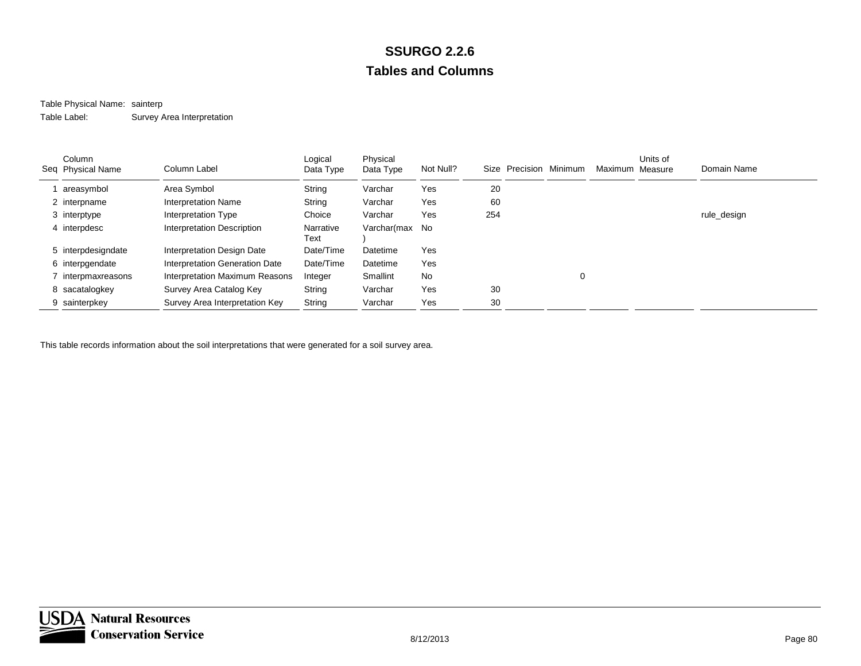## Table Physical Name: sainterp

Table Label:Survey Area Interpretation

| Column<br>Seq Physical Name | Column Label                   | Logical<br>Data Type | Physical<br>Data Type | Not Null? | Size Precision Minimum |   | Maximum Measure | Units of | Domain Name |
|-----------------------------|--------------------------------|----------------------|-----------------------|-----------|------------------------|---|-----------------|----------|-------------|
| areasymbol                  | Area Symbol                    | String               | Varchar               | Yes       | 20                     |   |                 |          |             |
| 2 interpname                | <b>Interpretation Name</b>     | String               | Varchar               | Yes       | 60                     |   |                 |          |             |
| 3 interptype                | Interpretation Type            | Choice               | Varchar               | Yes       | 254                    |   |                 |          | rule_design |
| 4 interpdesc                | Interpretation Description     | Narrative<br>Text    | Varchar(max No        |           |                        |   |                 |          |             |
| 5 interpdesigndate          | Interpretation Design Date     | Date/Time            | Datetime              | Yes       |                        |   |                 |          |             |
| 6 interpgendate             | Interpretation Generation Date | Date/Time            | Datetime              | Yes       |                        |   |                 |          |             |
| interpmaxreasons            | Interpretation Maximum Reasons | Integer              | Smallint              | No        |                        | 0 |                 |          |             |
| 8 sacatalogkey              | Survey Area Catalog Key        | String               | Varchar               | Yes       | 30                     |   |                 |          |             |
| 9 sainterpkey               | Survey Area Interpretation Key | String               | Varchar               | Yes       | 30                     |   |                 |          |             |

This table records information about the soil interpretations that were generated for a soil survey area.

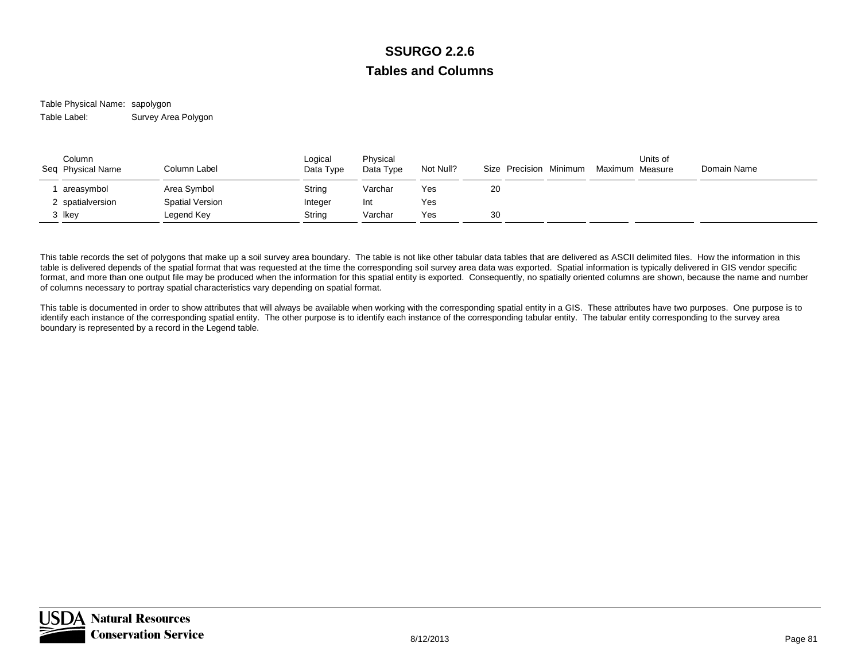Table Physical Name: sapolygon Table Label:Survey Area Polygon

| Column<br>Seq Physical Name | Column Label    | Logical<br>Data Type | Physical<br>Data Type | Not Null? | Size Precision Minimum | Maximum Measure | Units of | Domain Name |  |
|-----------------------------|-----------------|----------------------|-----------------------|-----------|------------------------|-----------------|----------|-------------|--|
| areasymbol                  | Area Symbol     | String               | Varchar               | Yes       | 20                     |                 |          |             |  |
| spatialversion              | Spatial Version | Integer              | Int                   | Yes       |                        |                 |          |             |  |
| 3 Ikey                      | Legend Key      | String               | Varchar               | Yes       | 30                     |                 |          |             |  |

This table records the set of polygons that make up a soil survey area boundary. The table is not like other tabular data tables that are delivered as ASCII delimited files. How the information in this table is delivered depends of the spatial format that was requested at the time the corresponding soil survey area data was exported. Spatial information is typically delivered in GIS vendor specific format, and more than one output file may be produced when the information for this spatial entity is exported. Consequently, no spatially oriented columns are shown, because the name and number of columns necessary to portray spatial characteristics vary depending on spatial format.

This table is documented in order to show attributes that will always be available when working with the corresponding spatial entity in a GIS. These attributes have two purposes. One purpose is to identify each instance of the corresponding spatial entity. The other purpose is to identify each instance of the corresponding tabular entity. The tabular entity corresponding to the survey area boundary is represented by a record in the Legend table.

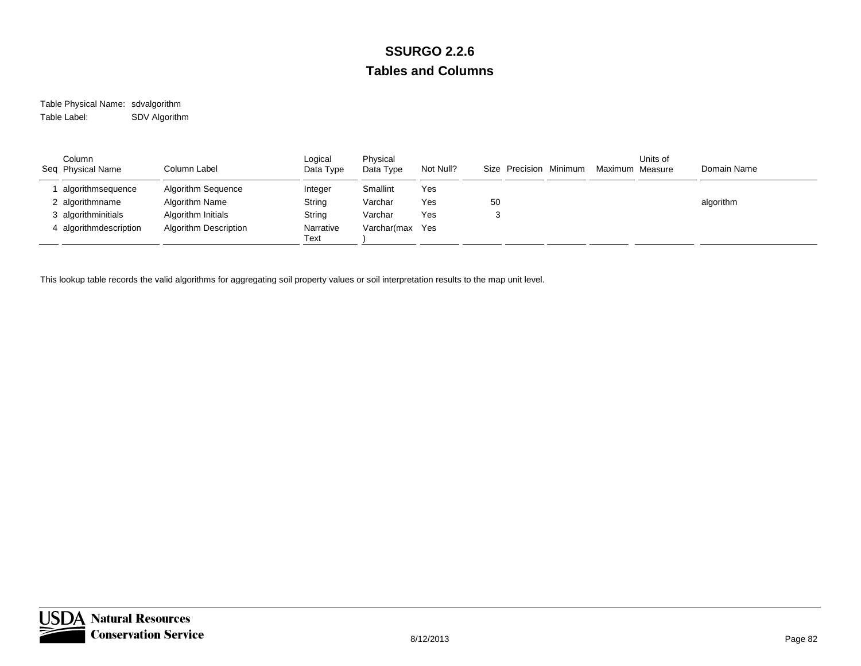Table Physical Name: sdvalgorithm Table Label:SDV Algorithm

| Column<br>Seq Physical Name | Column Label          | Logical<br>Data Type | Physical<br>Data Type | Not Null? | Size Precision Minimum | Maximum Measure | Units of | Domain Name |
|-----------------------------|-----------------------|----------------------|-----------------------|-----------|------------------------|-----------------|----------|-------------|
| algorithmsequence           | Algorithm Sequence    | Integer              | Smallint              | Yes       |                        |                 |          |             |
| 2 algorithmname             | Algorithm Name        | String               | Varchar               | Yes       | 50                     |                 |          | algorithm   |
| 3 algorithminitials         | Algorithm Initials    | String               | Varchar               | Yes       |                        |                 |          |             |
| 4 algorithmdescription      | Algorithm Description | Narrative<br>Text    | Varchar(max           | Yes       |                        |                 |          |             |

This lookup table records the valid algorithms for aggregating soil property values or soil interpretation results to the map unit level.

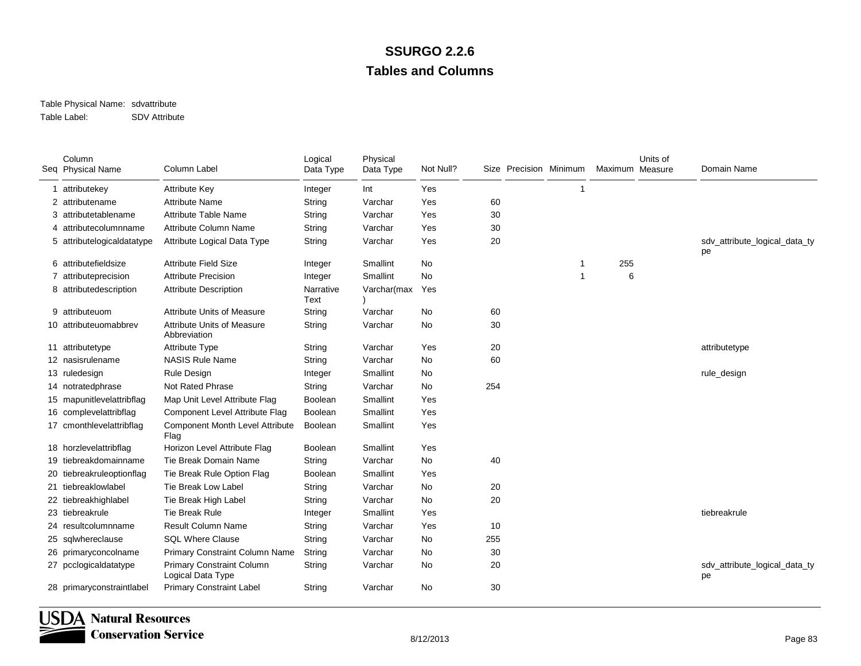### Table Physical Name: sdvattribute Table Label:SDV Attribute

|    | Column<br>Seq Physical Name | Column Label                                          | Logical<br>Data Type | Physical<br>Data Type | Not Null? |     | Size Precision Minimum | Maximum Measure | Units of | Domain Name                         |
|----|-----------------------------|-------------------------------------------------------|----------------------|-----------------------|-----------|-----|------------------------|-----------------|----------|-------------------------------------|
|    | 1 attributekey              | <b>Attribute Key</b>                                  | Integer              | Int                   | Yes       |     | 1                      |                 |          |                                     |
| 2  | attributename               | <b>Attribute Name</b>                                 | String               | Varchar               | Yes       | 60  |                        |                 |          |                                     |
| 3  | attributetablename          | <b>Attribute Table Name</b>                           | String               | Varchar               | Yes       | 30  |                        |                 |          |                                     |
| 4  | attributecolumnname         | <b>Attribute Column Name</b>                          | String               | Varchar               | Yes       | 30  |                        |                 |          |                                     |
|    | 5 attributelogicaldatatype  | Attribute Logical Data Type                           | String               | Varchar               | Yes       | 20  |                        |                 |          | sdv_attribute_logical_data_ty<br>pe |
|    | 6 attributefieldsize        | <b>Attribute Field Size</b>                           | Integer              | Smallint              | <b>No</b> |     | 1                      | 255             |          |                                     |
|    | 7 attributeprecision        | <b>Attribute Precision</b>                            | Integer              | Smallint              | No        |     | 1                      | 6               |          |                                     |
|    | 8 attributedescription      | <b>Attribute Description</b>                          | Narrative<br>Text    | Varchar(max           | Yes       |     |                        |                 |          |                                     |
|    | 9 attributeuom              | <b>Attribute Units of Measure</b>                     | String               | Varchar               | No        | 60  |                        |                 |          |                                     |
|    | 10 attributeuomabbrev       | <b>Attribute Units of Measure</b><br>Abbreviation     | String               | Varchar               | No        | 30  |                        |                 |          |                                     |
|    | 11 attributetype            | <b>Attribute Type</b>                                 | String               | Varchar               | Yes       | 20  |                        |                 |          | attributetype                       |
|    | 12 nasisrulename            | <b>NASIS Rule Name</b>                                | String               | Varchar               | <b>No</b> | 60  |                        |                 |          |                                     |
|    | 13 ruledesign               | Rule Design                                           | Integer              | Smallint              | No        |     |                        |                 |          | rule_design                         |
|    | 14 notratedphrase           | <b>Not Rated Phrase</b>                               | String               | Varchar               | No        | 254 |                        |                 |          |                                     |
|    | 15 mapunitlevelattribflag   | Map Unit Level Attribute Flag                         | Boolean              | Smallint              | Yes       |     |                        |                 |          |                                     |
|    | 16 complevelattribilag      | Component Level Attribute Flag                        | Boolean              | Smallint              | Yes       |     |                        |                 |          |                                     |
|    | 17 cmonthlevelattribflag    | <b>Component Month Level Attribute</b><br>Flag        | Boolean              | Smallint              | Yes       |     |                        |                 |          |                                     |
|    | 18 horzlevelattribflag      | Horizon Level Attribute Flag                          | Boolean              | Smallint              | Yes       |     |                        |                 |          |                                     |
|    | 19 tiebreakdomainname       | Tie Break Domain Name                                 | String               | Varchar               | No        | 40  |                        |                 |          |                                     |
|    | 20 tiebreakruleoptionflag   | Tie Break Rule Option Flag                            | Boolean              | Smallint              | Yes       |     |                        |                 |          |                                     |
|    | 21 tiebreaklowlabel         | Tie Break Low Label                                   | String               | Varchar               | <b>No</b> | 20  |                        |                 |          |                                     |
|    | 22 tiebreakhighlabel        | Tie Break High Label                                  | String               | Varchar               | <b>No</b> | 20  |                        |                 |          |                                     |
|    | 23 tiebreakrule             | <b>Tie Break Rule</b>                                 | Integer              | Smallint              | Yes       |     |                        |                 |          | tiebreakrule                        |
|    | 24 resultcolumnname         | <b>Result Column Name</b>                             | String               | Varchar               | Yes       | 10  |                        |                 |          |                                     |
|    | 25 sqlwhereclause           | <b>SQL Where Clause</b>                               | String               | Varchar               | <b>No</b> | 255 |                        |                 |          |                                     |
| 26 | primaryconcolname           | Primary Constraint Column Name                        | String               | Varchar               | <b>No</b> | 30  |                        |                 |          |                                     |
|    | 27 pcclogicaldatatype       | <b>Primary Constraint Column</b><br>Logical Data Type | String               | Varchar               | No        | 20  |                        |                 |          | sdv_attribute_logical_data_ty<br>pe |
|    | 28 primaryconstraintlabel   | <b>Primary Constraint Label</b>                       | String               | Varchar               | <b>No</b> | 30  |                        |                 |          |                                     |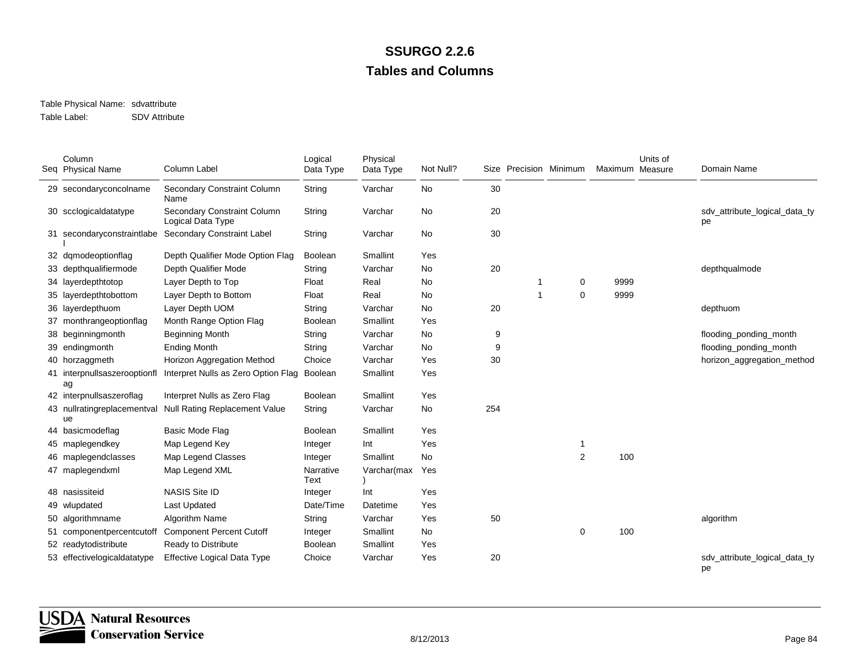### Table Physical Name: sdvattribute Table Label:SDV Attribute

|    | Column<br>Seq Physical Name        | Column Label                                     | Logical<br>Data Type | Physical<br>Data Type | Not Null? |     | Size Precision Minimum |                | Maximum Measure | Units of | Domain Name                         |
|----|------------------------------------|--------------------------------------------------|----------------------|-----------------------|-----------|-----|------------------------|----------------|-----------------|----------|-------------------------------------|
|    | 29 secondaryconcolname             | Secondary Constraint Column<br>Name              | String               | Varchar               | No        | 30  |                        |                |                 |          |                                     |
|    | 30 scclogicaldatatype              | Secondary Constraint Column<br>Logical Data Type | String               | Varchar               | No        | 20  |                        |                |                 |          | sdv_attribute_logical_data_ty<br>pe |
|    | 31 secondaryconstraintlabe         | <b>Secondary Constraint Label</b>                | String               | Varchar               | No        | 30  |                        |                |                 |          |                                     |
| 32 | dqmodeoptionflag                   | Depth Qualifier Mode Option Flag                 | <b>Boolean</b>       | Smallint              | Yes       |     |                        |                |                 |          |                                     |
|    | depthqualifiermode                 | Depth Qualifier Mode                             | String               | Varchar               | <b>No</b> | 20  |                        |                |                 |          | depthqualmode                       |
|    | 34 layerdepthtotop                 | Layer Depth to Top                               | Float                | Real                  | No        |     | 1                      | 0              | 9999            |          |                                     |
|    | 35 layerdepthtobottom              | Layer Depth to Bottom                            | Float                | Real                  | No        |     | $\mathbf{1}$           | $\mathbf 0$    | 9999            |          |                                     |
| 36 | layerdepthuom                      | Layer Depth UOM                                  | String               | Varchar               | <b>No</b> | 20  |                        |                |                 |          | depthuom                            |
| 37 | monthrangeoptionflag               | Month Range Option Flag                          | <b>Boolean</b>       | Smallint              | Yes       |     |                        |                |                 |          |                                     |
|    | 38 beginningmonth                  | <b>Beginning Month</b>                           | String               | Varchar               | <b>No</b> | 9   |                        |                |                 |          | flooding_ponding_month              |
| 39 | endingmonth                        | <b>Ending Month</b>                              | String               | Varchar               | <b>No</b> | 9   |                        |                |                 |          | flooding_ponding_month              |
|    | 40 horzaggmeth                     | Horizon Aggregation Method                       | Choice               | Varchar               | Yes       | 30  |                        |                |                 |          | horizon_aggregation_method          |
|    | 41 interpnullsaszerooptionfl<br>ag | Interpret Nulls as Zero Option Flag              | Boolean              | Smallint              | Yes       |     |                        |                |                 |          |                                     |
|    | 42 interpnullsaszeroflag           | Interpret Nulls as Zero Flag                     | <b>Boolean</b>       | Smallint              | Yes       |     |                        |                |                 |          |                                     |
|    | 43 nullratingreplacementval<br>ue  | <b>Null Rating Replacement Value</b>             | String               | Varchar               | No        | 254 |                        |                |                 |          |                                     |
|    | 44 basicmodeflag                   | Basic Mode Flag                                  | Boolean              | Smallint              | Yes       |     |                        |                |                 |          |                                     |
|    | 45 maplegendkey                    | Map Legend Key                                   | Integer              | Int                   | Yes       |     |                        | 1              |                 |          |                                     |
|    | maplegendclasses                   | Map Legend Classes                               | Integer              | Smallint              | No        |     |                        | $\overline{2}$ | 100             |          |                                     |
|    | 47 maplegendxml                    | Map Legend XML                                   | Narrative<br>Text    | Varchar(max           | Yes       |     |                        |                |                 |          |                                     |
|    | 48 nasissiteid                     | <b>NASIS Site ID</b>                             | Integer              | Int                   | Yes       |     |                        |                |                 |          |                                     |
| 49 | wlupdated                          | Last Updated                                     | Date/Time            | Datetime              | Yes       |     |                        |                |                 |          |                                     |
|    | algorithmname                      | Algorithm Name                                   | String               | Varchar               | Yes       | 50  |                        |                |                 |          | algorithm                           |
| 51 | componentpercentcutoff             | <b>Component Percent Cutoff</b>                  | Integer              | Smallint              | No        |     |                        | 0              | 100             |          |                                     |
|    | 52 readytodistribute               | Ready to Distribute                              | Boolean              | Smallint              | Yes       |     |                        |                |                 |          |                                     |
|    | 53 effectivelogicaldatatype        | <b>Effective Logical Data Type</b>               | Choice               | Varchar               | Yes       | 20  |                        |                |                 |          | sdv_attribute_logical_data_ty<br>pe |

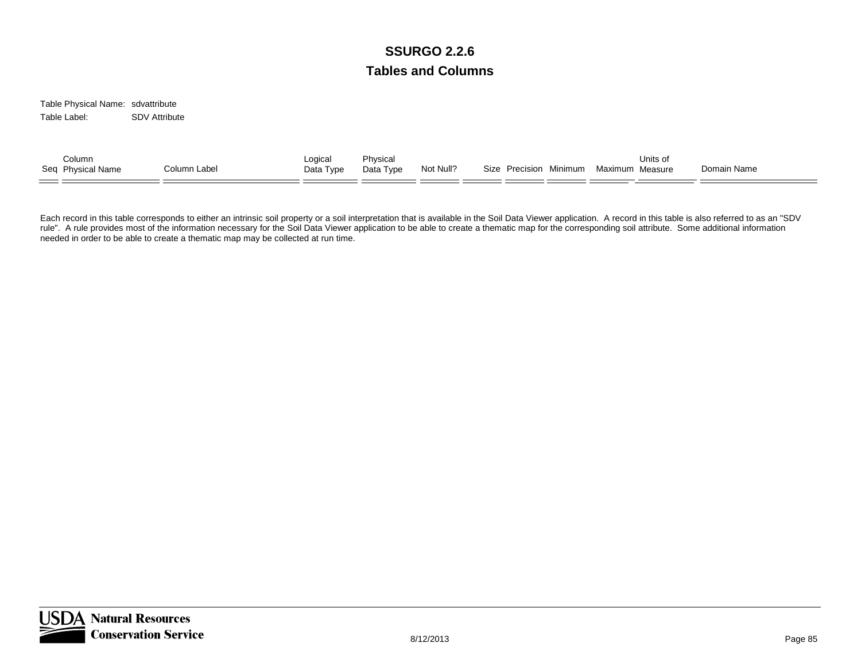Table Physical Name: sdvattribute Table Label:SDV Attribute

| Column<br>Seq Physical Name<br>Column Label | Logica<br>Data Type | Physical<br>Data Type | Not Null? | Minimum<br>Size Precision | Units of<br>Maximum Measure | Domain Name |  |
|---------------------------------------------|---------------------|-----------------------|-----------|---------------------------|-----------------------------|-------------|--|
|---------------------------------------------|---------------------|-----------------------|-----------|---------------------------|-----------------------------|-------------|--|

Each record in this table corresponds to either an intrinsic soil property or a soil interpretation that is available in the Soil Data Viewer application. A record in this table is also referred to as an "SDV rule". A rule provides most of the information necessary for the Soil Data Viewer application to be able to create a thematic map for the corresponding soil attribute. Some additional information needed in order to be able to create a thematic map may be collected at run time.

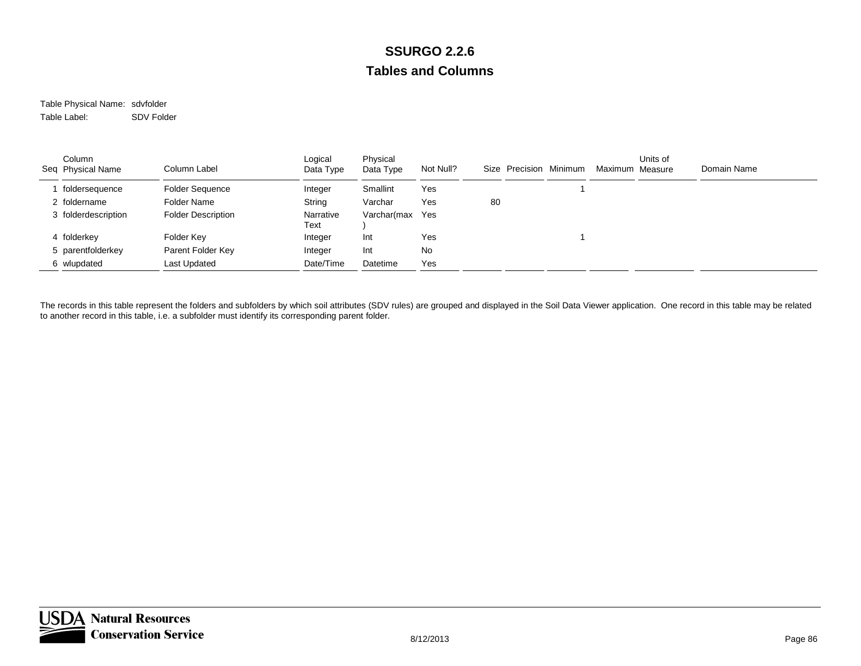Table Physical Name: sdvfolder Table Label:SDV Folder

| Column<br>Seq Physical Name | Column Label              | Logical<br>Data Type | Physical<br>Data Type | Not Null? | Size Precision Minimum | Maximum Measure | Units of | Domain Name |
|-----------------------------|---------------------------|----------------------|-----------------------|-----------|------------------------|-----------------|----------|-------------|
| foldersequence              | <b>Folder Sequence</b>    | Integer              | Smallint              | Yes       |                        |                 |          |             |
| 2 foldername                | Folder Name               | String               | Varchar               | Yes       | 80                     |                 |          |             |
| 3 folderdescription         | <b>Folder Description</b> | Narrative<br>Text    | Varchar(max           | Yes       |                        |                 |          |             |
| 4 folderkey                 | Folder Key                | Integer              | Int                   | Yes       |                        |                 |          |             |
| 5 parentfolderkey           | Parent Folder Key         | Integer              | Int                   | No        |                        |                 |          |             |
| 6 wlupdated                 | Last Updated              | Date/Time            | Datetime              | Yes       |                        |                 |          |             |

The records in this table represent the folders and subfolders by which soil attributes (SDV rules) are grouped and displayed in the Soil Data Viewer application. One record in this table may be related to another record in this table, i.e. a subfolder must identify its corresponding parent folder.